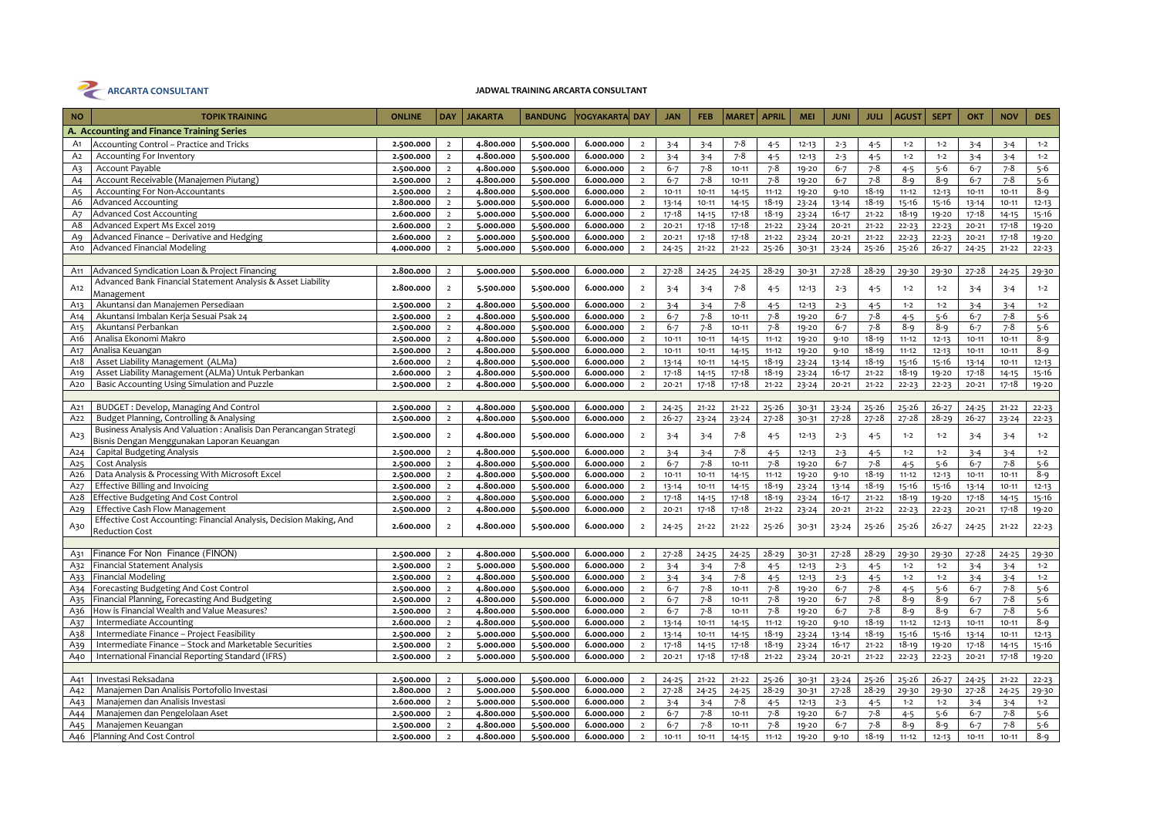

# JADWAL TRAINING ARCARTA CONSULTANT

| <b>NO</b>                        | <b>TOPIK TRAINING</b>                                                           | <b>ONLINE</b>          | <b>DAY</b>                       | <b>JAKARTA</b>         | <b>BANDUNG</b>         | YOGYAKARTA DAY         |                                  | <b>JAN</b>           | <b>FEB</b>             | <b>MARET</b>           | <b>APRIL</b>         | <b>MEI</b>             | <b>JUNI</b>            | <b>JULI</b>        | <b>AGUST</b>       | <b>SEPT</b>        | <b>OKT</b>           | <b>NOV</b>         | <b>DES</b>       |
|----------------------------------|---------------------------------------------------------------------------------|------------------------|----------------------------------|------------------------|------------------------|------------------------|----------------------------------|----------------------|------------------------|------------------------|----------------------|------------------------|------------------------|--------------------|--------------------|--------------------|----------------------|--------------------|------------------|
|                                  | A. Accounting and Finance Training Series                                       |                        |                                  |                        |                        |                        |                                  |                      |                        |                        |                      |                        |                        |                    |                    |                    |                      |                    |                  |
| A1                               | <b>Accounting Control - Practice and Tricks</b>                                 | 2.500.000              | $\overline{2}$                   | 4.800.000              | 5.500.000              | 6.000.000              | $\overline{2}$                   | $3 - 4$              | $3 - 4$                | $7 - 8$                | $4 - 5$              | $12 - 13$              | $2 - 3$                | $4 - 5$            | $1 - 2$            | $1 - 2$            | $3 - 4$              | $3 - 4$            | $1 - 2$          |
|                                  |                                                                                 |                        |                                  |                        |                        |                        |                                  |                      |                        |                        |                      |                        |                        |                    |                    |                    |                      |                    |                  |
| A <sub>2</sub>                   | Accounting For Inventory                                                        | 2.500.000              | $\overline{2}$                   | 4.800.000<br>4.800.000 | 5.500.000              | 6.000.000              | $\overline{2}$                   | $3 - 4$              | $3 - 4$                | $7 - 8$                | $4 - 5$              | $12 - 13$              | $2 - 3$                | $4 - 5$<br>$7 - 8$ | $1 - 2$            | $1 - 2$<br>$5-6$   | $3 - 4$              | $3 - 4$<br>$7 - 8$ | $1 - 2$<br>$5-6$ |
| A3                               | Account Payable                                                                 | 2.500.000              | $\overline{2}$<br>$\overline{2}$ | 4.800.000              | 5.500.000              | 6.000.000              | $\overline{2}$<br>$\overline{2}$ | $6 - 7$              | $7 - 8$                | $10 - 11$              | $7 - 8$              | 19-20                  | $6 - 7$                | $7 - 8$            | $4 - 5$<br>$8 - 9$ |                    | $6 - 7$              | $7 - 8$            | $5 - 6$          |
| A <sub>4</sub><br>A <sub>5</sub> | Account Receivable (Manajemen Piutang)<br><b>Accounting For Non-Accountants</b> | 2.500.000<br>2.500.000 | $\overline{2}$                   | 4.800.000              | 5.500.000<br>5.500.000 | 6.000.000<br>6.000.000 | $\overline{2}$                   | $6 - 7$<br>$10 - 11$ | $7 - 8$<br>$10 - 11$   | $10 - 11$              | $7 - 8$<br>$11 - 12$ | 19-20                  | $6 - 7$                | $18 - 19$          | $11 - 12$          | $8 - 9$            | $6 - 7$<br>$10 - 11$ | $10 - 11$          | $8 - 9$          |
| A6                               | Advanced Accounting                                                             | 2.800.000              | $\overline{2}$                   | 5.000.000              | 5.500.000              | 6.000.000              | $\overline{2}$                   | $13 - 14$            | $10 - 11$              | $14 - 15$              | $18 - 19$            | 19-20                  | $9 - 10$               | $18 - 19$          | 15-16              | $12 - 13$          |                      | $10 - 11$          | $12 - 13$        |
| A7                               | <b>Advanced Cost Accounting</b>                                                 | 2.600.000              | $\overline{2}$                   | 5.000.000              | 5.500.000              | 6.000.000              | $\overline{2}$                   | $17 - 18$            |                        | $14 - 15$<br>$17 - 18$ | $18 - 19$            | $23 - 24$<br>$23 - 24$ | $13 - 14$<br>$16 - 17$ | $21 - 22$          | $18 - 19$          | 15-16<br>$19 - 20$ | 13-14<br>$17 - 18$   | $14 - 15$          | $15 - 16$        |
| A8                               | Advanced Expert Ms Excel 2019                                                   | 2.600.000              | $\overline{2}$                   | 5.000.000              | 5.500.000              | 6.000.000              | $\overline{2}$                   | $20 - 21$            | $14 - 15$<br>$17 - 18$ | $17 - 18$              | $21 - 22$            | $23 - 24$              | $20 - 21$              | $21 - 22$          | $22 - 23$          | $22 - 23$          | $20 - 21$            | $17 - 18$          | 19-20            |
| Aq                               | Advanced Finance - Derivative and Hedging                                       | 2.600.000              | $\overline{2}$                   | 5.000.000              | 5.500.000              | 6.000.000              | $\overline{2}$                   | $20 - 21$            | $17 - 18$              | $17 - 18$              | $21 - 22$            | $23 - 24$              | $20 - 21$              | $21 - 22$          | $22 - 23$          | $22 - 23$          | $20 - 21$            | $17 - 18$          | 19-20            |
| A <sub>10</sub>                  | Advanced Financial Modeling                                                     | 4.000.000              | $\overline{2}$                   | 5.000.000              | 5.500.000              | 6.000.000              | $\overline{2}$                   | $24 - 25$            | $21 - 22$              | $21 - 22$              | $25 - 26$            | 30-31                  | $23 - 24$              | $25 - 26$          | $25 - 26$          | $26 - 27$          | $24 - 25$            | $21 - 22$          | $22 - 23$        |
|                                  |                                                                                 |                        |                                  |                        |                        |                        |                                  |                      |                        |                        |                      |                        |                        |                    |                    |                    |                      |                    |                  |
| A <sub>11</sub>                  | Advanced Syndication Loan & Project Financing                                   | 2.800.000              | $\overline{2}$                   | 5.000.000              | 5.500.000              | 6.000.000              | $\overline{2}$                   | $27 - 28$            | $24 - 25$              | $24 - 25$              | $28 - 29$            | 30-31                  | $27 - 28$              | $28 - 29$          | 29-30              | 29-30              | $27 - 28$            | $24 - 25$          | 29-30            |
|                                  | Advanced Bank Financial Statement Analysis & Asset Liability                    |                        |                                  |                        |                        |                        |                                  |                      |                        |                        |                      |                        |                        |                    |                    |                    |                      |                    |                  |
| A <sub>12</sub>                  | Management                                                                      | 2.800.000              | $\overline{2}$                   | 5.500.000              | 5.500.000              | 6.000.000              | $\overline{2}$                   | $3 - 4$              | $3 - 4$                | $7 - 8$                | $4 - 5$              | $12 - 13$              | $2 - 3$                | $4 - 5$            | $1 - 2$            | $1 - 2$            | $3 - 4$              | $3 - 4$            | $1 - 2$          |
| A13                              | Akuntansi dan Manajemen Persediaan                                              | 2.500.000              | $\overline{2}$                   | 4.800.000              | 5.500.000              | 6.000.000              | $\overline{2}$                   | $3 - 4$              | $3 - 4$                | $7 - 8$                | $4 - 5$              | $12 - 13$              | $2 - 3$                | $4 - 5$            | $1 - 2$            | $1 - 2$            | $3 - 4$              | $3 - 4$            | $1 - 2$          |
| A <sub>14</sub>                  | Akuntansi Imbalan Kerja Sesuai Psak 24                                          | 2.500.000              | $\overline{2}$                   | 4.800.000              | 5.500.000              | 6.000.000              | $\overline{2}$                   | $6 - 7$              | $7 - 8$                | $10 - 11$              | $7 - 8$              | 19-20                  | $6 - 7$                | $7 - 8$            | $4 - 5$            | $5-6$              | $6 - 7$              | $7 - 8$            | $5 - 6$          |
| A <sub>15</sub>                  | Akuntansi Perbankan                                                             | 2.500.000              | $\overline{2}$                   | 4.800.000              | 5.500.000              | 6.000.000              | $\overline{2}$                   | $6 - 7$              | $7 - 8$                | $10 - 11$              | $7 - 8$              | 19-20                  | $6 - 7$                | $7 - 8$            | $8 - 9$            | 8-9                | $6 - 7$              | $7 - 8$            | $5 - 6$          |
| A <sub>16</sub>                  | Analisa Ekonomi Makro                                                           | 2.500.000              | $\overline{2}$                   | 4.800.000              | 5.500.000              | 6.000.000              | $\overline{2}$                   | $10 - 11$            | $10 - 11$              | $14 - 15$              | $11 - 12$            | 19-20                  | $9 - 10$               | $18 - 19$          | $11 - 12$          | $12 - 13$          | $10 - 11$            | $10 - 11$          | $8 - 9$          |
| A <sub>17</sub>                  | Analisa Keuangan                                                                | 2.500.000              | $\overline{2}$                   | 4.800.000              | 5.500.000              | 6.000.000              | $\overline{2}$                   | $10 - 11$            | $10 - 11$              | $14 - 15$              | $11 - 12$            | $19 - 20$              | $9 - 10$               | $18 - 19$          | $11 - 12$          | $12 - 13$          | $10 - 11$            | $10 - 11$          | $8 - 9$          |
| A <sub>1</sub> 8                 | Asset Liability Management (ALMa)                                               | 2.600.000              | $\overline{2}$                   | 4.800.000              | 5.500.000              | 6.000.000              | $\overline{2}$                   | $13 - 14$            | $10 - 11$              | $14 - 15$              | $18 - 19$            | $23 - 24$              | $13 - 14$              | $18 - 19$          | $15 - 16$          | $15 - 16$          | $13 - 14$            | $10 - 11$          | $12 - 13$        |
| A <sub>19</sub>                  | Asset Liability Management (ALMa) Untuk Perbankan                               | 2.600.000              | $\overline{2}$                   | 4.800.000              | 5.500.000              | 6.000.000              | $\overline{2}$                   | $17 - 18$            | $14 - 15$              | $17 - 18$              | 18-19                | $23 - 24$              | $16 - 17$              | $21 - 22$          | $18 - 19$          | 19-20              | $17 - 18$            | $14 - 15$          | $15 - 16$        |
| A <sub>20</sub>                  | Basic Accounting Using Simulation and Puzzle                                    | 2.500.000              | $\overline{2}$                   | 4.800.000              | 5.500.000              | 6.000.000              | $\overline{2}$                   | $20 - 21$            | $17 - 18$              | $17 - 18$              | $21 - 22$            | $23 - 24$              | $20 - 21$              | $21 - 22$          | $22 - 23$          | $22 - 23$          | $20 - 21$            | $17 - 18$          | 19-20            |
|                                  |                                                                                 |                        |                                  |                        |                        |                        |                                  |                      |                        |                        |                      |                        |                        |                    |                    |                    |                      |                    |                  |
| A21                              | BUDGET: Develop, Managing And Control                                           | 2.500.000              | $\overline{2}$                   | 4.800.000              | 5.500.000              | 6.000.000              | $\overline{2}$                   | $24 - 25$            | $21 - 22$              | $21 - 22$              | 25-26                | 30-31                  | $23 - 24$              | $25 - 26$          | $25 - 26$          | $26 - 27$          | $24 - 25$            | $21 - 22$          | $22 - 23$        |
| A22                              | Budget Planning, Controlling & Analysing                                        | 2.500.000              | $\overline{2}$                   | 4.800.000              | 5.500.000              | 6.000.000              | $\overline{2}$                   | $26 - 27$            | $23 - 24$              | $23 - 24$              | 27-28                | 30-31                  | $27 - 28$              | $27 - 28$          | $27 - 28$          | $28 - 29$          | $26 - 27$            | $23 - 24$          | $22 - 23$        |
|                                  | Business Analysis And Valuation: Analisis Dan Perancangan Strategi              |                        |                                  |                        |                        |                        |                                  |                      |                        |                        |                      |                        |                        |                    |                    |                    |                      |                    |                  |
| A23                              | Bisnis Dengan Menggunakan Laporan Keuangan                                      | 2.500.000              | $\overline{2}$                   | 4.800.000              | 5.500.000              | 6.000.000              | $\overline{2}$                   | $3 - 4$              | $3 - 4$                | $7 - 8$                | $4 - 5$              | $12 - 13$              | $2 - 3$                | $4 - 5$            | $1 - 2$            | $1 - 2$            | $3 - 4$              | $3 - 4$            | $1 - 2$          |
| A24                              | <b>Capital Budgeting Analysis</b>                                               | 2.500.000              | $\overline{2}$                   | 4.800.000              | 5.500.000              | 6.000.000              | $\overline{2}$                   | $3 - 4$              | $3 - 4$                | $7 - 8$                | $4 - 5$              | $12 - 13$              | $2 - 3$                | $4 - 5$            | $1 - 2$            | $1 - 2$            | $3 - 4$              | $3 - 4$            | $1 - 2$          |
| A <sub>25</sub>                  | Cost Analysis                                                                   | 2.500.000              | $\overline{2}$                   | 4.800.000              | 5.500.000              | 6.000.000              | $\overline{2}$                   | $6 - 7$              | $7 - 8$                | $10 - 11$              | $7 - 8$              | 19-20                  | $6 - 7$                | $7 - 8$            | $4 - 5$            | $5 - 6$            | $6 - 7$              | $7 - 8$            | $5 - 6$          |
| A26                              | Data Analysis & Processing With Microsoft Excel                                 | 2.500.000              | $\overline{2}$                   | 4.800.000              | 5.500.000              | 6.000.000              | $\overline{2}$                   | $10 - 11$            | $10 - 11$              | $14 - 15$              | $11 - 12$            | 19-20                  | $9 - 10$               | $18 - 19$          | $11 - 12$          | $12 - 13$          | $10 - 11$            | $10 - 11$          | $8 - 9$          |
| A <sub>27</sub>                  | <b>Effective Billing and Invoicing</b>                                          | 2.500.000              | $\overline{2}$                   | 4.800.000              | 5.500.000              | 6.000.000              | $\overline{2}$                   | $13 - 14$            | $10 - 11$              | $14 - 15$              | $18 - 19$            | $23 - 24$              | $13 - 14$              | $18 - 19$          | $15 - 16$          | 15-16              | 13-14                | $10 - 11$          | $12 - 13$        |
| A28                              | Effective Budgeting And Cost Control                                            | 2.500.000              | $\overline{2}$                   | 4.800.000              | 5.500.000              | 6.000.000              | $\overline{2}$                   | $17 - 18$            | $14 - 15$              | $17 - 18$              | $18 - 19$            | $23 - 24$              | $16 - 17$              | $21 - 22$          | $18 - 19$          | 19-20              | $17 - 18$            | $14 - 15$          | 15-16            |
| A29                              | <b>Effective Cash Flow Management</b>                                           | 2.500.000              | $\overline{2}$                   | 4.800.000              | 5.500.000              | 6.000.000              | $\overline{2}$                   | $20 - 21$            | $17 - 18$              | $17 - 18$              | $21 - 22$            | $23 - 24$              | $20 - 21$              | $21 - 22$          | $22 - 23$          | $22 - 23$          | $20 - 21$            | $17 - 18$          | 19-20            |
|                                  | Effective Cost Accounting: Financial Analysis, Decision Making, And             | 2.600.000              | $\overline{2}$                   | 4.800.000              | 5.500.000              | 6.000.000              | $\overline{2}$                   | $24 - 25$            | $21 - 22$              | $21 - 22$              | $25 - 26$            | 30-31                  |                        |                    | $25 - 26$          | $26 - 27$          |                      | $21 - 22$          | $22 - 23$        |
| A30                              | <b>Reduction Cost</b>                                                           |                        |                                  |                        |                        |                        |                                  |                      |                        |                        |                      |                        | $23 - 24$              | $25 - 26$          |                    |                    | $24 - 25$            |                    |                  |
|                                  |                                                                                 |                        |                                  |                        |                        |                        |                                  |                      |                        |                        |                      |                        |                        |                    |                    |                    |                      |                    |                  |
| A31                              | Finance For Non Finance (FINON)                                                 | 2.500.000              | $\overline{2}$                   | 4.800.000              | 5.500.000              | 6.000.000              | $\overline{2}$                   | $27 - 28$            | $24 - 25$              | $24 - 25$              | $28 - 29$            | 30-31                  | $27 - 28$              | $28 - 29$          | 29-30              | 29-30              | $27 - 28$            | $24 - 25$          | 29-30            |
| A32                              | Financial Statement Analysis                                                    | 2.500.000              | $\overline{2}$                   | 5.000.000              | 5.500.000              | 6.000.000              | $\overline{2}$                   | $3 - 4$              | $3 - 4$                | $7 - 8$                | $4 - 5$              | $12 - 13$              | $2 - 3$                | $4 - 5$            | $1 - 2$            | $1 - 2$            | $3 - 4$              | $3 - 4$            | $1 - 2$          |
| A33                              | Financial Modeling                                                              | 2.500.000              | $\overline{2}$                   | 4.800.000              | 5.500.000              | 6.000.000              | $\overline{2}$                   | $3 - 4$              | $3 - 4$                | $7 - 8$                | $4 - 5$              | $12 - 13$              | $2 - 3$                | $4 - 5$            | $1 - 2$            | $1 - 2$            | $3 - 4$              | $3 - 4$            | $1 - 2$          |
| A34                              | Forecasting Budgeting And Cost Control                                          | 2.500.000              | $\overline{2}$                   | 4.800.000              | 5.500.000              | 6.000.000              | $\overline{2}$                   | $6 - 7$              | $7 - 8$                | $10 - 11$              | $7 - 8$              | 19-20                  | $6 - 7$                | $7 - 8$            | $4 - 5$            | $5 - 6$            | $6 - 7$              | $7 - 8$            | $5 - 6$          |
| A35                              | Financial Planning, Forecasting And Budgeting                                   | 2.500.000              | $\overline{2}$                   | 4.800.000              | 5.500.000              | 6.000.000              | $\overline{2}$                   | $6 - 7$              | $7 - 8$                | $10 - 11$              | $7 - 8$              | 19-20                  | $6 - 7$                | $7 - 8$            | $8 - 9$            | $8 - 9$            | $6 - 7$              | $7 - 8$            | $5 - 6$          |
| A36                              | How is Financial Wealth and Value Measures?                                     | 2.500.000              | $\overline{2}$                   | 4.800.000              | 5.500.000              | 6.000.000              | $\overline{2}$                   | $6 - 7$              | $7 - 8$                | $10 - 11$              | $7 - 8$              | 19-20                  | $6 - 7$                | $7 - 8$            | $8 - 9$            | $8 - 9$            | $6 - 7$              | $7 - 8$            | $5-6$            |
| A37                              | Intermediate Accounting                                                         | 2.600.000              | $\overline{2}$                   | 4.800.000              | 5.500.000              | 6.000.000              | $\overline{2}$                   | $13 - 14$            | $10 - 11$              | $14 - 15$              | $11 - 12$            | $19 - 20$              | $9 - 10$               | $18 - 19$          | $11 - 12$          | $12 - 13$          | $10 - 11$            | $10 - 11$          | $8 - 9$          |
| A <sub>3</sub> 8                 | Intermediate Finance - Project Feasibility                                      | 2.500.000              | $\overline{2}$                   | 5.000.000              | 5.500.000              | 6.000.000              | $\overline{2}$                   | $13 - 14$            | $10 - 11$              | $14 - 15$              | $18 - 19$            | $23 - 24$              | $13 - 14$              | $18 - 19$          | $15 - 16$          | 15-16              | $13 - 14$            | $10 - 11$          | $12 - 13$        |
| A39                              | Intermediate Finance - Stock and Marketable Securities                          | 2.500.000              | $\overline{2}$                   | 5.000.000              | 5.500.000              | 6.000.000              | $\overline{2}$                   | $17 - 18$            | $14 - 15$              | $17 - 18$              | $18 - 19$            | $23 - 24$              | $16 - 17$              | $21 - 22$          | $18 - 19$          | 19-20              | $17 - 18$            | $14 - 15$          | 15-16            |
| A <sub>40</sub>                  | International Financial Reporting Standard (IFRS)                               | 2.500.000              | $\overline{2}$                   | 5.000.000              | 5.500.000              | 6.000.000              | $\overline{2}$                   | $20 - 21$            | $17 - 18$              | $17 - 18$              | $21 - 22$            | $23 - 24$              | $20 - 21$              | $21 - 22$          | $22 - 23$          | $22 - 23$          | $20 - 21$            | $17 - 18$          | $19 - 20$        |
|                                  |                                                                                 |                        |                                  |                        |                        |                        |                                  |                      |                        |                        |                      |                        |                        |                    |                    |                    |                      |                    |                  |
| A41                              | Investasi Reksadana                                                             | 2.500.000              | $\overline{2}$                   | 5.000.000              | 5.500.000              | 6.000.000              | $\overline{2}$                   | $24 - 25$            | $21 - 22$              | $21 - 22$              | $25 - 26$            | 30-31                  | $23 - 24$              | $25 - 26$          | $25 - 26$          | $26 - 27$          | $24 - 25$            | $21 - 22$          | $22 - 23$        |
| A42                              | Manajemen Dan Analisis Portofolio Investasi                                     | 2.800.000              | $\overline{2}$                   | 5.000.000              | 5.500.000              | 6.000.000              | $\overline{2}$                   | $27 - 28$            | $24 - 25$              | $24 - 25$              | $28 - 29$            | 30-31                  | $27 - 28$              | $28 - 29$          | 29-30              | 29-30              | $27 - 28$            | $24 - 25$          | 29-30            |
| A43                              | Manajemen dan Analisis Investasi                                                | 2.600.000              | $\overline{2}$                   | 5.000.000              | 5.500.000              | 6.000.000              | $\overline{2}$                   | $3 - 4$              | $3 - 4$                | $7 - 8$                | $4 - 5$              | $12 - 13$              | $2 - 3$                | $4 - 5$            | $1 - 2$            | $1 - 2$            | $3 - 4$              | $3 - 4$            | $1 - 2$          |
| A44                              | Manajemen dan Pengelolaan Aset                                                  | 2.500.000              | $\overline{2}$                   | 4.800.000              | 5.500.000              | 6.000.000              | $\overline{2}$                   | $6 - 7$              | $7 - 8$                | $10 - 11$              | $7 - 8$              | 19-20                  | $6 - 7$                | $7 - 8$            | $4 - 5$            | $5 - 6$            | $6 - 7$              | $7 - 8$            | $5 - 6$          |
| A <sub>45</sub>                  | Manajemen Keuangan                                                              | 2.500.000              | $\overline{2}$                   | 4.800.000              | 5.500.000              | 6.000.000              | $\overline{2}$                   | $6 - 7$              | $7 - 8$                | $10 - 11$              | $7 - 8$              | 19-20                  | $6 - 7$                | $7 - 8$            | $8 - 9$            | $8 - 9$            | $6 - 7$              | $7 - 8$            | $5 - 6$          |
| A46                              | Planning And Cost Control                                                       | 2.500.000              | $\overline{2}$                   | 4.800.000              | 5.500.000              | 6.000.000              | $\overline{2}$                   | $10 - 11$            | $10 - 11$              | $14 - 15$              | $11 - 12$            | 19-20                  | $9 - 10$               | $18 - 19$          | $11 - 12$          | $12 - 13$          | $10 - 11$            | $10 - 11$          | $8 - 9$          |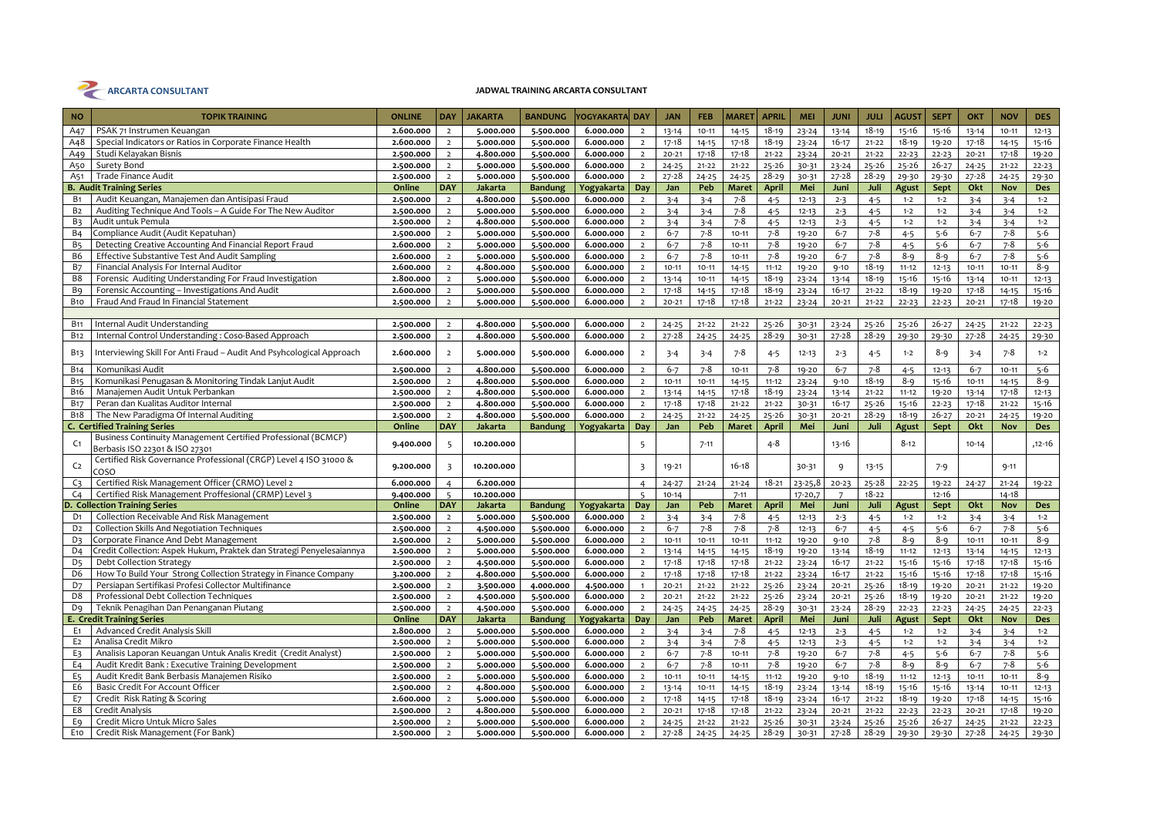

| <b>NO</b>             | <b>TOPIK TRAINING</b>                                                                               | <b>ONLINE</b>          | <b>DAY</b>                       | <b>JAKARTA</b>         | <b>BANDUNG</b>         | /OGYAKARTA DAY         |                                  | <b>JAN</b>             | <b>FEB</b>             | <b>MARET</b>           | <b>APRIL</b>           | <b>MEI</b>     | <b>JUNI</b>            | <b>JULI</b>            | <b>AGUST</b>   | <b>SEPT</b>        | OKT                    | <b>NOV</b>             | <b>DES</b>         |
|-----------------------|-----------------------------------------------------------------------------------------------------|------------------------|----------------------------------|------------------------|------------------------|------------------------|----------------------------------|------------------------|------------------------|------------------------|------------------------|----------------|------------------------|------------------------|----------------|--------------------|------------------------|------------------------|--------------------|
| A47                   | PSAK 71 Instrumen Keuangan                                                                          | 2.600.000              | $\overline{2}$                   | 5.000.000              | 5.500.000              | 6.000.000              | $\overline{2}$                   | $13 - 14$              | $10 - 11$              | $14 - 15$              | $18 - 19$              | $23 - 24$      | $13 - 14$              | $18 - 19$              | 15-16          | 15-16              | $13 - 14$              | $10 - 11$              | $12 - 13$          |
| A48                   | Special Indicators or Ratios in Corporate Finance Health                                            | 2.600.000              | $\overline{2}$                   | 5.000.000              | 5.500.000              | 6.000.000              | $\overline{2}$                   | 17-18                  | $14 - 15$              | $17 - 18$              | $18 - 19$              | $23 - 24$      | $16 - 17$              | $21 - 22$              | $18 - 19$      | 19-20              | 17-18                  | $14 - 15$              | 15-16              |
| A49                   | Studi Kelayakan Bisnis                                                                              | 2.500.000              | $\overline{2}$                   | 4.800.000              | 5.500.000              | 6.000.000              | $\overline{2}$                   | $20 - 21$              | $17 - 18$              | 17-18                  | $21 - 22$              | $23 - 24$      | $20 - 21$              | $21 - 22$              | $22 - 23$      | $22 - 23$          | $20 - 21$              | $17 - 18$              | 19-20              |
| A50                   | Surety Bond                                                                                         | 2.500.000              | $\overline{2}$                   | 5.000.000              | 5.500.000              | 6.000.000              | $\overline{2}$                   | $24 - 25$              | $21 - 22$              | $21 - 22$              | $25 - 26$              | 30-31          | $23 - 24$              | $25 - 26$              | $25 - 26$      | $26 - 27$          | $24 - 25$              | $21 - 22$              | $22 - 23$          |
| A51                   | <b>Trade Finance Audit</b>                                                                          | 2.500.000              | $\overline{2}$                   | 5.000.000              | 5.500.000              | 6.000.000              | $\overline{2}$                   | $27 - 28$              | $24 - 25$              | $24 - 25$              | $28 - 29$              | $30 - 31$      | $27 - 28$              | $28 - 29$              | 29-30          | 29-30              | $27 - 28$              | $24 - 25$              | 29-30              |
|                       | <b>B. Audit Training Series</b>                                                                     | Online                 | <b>DAY</b>                       | Jakarta                | <b>Bandung</b>         | Yogyakarta             | Day                              | Jan                    | Peb                    | <b>Maret</b>           | <b>April</b>           | Mei            | Juni                   | Juli                   | Agust          | Sept               | Okt                    | Nov                    | Des                |
| <b>B</b> 1            | Audit Keuangan, Manajemen dan Antisipasi Fraud                                                      | 2.500.000              | $\overline{2}$                   | 4.800.000              | 5.500.000              | 6.000.000              | $\overline{2}$                   | $3 - 4$                | $3 - 4$                | $7 - 8$                | $4 - 5$                | $12 - 13$      | $2 - 3$                | $4 - 5$                | $1 - 2$        | $1 - 2$            | $3 - 4$                | $3 - 4$                | $1 - 2$            |
| B <sub>2</sub>        | Auditing Technique And Tools - A Guide For The New Auditor                                          | 2.500.000              | $\overline{2}$                   | 5.000.000              | 5.500.000              | 6.000.000              | $\overline{2}$                   | $3 - 4$                | $3 - 4$                | $7 - 8$                | $4 - 5$                | $12 - 13$      | $2 - 3$                | $4 - 5$                | $1 - 2$        | $1 - 2$            | $3 - 4$                | $3 - 4$                | $1 - 2$            |
| B <sub>3</sub>        | Audit untuk Pemula                                                                                  | 2.500.000              | $\overline{2}$                   | 4.800.000              | 5.500.000              | 6.000.000              | $\overline{2}$                   | $3 - 4$                | $3 - 4$                | $7 - 8$                | $4 - 5$                | $12 - 13$      | $2 - 3$                | $4 - 5$                | $1 - 2$        | $1 - 2$            | $3 - 4$                | $3 - 4$                | $1 - 2$            |
| <b>B4</b>             | Compliance Audit (Audit Kepatuhan)                                                                  | 2.500.000              | $\overline{2}$                   | 5.000.000              | 5.500.000              | 6.000.000              | $\overline{2}$                   | $6 - 7$                | $7 - 8$                | $10 - 11$              | $7 - 8$                | 19-20          | $6 - 7$                | $7 - 8$                | $4 - 5$        | $5 - 6$            | $6 - 7$                | $7 - 8$                | $5 - 6$            |
| <b>B5</b>             | Detecting Creative Accounting And Financial Report Fraud                                            | 2.600.000              | $\overline{2}$                   | 5.000.000              | 5.500.000              | 6.000.000              | $\overline{2}$                   | $6 - 7$                | $7 - 8$                | $10 - 11$              | $7 - 8$                | 19-20          | $6 - 7$                | $7 - 8$                | $4 - 5$        | $5 - 6$            | $6 - 7$                | $7 - 8$                | $5 - 6$            |
| <b>B6</b>             | Effective Substantive Test And Audit Sampling                                                       | 2.600.000              | $\overline{2}$                   | 5.000.000              | 5.500.000              | 6.000.000              | $\overline{2}$                   | $6 - 7$                | $7 - 8$                | $10 - 11$              | $7 - 8$                | 19-20          | $6 - 7$                | $7 - 8$                | $8 - 9$        | $8 - 9$            | $6 - 7$                | $7 - 8$                | $5 - 6$            |
| <b>B7</b>             | Financial Analysis For Internal Auditor                                                             | 2.600.000              | $\overline{2}$                   | 4.800.000              | 5.500.000              | 6.000.000              | $\overline{2}$                   | $10 - 11$              | $10 - 11$              | $14 - 15$              | $11 - 12$              | 19-20          | $9 - 10$               | $18 - 19$              | $11 - 12$      | $12 - 13$          | $10 - 11$              | $10 - 11$              | $8 - 9$            |
| B <sub>8</sub>        | Forensic Auditing Understanding For Fraud Investigation                                             | 2.800.000              | $\overline{2}$                   | 5.000.000              | 5.500.000              | 6.000.000              | $\overline{2}$                   | $13 - 14$              | $10 - 11$              | $14 - 15$              | $18 - 19$              | $23 - 24$      | $13 - 14$              | $18 - 19$              | $15 - 16$      | 15-16              | 13-14                  | $10 - 11$              | $12 - 13$          |
| B <sub>9</sub>        | Forensic Accounting - Investigations And Audit                                                      | 2.600.000              | $\overline{2}$                   | 5.000.000              | 5.500.000              | 6.000.000              | $\overline{2}$                   | $17 - 18$              | 14-15                  | 17-18                  | $18 - 19$              | $23 - 24$      | $16 - 17$              | $21 - 22$              | $18 - 19$      | 19-20              | $17 - 18$              | $14 - 15$              | 15-16              |
| <b>B</b> 10           | Fraud And Fraud In Financial Statement                                                              | 2.500.000              | $\overline{2}$                   | 5.000.000              | 5.500.000              | 6.000.000              | $\overline{2}$                   | $20 - 21$              | $17 - 18$              | $17 - 18$              | $21 - 22$              | $23 - 24$      | $20 - 21$              | $21 - 22$              | $22 - 23$      | $22 - 23$          | $20 - 21$              | $17 - 18$              | 19-20              |
|                       |                                                                                                     |                        |                                  |                        |                        |                        |                                  |                        |                        |                        |                        |                |                        |                        |                |                    |                        |                        |                    |
| <b>B11</b>            | Internal Audit Understanding                                                                        | 2.500.000              | $\overline{2}$                   | 4.800.000              | 5.500.000              | 6.000.000              | $\overline{2}$                   | $24 - 25$              | $21 - 22$              | $21 - 22$              | $25 - 26$              | 30-31          | $23 - 24$              | $25 - 26$              | 25-26          | $26 - 27$          | $24 - 25$              | $21 - 22$              | $22 - 23$          |
| <b>B12</b>            | Internal Control Understanding: Coso-Based Approach                                                 | 2.500.000              | $\overline{2}$                   | 4.800.000              | 5.500.000              | 6.000.000              | $\overline{2}$                   | $27 - 28$              | $24 - 25$              | $24 - 25$              | $28 - 29$              | 30-31          | $27 - 28$              | $28 - 29$              | 29-30          | 29-30              | $27 - 28$              | $24 - 25$              | 29-30              |
| B <sub>13</sub>       | Interviewing Skill For Anti Fraud - Audit And Psyhcological Approach                                | 2.600.000              | $\overline{2}$                   | 5.000.000              | 5.500.000              | 6.000.000              | $\overline{2}$                   | $3 - 4$                | $3 - 4$                | $7 - 8$                | $4 - 5$                | $12 - 13$      | $2 - 3$                | $4 - 5$                | $1 - 2$        | 8-9                | $3 - 4$                | $7 - 8$                | $1 - 2$            |
| <b>B14</b>            | Komunikasi Audit                                                                                    | 2.500.000              | $\overline{2}$                   | 4.800.000              | 5.500.000              | 6.000.000              | $\overline{2}$                   | $6 - 7$                | $7 - 8$                | $10 - 11$              | $7 - 8$                | 19-20          | $6 - 7$                | $7 - 8$                | $4 - 5$        | $12 - 13$          | $6 - 7$                | $10 - 11$              | $5 - 6$            |
| <b>B15</b>            | Komunikasi Penugasan & Monitoring Tindak Lanjut Audit                                               | 2.500.000              | $\overline{2}$                   | 4.800.000              | 5.500.000              | 6.000.000              | $\overline{2}$                   | $10 - 11$              | $10 - 11$              | $14 - 15$              | $11 - 12$              | $23 - 24$      | $9 - 10$               | $18 - 19$              | $8 - 9$        | 15-16              | $10 - 11$              | $14 - 15$              | $8 - 9$            |
| <b>B</b> 16           | Manajemen Audit Untuk Perbankan                                                                     | 2.500.000              | $\overline{2}$                   | 4.800.000              | 5.500.000              | 6.000.000              | $\overline{2}$                   | $13 - 14$              | $14 - 15$              | 17-18                  | $18 - 19$              | $23 - 24$      | $13 - 14$              | $21 - 22$              | $11 - 12$      | 19-20              | $13 - 14$              | $17 - 18$              | $12 - 13$          |
| <b>B17</b>            | Peran dan Kualitas Auditor Internal                                                                 | 2.500.000              | $\overline{2}$                   | 4.800.000              | 5.500.000              | 6.000.000              | $\overline{2}$                   | $17 - 18$              | $17 - 18$              | $21 - 22$              | $21 - 22$              | 30-31          | $16 - 17$              | $25 - 26$              | $15 - 16$      | $22 - 23$          | $17 - 18$              | $21 - 22$              | 15-16              |
| <b>B18</b>            | The New Paradigma Of Internal Auditing                                                              | 2.500.000              | $\overline{2}$                   | 4.800.000              | 5.500.000              | 6.000.000              | $\overline{2}$                   | $24 - 25$              | $21 - 22$              | $24 - 25$              | $25 - 26$              | 30-31          | $20 - 21$              | $28 - 29$              | $18 - 19$      | $26 - 27$          | $20 - 21$              | $24 - 25$              | 19-20              |
|                       | <b>C. Certified Training Series</b>                                                                 | Online                 | <b>DAY</b>                       | Jakarta                | <b>Bandung</b>         | Yogyakarta             | Day                              | Jan                    | Peb                    | <b>Maret</b>           | <b>April</b>           | Mei            | Juni                   | Juli                   | Agust          | Sept               | Okt                    | <b>Nov</b>             | Des                |
| C <sub>1</sub>        | Business Continuity Management Certified Professional (BCMCP)                                       | 9.400.000              | 5                                | 10.200.000             |                        |                        | 5                                |                        | $7 - 11$               |                        | $4 - 8$                |                | 13-16                  |                        | $8 - 12$       |                    | $10 - 14$              |                        | ,12-16             |
| C <sub>2</sub>        | Berbasis ISO 22301 & ISO 27301<br>Certified Risk Governance Professional (CRGP) Level 4 ISO 31000 & | 9.200.000              | 3                                | 10.200.000             |                        |                        |                                  | 19-21                  |                        | $16 - 18$              |                        | 30-31          | 9                      | $13 - 15$              |                | $7 - 9$            |                        | $9 - 11$               |                    |
|                       | COSO                                                                                                |                        |                                  |                        |                        |                        | 3                                |                        |                        |                        |                        |                |                        |                        |                |                    |                        |                        |                    |
| C <sub>3</sub>        | Certified Risk Management Officer (CRMO) Level 2                                                    | 6.000.000              | 4                                | 6.200.000              |                        |                        | $\overline{4}$                   | $24 - 27$              | $21 - 24$              | $21 - 24$              | $18 - 21$              |                |                        | $25 - 28$              |                |                    | $24 - 27$              | $21 - 24$              | 19-22              |
| C <sub>4</sub>        | Certified Risk Management Proffesional (CRMP) Level 3                                               |                        |                                  |                        |                        |                        |                                  |                        |                        |                        |                        | 23-25,8        | $20 - 23$              |                        | $22 - 25$      | 19-22              |                        |                        |                    |
|                       |                                                                                                     | 9.400.000              | $\overline{5}$                   | 10.200.000             |                        |                        | $\overline{5}$                   | $10 - 14$              |                        | $7 - 11$               |                        | 17-20,7        | $7\overline{ }$        | $18 - 22$              |                | $12 - 16$          |                        | $14 - 18$              |                    |
| D <sub>1</sub>        | D. Collection Training Series                                                                       | Online                 | <b>DAY</b>                       | <b>Jakarta</b>         | <b>Bandung</b>         | Yogyakarta             | Day                              | Jan                    | Peb                    | <b>Maret</b>           | <b>April</b>           | Mei            | Juni                   | Juli                   | Agust          | Sept               | Okt                    | Nov                    | Des                |
|                       | Collection Receivable And Risk Management                                                           | 2.500.000              | $\overline{2}$                   | 5.000.000              | 5.500.000              | 6.000.000              | $\overline{2}$                   | $3 - 4$                | $3 - 4$                | 7-8                    | $4 - 5$                | $12 - 13$      | $2 - 3$                | $4 - 5$                | $1 - 2$        | $1 - 2$            | $3 - 4$                | $3 - 4$                | $1 - 2$            |
| D <sub>2</sub>        | Collection Skills And Negotiation Techniques                                                        | 2.500.000              | $\overline{2}$                   | 4.500.000              | 5.500.000              | 6.000.000              | $\overline{2}$                   | $6 - 7$                | $7 - 8$                | $7 - 8$                | $7 - 8$                | $12 - 13$      | $6 - 7$                | $4 - 5$                | $4 - 5$        | $5 - 6$            | $6 - 7$                | $7 - 8$                | $5 - 6$            |
| D <sub>3</sub>        | Corporate Finance And Debt Management                                                               | 2.500.000              | $\overline{2}$                   | 5.000.000              | 5.500.000              | 6.000.000              | $\overline{2}$                   | $10 - 11$              | $10 - 11$              | $10 - 11$              | $11 - 12$              | 19-20          | $9 - 10$               | $7 - 8$                | $8 - 9$        | $8 - 9$            | $10 - 11$              | $10 - 11$              | $8 - 9$            |
| D <sub>4</sub>        | Credit Collection: Aspek Hukum, Praktek dan Strategi Penyelesaiannya                                | 2.500.000              | $\overline{2}$                   | 5.000.000              | 5.500.000              | 6.000.000              | $\overline{2}$                   | $13 - 14$              | 14-15                  | $14 - 15$              | $18 - 19$              | 19-20          | $13 - 14$              | $18 - 19$              | $11 - 12$      | $12 - 13$          | 13-14                  | $14 - 15$              | $12 - 13$          |
| D <sub>5</sub>        | <b>Debt Collection Strategy</b>                                                                     | 2.500.000              | $\overline{2}$                   | 4.500.000              | 5.500.000              | 6.000.000              | $\overline{2}$                   | $17 - 18$              | $17 - 18$              | $17 - 18$              | $21 - 22$              | $23 - 24$      | $16 - 17$              | $21 - 22$              | $15 - 16$      | $15 - 16$          | $17 - 18$              | $17 - 18$              | 15-16              |
| D <sub>6</sub>        | How To Build Your Strong Collection Strategy in Finance Company                                     | 3.200.000              | $\overline{2}$                   | 4.800.000              | 5.500.000              | 6.000.000              | $\overline{2}$                   | $17 - 18$              | $17 - 18$              | $17 - 18$              | $21 - 22$              | $23 - 24$      | $16 - 17$              | $21 - 22$              | 15-16          | 15-16              | $17 - 18$              | $17 - 18$              | 15-16              |
| D7                    | Persiapan Sertifikasi Profesi Collector Multifinance                                                | 2.500.000              | $\overline{2}$                   | 3.500.000              | 4.000.000              | 4.500.000              | $\overline{1}$                   | $20 - 21$              | $21 - 22$              | $21 - 22$              | $25 - 26$              | $23 - 24$      | $20 - 21$              | $25 - 26$              | $18 - 19$      | 19-20              | $20 - 21$              | $21 - 22$              | 19-20              |
| D <sub>8</sub>        | Professional Debt Collection Techniques                                                             | 2.500.000              | $\overline{2}$                   | 4.500.000              | 5.500.000              | 6.000.000              | $\overline{2}$                   | $20 - 21$              | $21 - 22$              | $21 - 22$              | $25 - 26$              | $23 - 24$      | $20 - 21$              | $25 - 26$              | $18 - 19$      | $19 - 20$          | $20 - 21$              | $21 - 22$              | 19-20              |
| Dq                    | Teknik Penagihan Dan Penanganan Piutang                                                             | 2.500.000              | $\overline{2}$                   | 4.500.000              | 5.500.000              | 6.000.000              | $\overline{2}$                   | $24 - 25$              | $24 - 25$              | $24 - 25$              | $28 - 29$              | 30-31          | $23 - 24$              | $28 - 29$              | $22 - 23$      | $22 - 23$          | $24 - 25$              | $24 - 25$              | $22 - 23$          |
|                       | <b>E. Credit Training Series</b>                                                                    | Online                 | <b>DAY</b>                       | Jakarta                | <b>Bandung</b>         | Yogyakarta             | Day                              | Jan                    | Peb                    | <b>Maret</b>           | <b>April</b>           | Mei            | Juni                   | Juli                   | Agust          | Sept               | Okt                    | Nov                    | Des                |
| E <sub>1</sub>        | Advanced Credit Analysis Skill                                                                      | 2.800.000              | $\overline{2}$                   | 5.000.000              | 5.500.000              | 6.000.000              | $\overline{2}$                   | $3 - 4$                | $3 - 4$                | $7 - 8$                | $4 - 5$                | $12 - 13$      | $2 - 3$                | $4 - 5$                | $1 - 2$        | $1 - 2$            | $3 - 4$                | $3 - 4$                | $1 - 2$            |
| E <sub>2</sub>        | Analisa Credit Mikro                                                                                | 2.500.000              | $\overline{2}$                   | 5.000.000              | 5.500.000              | 6.000.000              | $\overline{2}$                   | $3 - 4$                | $3 - 4$                | $7 - 8$                | $4 - 5$                | $12 - 13$      | $2 - 3$                | $4 - 5$                | $1 - 2$        | $1 - 2$            | $3 - 4$                | $3 - 4$                | $1 - 2$            |
| E3                    | Analisis Laporan Keuangan Untuk Analis Kredit (Credit Analyst)                                      | 2.500.000              | $\overline{2}$                   | 5.000.000              | 5.500.000              | 6.000.000              | $\overline{2}$                   | $6 - 7$                | $7 - 8$                | $10 - 11$              | $7 - 8$                | 19-20          | $6 - 7$                | $7 - 8$                | $4 - 5$        | $5 - 6$            | $6 - 7$                | $7 - 8$                | $5 - 6$            |
| E <sub>4</sub>        | Audit Kredit Bank: Executive Training Development                                                   | 2.500.000              | $\overline{2}$                   | 5.000.000              | 5.500.000              | 6.000.000              | $\overline{2}$                   | $6 - 7$                | $7 - 8$                | $10 - 11$              | $7 - 8$                | 19-20          | $6 - 7$                | $7 - 8$                | $8 - 9$        | $8 - 9$            | $6 - 7$                | $7 - 8$                | $5-6$              |
| E <sub>5</sub>        | Audit Kredit Bank Berbasis Manajemen Risiko                                                         | 2.500.000              | $\overline{2}$                   | 5.000.000              | 5.500.000              | 6.000.000              | $\overline{2}$                   | $10 - 11$              | $10 - 11$              | $14 - 15$              | $11 - 12$              | 19-20          | $9 - 10$               | $18 - 19$              | $11 - 12$      | $12 - 13$          | $10 - 11$              | $10 - 11$              | $8 - 9$            |
| E6                    | Basic Credit For Account Officer                                                                    | 2.500.000              | $\overline{2}$                   | 4.800.000              | 5.500.000              | 6.000.000              | $\overline{2}$                   | $13 - 14$              | $10 - 11$              | $14 - 15$              | $18 - 19$              | $23 - 24$      | $13 - 14$              | $18 - 19$              | 15-16          | 15-16              | $13 - 14$              | $10 - 11$              | $12 - 13$          |
| E7                    | Credit Risk Rating & Scoring                                                                        | 2.600.000              | $\overline{2}$                   | 5.000.000              | 5.500.000              | 6.000.000              | $\overline{2}$                   | $17 - 18$              | $14 - 15$              | $17 - 18$              | $18 - 19$              | $23 - 24$      | $16 - 17$              | $21 - 22$              | $18 - 19$      | 19-20              | $17 - 18$              | $14 - 15$              | $15 - 16$          |
| E8                    | Credit Analysis                                                                                     | 2.500.000              | $\overline{2}$                   | 4.800.000              | 5.500.000              | 6.000.000              | $\overline{2}$                   | $20 - 21$              | 17-18                  | $17 - 18$              | $21 - 22$              | $23 - 24$      | $20 - 21$              | $21 - 22$              | $22 - 23$      | $22 - 23$          | $20 - 21$              | $17 - 18$              | 19-20              |
| E9<br>E <sub>10</sub> | Credit Micro Untuk Micro Sales<br>Credit Risk Management (For Bank)                                 | 2.500.000<br>2.500.000 | $\overline{2}$<br>$\overline{2}$ | 5.000.000<br>5.000.000 | 5.500.000<br>5.500.000 | 6.000.000<br>6.000.000 | $\overline{2}$<br>$\overline{2}$ | $24 - 25$<br>$27 - 28$ | $21 - 22$<br>$24 - 25$ | $21 - 22$<br>$24 - 25$ | $25 - 26$<br>$28 - 29$ | 30-31<br>30-31 | $23 - 24$<br>$27 - 28$ | $25 - 26$<br>$28 - 29$ | 25-26<br>29-30 | $26 - 27$<br>29-30 | $24 - 25$<br>$27 - 28$ | $21 - 22$<br>$24 - 25$ | $22 - 23$<br>29-30 |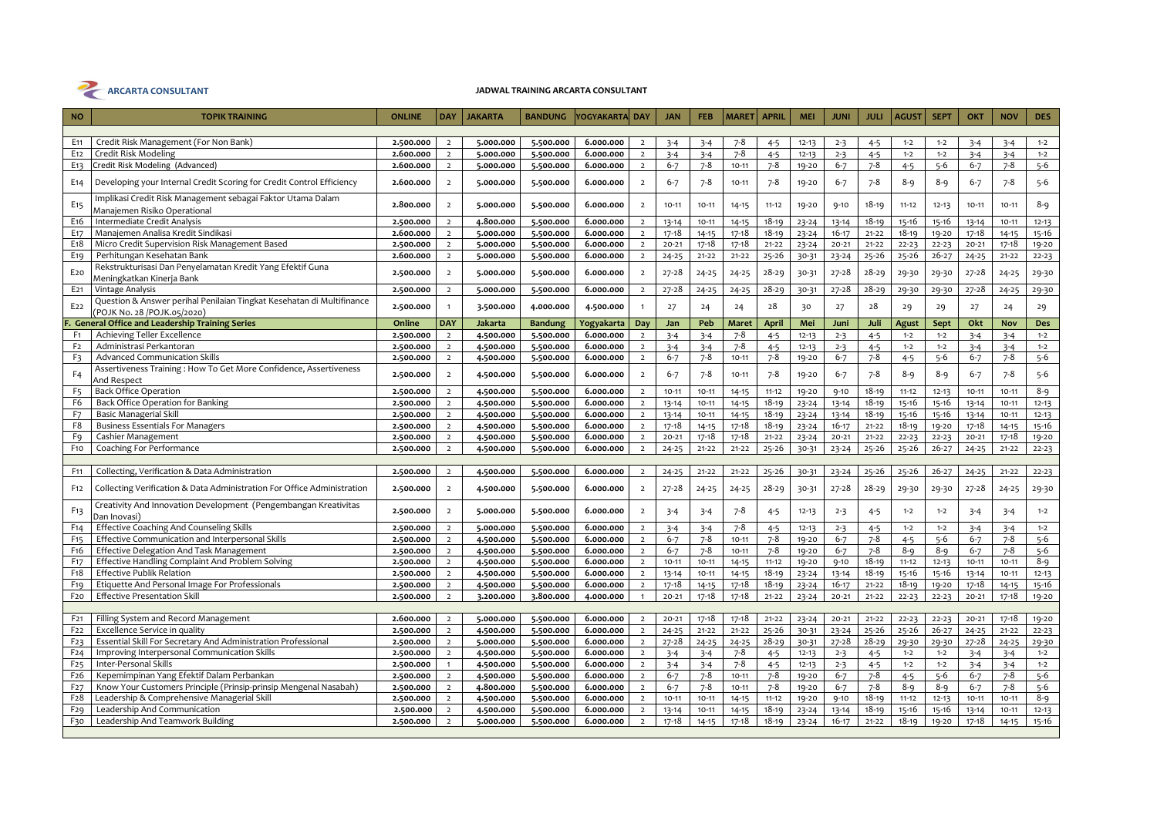

| <b>NO</b>        | <b>TOPIK TRAINING</b>                                                                               | <b>ONLINE</b> | <b>DAY</b>     | <b>JAKARTA</b> | <b>BANDUNG</b> | YOGYAKARTA DAY |                | <b>JAN</b> | <b>FEB</b> | <b>MARET</b> | <b>APRIL</b> | <b>MEI</b> | <b>JUNI</b> | <b>JULI</b> | <b>AGUST</b> | <b>SEPT</b> | OKT       | <b>NOV</b> | <b>DES</b> |
|------------------|-----------------------------------------------------------------------------------------------------|---------------|----------------|----------------|----------------|----------------|----------------|------------|------------|--------------|--------------|------------|-------------|-------------|--------------|-------------|-----------|------------|------------|
|                  |                                                                                                     |               |                |                |                |                |                |            |            |              |              |            |             |             |              |             |           |            |            |
| E <sub>11</sub>  | Credit Risk Management (For Non Bank)                                                               | 2.500.000     | $\overline{2}$ | 5.000.000      | 5.500.000      | 6.000.000      | $\overline{2}$ | $3 - 4$    | $3 - 4$    | $7 - 8$      | $4 - 5$      | $12 - 13$  | $2 - 3$     | $4 - 5$     | $1 - 2$      | $1 - 2$     | $3 - 4$   | $3 - 4$    | $1 - 2$    |
| E <sub>12</sub>  | Credit Risk Modeling                                                                                | 2.600.000     | $\overline{2}$ | 5.000.000      | 5.500.000      | 6.000.000      | $\overline{2}$ | $3 - 4$    | $3 - 4$    | $7 - 8$      | $4 - 5$      | $12 - 13$  | $2 - 3$     | $4 - 5$     | $1 - 2$      | $1 - 2$     | $3 - 4$   | $3 - 4$    | $1 - 2$    |
| E <sub>13</sub>  | Credit Risk Modeling (Advanced)                                                                     | 2.600.000     | $\overline{2}$ | 5.000.000      | 5.500.000      | 6.000.000      | $\overline{2}$ | $6 - 7$    | $7 - 8$    | $10 - 11$    | $7 - 8$      | 19-20      | $6 - 7$     | $7 - 8$     | $4 - 5$      | $5 - 6$     | $6 - 7$   | $7 - 8$    | $5 - 6$    |
| E14              | Developing your Internal Credit Scoring for Credit Control Efficiency                               | 2.600.000     | $\overline{2}$ | 5.000.000      | 5.500.000      | 6.000.000      | $\overline{2}$ | $6 - 7$    | $7 - 8$    | $10 - 11$    | $7 - 8$      | 19-20      | $6 - 7$     | $7 - 8$     | $8 - 9$      | $8 - 9$     | $6 - 7$   | $7 - 8$    | $5 - 6$    |
| E <sub>15</sub>  | Implikasi Credit Risk Management sebagai Faktor Utama Dalam<br>Manajemen Risiko Operational         | 2.800.000     | $\overline{2}$ | 5.000.000      | 5.500.000      | 6.000.000      | $\overline{2}$ | $10 - 11$  | $10 - 11$  | $14 - 15$    | $11 - 12$    | 19-20      | $9 - 10$    | $18 - 19$   | $11 - 12$    | $12 - 13$   | $10 - 11$ | $10 - 11$  | $8 - 9$    |
| E <sub>16</sub>  | Intermediate Credit Analysis                                                                        | 2.500.000     | $\overline{2}$ | 4.800.000      | 5.500.000      | 6.000.000      | $\overline{2}$ | 13-14      | $10 - 11$  | $14 - 15$    | $18 - 19$    | $23 - 24$  | $13 - 14$   | $18 - 19$   | 15-16        | 15-16       | 13-14     | $10 - 11$  | $12 - 13$  |
| E <sub>17</sub>  | Manajemen Analisa Kredit Sindikasi                                                                  | 2.600.000     | $\overline{2}$ | 5.000.000      | 5.500.000      | 6.000.000      | $\overline{2}$ | $17 - 18$  | $14 - 15$  | $17 - 18$    | $18 - 19$    | $23 - 24$  | $16 - 17$   | $21 - 22$   | $18 - 19$    | 19-20       | $17 - 18$ | $14 - 15$  | $15 - 16$  |
| E <sub>1</sub> 8 | Micro Credit Supervision Risk Management Based                                                      | 2.500.000     | $\overline{2}$ | 5.000.000      | 5.500.000      | 6.000.000      | $\overline{2}$ | $20 - 21$  | $17 - 18$  | $17 - 18$    | $21 - 22$    | $23 - 24$  | $20 - 21$   | $21 - 22$   | $22 - 23$    | $22 - 23$   | $20 - 21$ | $17 - 18$  | 19-20      |
| E <sub>19</sub>  | Perhitungan Kesehatan Bank                                                                          | 2.600.000     | $\overline{2}$ | 5.000.000      | 5.500.000      | 6.000.000      | $\overline{2}$ | $24 - 25$  | $21 - 22$  | $21 - 22$    | $25 - 26$    | 30-31      | $23 - 24$   | $25 - 26$   | $25 - 26$    | $26 - 27$   | $24 - 25$ | $21 - 22$  | $22 - 23$  |
|                  | Rekstrukturisasi Dan Penyelamatan Kredit Yang Efektif Guna                                          |               | $\overline{2}$ |                |                |                | $\overline{2}$ |            |            |              | $28 - 29$    |            |             | $28 - 29$   |              |             |           |            |            |
| E <sub>20</sub>  | Meningkatkan Kinerja Bank                                                                           | 2.500.000     |                | 5.000.000      | 5.500.000      | 6.000.000      |                | $27 - 28$  | $24 - 25$  | $24 - 25$    |              | 30-31      | $27 - 28$   |             | 29-30        | 29-30       | $27 - 28$ | $24 - 25$  | 29-30      |
| E <sub>21</sub>  | Vintage Analysis                                                                                    | 2.500.000     | $\overline{2}$ | 5.000.000      | 5.500.000      | 6.000.000      | $\overline{2}$ | $27 - 28$  | $24 - 25$  | $24 - 25$    | $28 - 29$    | 30-31      | $27 - 28$   | $28 - 29$   | 29-30        | 29-30       | $27 - 28$ | $24 - 25$  | 29-30      |
| E <sub>22</sub>  | Question & Answer perihal Penilaian Tingkat Kesehatan di Multifinance<br>(POJK No. 28/POJK.05/2020) | 2.500.000     | $\mathbf{1}$   | 3.500.000      | 4.000.000      | 4.500.000      |                | 27         | 24         | 24           | 28           | 30         | 27          | 28          | 29           | 29          | 27        | 24         | 29         |
|                  | F. General Office and Leadership Training Series                                                    | Online        | <b>DAY</b>     | <b>Jakarta</b> | <b>Bandung</b> | Yogyakarta     | Day            | Jan        | Peb        | <b>Maret</b> | <b>April</b> | Mei        | Juni        | Juli        | Agust        | Sept        | Okt       | Nov        | Des        |
| F <sub>1</sub>   | Achieving Teller Excellence                                                                         | 2.500.000     | $\overline{2}$ | 4.500.000      | 5.500.000      | 6.000.000      | $\overline{2}$ | $3 - 4$    | $3 - 4$    | $7 - 8$      | $4 - 5$      | $12 - 13$  | $2 - 3$     | $4 - 5$     | $1 - 2$      | $1 - 2$     | $3 - 4$   | $3 - 4$    | $1 - 2$    |
| F <sub>2</sub>   | Administrasi Perkantoran                                                                            | 2.500.000     | $\overline{2}$ | 4.500.000      | 5.500.000      | 6.000.000      | $\overline{2}$ | $3 - 4$    | $3 - 4$    | $7 - 8$      | $4 - 5$      | $12 - 13$  | $2 - 3$     | $4 - 5$     | $1 - 2$      | $1 - 2$     | $3 - 4$   | $3 - 4$    | $1 - 2$    |
| F3               | Advanced Communication Skills                                                                       | 2.500.000     | $\overline{2}$ | 4.500.000      | 5.500.000      | 6.000.000      | $\overline{2}$ | $6 - 7$    | $7 - 8$    | $10 - 11$    | $7 - 8$      | 19-20      | $6 - 7$     | $7 - 8$     | $4 - 5$      | $5 - 6$     | $6 - 7$   | $7 - 8$    | $5 - 6$    |
|                  | Assertiveness Training : How To Get More Confidence, Assertiveness                                  |               |                |                |                |                |                |            |            |              |              |            |             |             |              |             |           |            |            |
| F <sub>4</sub>   | And Respect                                                                                         | 2.500.000     | $\overline{2}$ | 4.500.000      | 5.500.000      | 6.000.000      | $\overline{2}$ | $6 - 7$    | $7 - 8$    | $10 - 11$    | $7 - 8$      | 19-20      | $6 - 7$     | $7 - 8$     | $8 - 9$      | $8 - 9$     | $6 - 7$   | $7 - 8$    | $5 - 6$    |
| F <sub>5</sub>   | <b>Back Office Operation</b>                                                                        | 2.500.000     | $\overline{2}$ | 4.500.000      | 5.500.000      | 6.000.000      | $\overline{2}$ | $10 - 11$  | $10 - 11$  | $14 - 15$    | $11 - 12$    | 19-20      | $9 - 10$    | $18 - 19$   | $11 - 12$    | $12 - 13$   | $10 - 11$ | $10 - 11$  | $8 - 9$    |
| F <sub>6</sub>   | Back Office Operation for Banking                                                                   | 2.500.000     | $\overline{2}$ | 4.500.000      | 5.500.000      | 6.000.000      | $\overline{2}$ | $13 - 14$  | $10 - 11$  | $14 - 15$    | $18 - 19$    | $23 - 24$  | $13 - 14$   | $18 - 19$   | $15 - 16$    | $15 - 16$   | 13-14     | $10 - 11$  | $12 - 13$  |
| F7               | <b>Basic Managerial Skill</b>                                                                       | 2.500.000     | $\overline{2}$ | 4.500.000      | 5.500.000      | 6.000.000      | $\overline{2}$ | $13 - 14$  | $10 - 11$  | $14 - 15$    | $18 - 19$    | $23 - 24$  | $13 - 14$   | $18 - 19$   | 15-16        | $15 - 16$   | $13 - 14$ | $10 - 11$  | $12 - 13$  |
| F8               | <b>Business Essentials For Managers</b>                                                             | 2.500.000     | $\overline{2}$ | 4.500.000      | 5.500.000      | 6.000.000      | $\overline{2}$ | $17 - 18$  | $14 - 15$  | $17 - 18$    | $18 - 19$    | $23 - 24$  | $16 - 17$   | $21 - 22$   | $18 - 19$    | $19 - 20$   | $17 - 18$ | $14 - 15$  | $15 - 16$  |
| F9               | Cashier Management                                                                                  | 2.500.000     | $\overline{2}$ | 4.500.000      | 5.500.000      | 6.000.000      | $\overline{2}$ | $20 - 21$  | $17 - 18$  | $17 - 18$    | $21 - 22$    | $23 - 24$  | $20 - 21$   | $21 - 22$   | $22 - 23$    | $22 - 23$   | $20 - 21$ | $17 - 18$  | 19-20      |
| F <sub>10</sub>  | Coaching For Performance                                                                            | 2.500.000     | $\overline{2}$ | 4.500.000      | 5.500.000      | 6.000.000      | $\overline{2}$ | $24 - 25$  | $21 - 22$  | $21 - 22$    | $25 - 26$    | 30-31      | $23 - 24$   | $25 - 26$   | $25 - 26$    | $26 - 27$   | $24 - 25$ | $21 - 22$  | $22 - 23$  |
|                  |                                                                                                     |               |                |                |                |                |                |            |            |              |              |            |             |             |              |             |           |            |            |
| F <sub>11</sub>  | Collecting, Verification & Data Administration                                                      | 2.500.000     | $\overline{2}$ | 4.500.000      | 5.500.000      | 6.000.000      | $\overline{2}$ | $24 - 25$  | $21 - 22$  | $21 - 22$    | 25-26        | 30-31      | $23 - 24$   | $25 - 26$   | $25 - 26$    | $26 - 27$   | $24 - 25$ | $21 - 22$  | $22 - 23$  |
| F <sub>12</sub>  | Collecting Verification & Data Administration For Office Administration                             | 2.500.000     | $\overline{2}$ | 4.500.000      | 5.500.000      | 6.000.000      | $\overline{2}$ | $27 - 28$  | $24 - 25$  | $24 - 25$    | $28 - 29$    | 30-31      | $27 - 28$   | $28 - 29$   | 29-30        | 29-30       | $27 - 28$ | $24 - 25$  | 29-30      |
| F <sub>13</sub>  | Creativity And Innovation Development (Pengembangan Kreativitas<br>Dan Inovasi)                     | 2.500.000     | $\overline{2}$ | 5.000.000      | 5.500.000      | 6.000.000      | $\overline{2}$ | $3 - 4$    | $3 - 4$    | $7 - 8$      | $4 - 5$      | $12 - 13$  | $2 - 3$     | $4 - 5$     | $1 - 2$      | $1 - 2$     | $3 - 4$   | $3 - 4$    | $1 - 2$    |
| F <sub>14</sub>  | Effective Coaching And Counseling Skills                                                            | 2.500.000     | $\overline{2}$ | 5.000.000      | 5.500.000      | 6.000.000      | $\overline{2}$ | $3 - 4$    | $3 - 4$    | $7 - 8$      | $4 - 5$      | $12 - 13$  | $2 - 3$     | $4 - 5$     | $1 - 2$      | $1 - 2$     | $3 - 4$   | $3 - 4$    | $1 - 2$    |
| F <sub>15</sub>  | Effective Communication and Interpersonal Skills                                                    | 2.500.000     | $\overline{2}$ | 4.500.000      | 5.500.000      | 6.000.000      | $\overline{2}$ | $6 - 7$    | $7 - 8$    | $10 - 11$    | $7 - 8$      | $19 - 20$  | $6 - 7$     | $7 - 8$     | $4 - 5$      | $5 - 6$     | $6 - 7$   | $7 - 8$    | $5-6$      |
| F <sub>16</sub>  | Effective Delegation And Task Management                                                            | 2.500.000     | $\overline{2}$ | 4.500.000      | 5.500.000      | 6.000.000      | $\overline{2}$ | $6 - 7$    | $7 - 8$    | $10 - 11$    | $7 - 8$      | 19-20      | $6 - 7$     | $7 - 8$     | $8 - 9$      | $8 - 9$     | $6 - 7$   | $7 - 8$    | $5 - 6$    |
| F <sub>17</sub>  | Effective Handling Complaint And Problem Solving                                                    | 2.500.000     | $\overline{2}$ | 4.500.000      | 5.500.000      | 6.000.000      | $\overline{2}$ | $10 - 11$  | $10 - 11$  | $14 - 15$    | $11 - 12$    | 19-20      | $9 - 10$    | $18 - 19$   | $11 - 12$    | $12 - 13$   | $10 - 11$ | $10 - 11$  | $8 - 9$    |
| F <sub>1</sub> 8 | <b>Effective Publik Relation</b>                                                                    | 2.500.000     | $\overline{2}$ | 4.500.000      | 5.500.000      | 6.000.000      | $\overline{2}$ | $13 - 14$  | $10 - 11$  | $14 - 15$    | $18 - 19$    | $23 - 24$  | $13 - 14$   | $18 - 19$   | $15 - 16$    | 15-16       | $13 - 14$ | $10 - 11$  | $12 - 13$  |
| F <sub>19</sub>  | Etiquette And Personal Image For Professionals                                                      | 2.500.000     | $\overline{2}$ | 4.500.000      | 5.500.000      | 6.000.000      | $\overline{2}$ | $17 - 18$  | $14 - 15$  | 17-18        | $18 - 19$    | $23 - 24$  | $16 - 17$   | $21 - 22$   | $18 - 19$    | 19-20       | $17 - 18$ | $14 - 15$  | $15 - 16$  |
| F <sub>20</sub>  | <b>Effective Presentation Skill</b>                                                                 | 2.500.000     | $\overline{2}$ | 3.200.000      | 3.800.000      | 4.000.000      | $\overline{1}$ | $20 - 21$  | $17 - 18$  | $17 - 18$    | $21 - 22$    | $23 - 24$  | $20 - 21$   | $21 - 22$   | $22 - 23$    | $22 - 23$   | $20 - 21$ | $17 - 18$  | $19 - 20$  |
|                  |                                                                                                     |               |                |                |                |                |                |            |            |              |              |            |             |             |              |             |           |            |            |
| F <sub>21</sub>  | Filling System and Record Management                                                                | 2.600.000     | $\overline{2}$ | 5.000.000      | 5.500.000      | 6.000.000      | $\overline{2}$ | $20 - 21$  | $17 - 18$  | $17 - 18$    | $21 - 22$    | $23 - 24$  | $20 - 21$   | $21 - 22$   | $22 - 23$    | $22 - 23$   | $20 - 21$ | $17 - 18$  | 19-20      |
| F <sub>22</sub>  | Excellence Service in quality                                                                       | 2.500.000     | $\overline{2}$ | 4.500.000      | 5.500.000      | 6.000.000      | $\overline{2}$ | $24 - 25$  | $21 - 22$  | $21 - 22$    | 25-26        | 30-31      | $23 - 24$   | $25 - 26$   | 25-26        | $26 - 27$   | $24 - 25$ | $21 - 22$  | $22 - 23$  |
| F <sub>2</sub> 3 | Essential Skill For Secretary And Administration Professional                                       | 2.500.000     | $\overline{2}$ | 5.000.000      | 5.500.000      | 6.000.000      | $\overline{2}$ | $27 - 28$  | $24 - 25$  | $24 - 25$    | $28 - 29$    | 30-31      | $27 - 28$   | $28 - 29$   | 29-30        | 29-30       | $27 - 28$ | $24 - 25$  | 29-30      |
| F <sub>24</sub>  | Improving Interpersonal Communication Skills                                                        | 2.500.000     | $\overline{2}$ | 4.500.000      | 5.500.000      | 6.000.000      | $\overline{2}$ | $3 - 4$    | $3 - 4$    | $7 - 8$      | $4 - 5$      | $12 - 13$  | $2 - 3$     | $4 - 5$     | $1 - 2$      | $1 - 2$     | $3 - 4$   | $3 - 4$    | $1 - 2$    |
| F <sub>25</sub>  | Inter-Personal Skills                                                                               | 2.500.000     | 1              | 4.500.000      | 5.500.000      | 6.000.000      | $\overline{2}$ | $3 - 4$    | $3 - 4$    | $7 - 8$      | $4 - 5$      | $12 - 13$  | $2 - 3$     | $4 - 5$     | $1 - 2$      | $1 - 2$     | $3 - 4$   | $3 - 4$    | $1 - 2$    |
| F <sub>26</sub>  | Kepemimpinan Yang Efektif Dalam Perbankan                                                           | 2.500.000     | $\overline{2}$ | 4.500.000      | 5.500.000      | 6.000.000      | $\overline{2}$ | $6 - 7$    | $7 - 8$    | $10 - 11$    | $7 - 8$      | 19-20      | $6 - 7$     | $7 - 8$     | $4 - 5$      | $5-6$       | $6 - 7$   | $7 - 8$    | $5 - 6$    |
| F <sub>27</sub>  | Know Your Customers Principle (Prinsip-prinsip Mengenal Nasabah)                                    | 2.500.000     | $\overline{2}$ | 4.800.000      | 5.500.000      | 6.000.000      | $\overline{2}$ | $6 - 7$    | $7 - 8$    | $10 - 11$    | $7 - 8$      | 19-20      | $6 - 7$     | $7 - 8$     | $8 - 9$      | $8 - 9$     | $6 - 7$   | $7 - 8$    | $5-6$      |
| F <sub>28</sub>  | Leadership & Comprehensive Managerial Skill                                                         | 2.500.000     | $\overline{2}$ | 4.500.000      | 5.500.000      | 6.000.000      | $\overline{2}$ | $10 - 11$  | $10 - 11$  | $14 - 15$    | $11 - 12$    | 19-20      | $9 - 10$    | $18 - 19$   | $11 - 12$    | $12 - 13$   | $10 - 11$ | $10 - 11$  | $8 - 9$    |
| F <sub>29</sub>  | Leadership And Communication                                                                        | 2.500.000     | $\overline{2}$ | 4.500.000      | 5.500.000      | 6.000.000      | $\overline{2}$ | 13-14      | $10 - 11$  | $14 - 15$    | $18 - 19$    | $23 - 24$  | $13 - 14$   | $18 - 19$   | $15 - 16$    | 15-16       | $13 - 14$ | $10 - 11$  | $12 - 13$  |
| F30              | Leadership And Teamwork Building                                                                    | 2.500.000     | $\overline{2}$ | 5.000.000      | 5.500.000      | 6.000.000      | $\overline{2}$ | $17 - 18$  | $14 - 15$  | 17-18        | $18 - 19$    | $23 - 24$  | $16 - 17$   | $21 - 22$   | $18 - 19$    | 19-20       | $17 - 18$ | $14 - 15$  | $15 - 16$  |
|                  |                                                                                                     |               |                |                |                |                |                |            |            |              |              |            |             |             |              |             |           |            |            |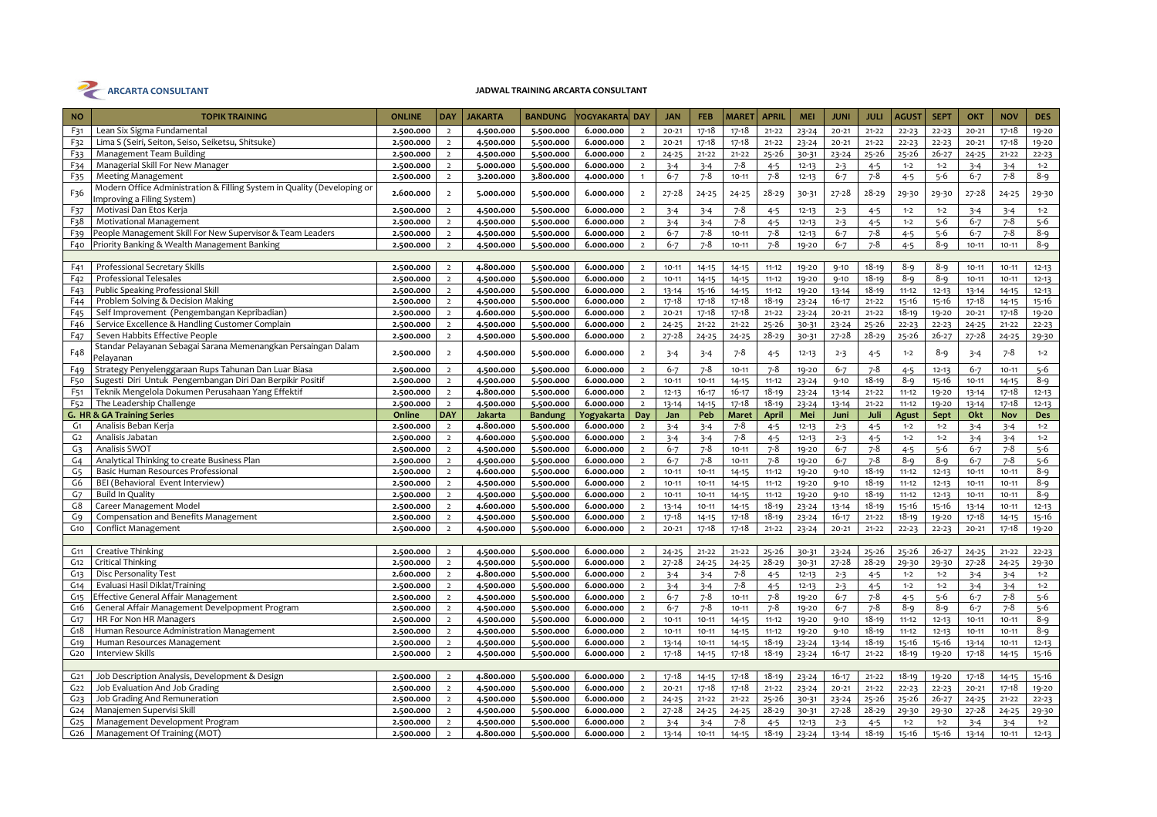

| <b>NO</b>                          | <b>TOPIK TRAINING</b>                                                      | <b>ONLINE</b> | <b>DAY</b>                       | <b>JAKARTA</b>         | <b>BANDUNG</b> | /OGYAKARTA DAY         |                                  | <b>JAN</b>             | <b>FEB</b>         | <b>MARET</b> | <b>APRIL</b>         | <b>MEI</b> | <b>JUNI</b> | <b>JULI</b>          | AGUS1     | <b>SEPT</b>        | OKT       | <b>NOV</b>         | <b>DES</b>       |
|------------------------------------|----------------------------------------------------------------------------|---------------|----------------------------------|------------------------|----------------|------------------------|----------------------------------|------------------------|--------------------|--------------|----------------------|------------|-------------|----------------------|-----------|--------------------|-----------|--------------------|------------------|
| F31                                | Lean Six Sigma Fundamental                                                 | 2.500.000     | $\overline{2}$                   | 4.500.000              | 5.500.000      | 6.000.000              | $\overline{2}$                   | $20 - 21$              | $17 - 18$          | $17 - 18$    | $21 - 22$            | $23 - 24$  | $20 - 21$   | $21 - 22$            | $22 - 23$ | $22 - 23$          | $20 - 21$ | $17 - 18$          | 19-20            |
| F32                                | Lima S (Seiri, Seiton, Seiso, Seiketsu, Shitsuke)                          | 2.500.000     | $\overline{2}$                   | 4.500.000              | 5.500.000      | 6.000.000              | $\overline{2}$                   | $20 - 21$              | 17-18              | $17 - 18$    | $21 - 22$            | $23 - 24$  | $20 - 21$   | $21 - 22$            | $22 - 23$ | $22 - 23$          | $20 - 21$ | $17 - 18$          | 19-20            |
| F33                                | Management Team Building                                                   | 2.500.000     | $\overline{2}$                   | 4.500.000              | 5.500.000      | 6.000.000              | $\overline{2}$                   | $24 - 25$              | $21 - 22$          | $21 - 22$    | $25 - 26$            | 30-31      | $23 - 24$   | $25 - 26$            | $25 - 26$ | $26 - 27$          | $24 - 25$ | $21 - 22$          | $22 - 23$        |
| F34                                | Managerial Skill For New Manager                                           | 2.500.000     | $\overline{2}$                   | 5.000.000              | 5.500.000      | 6.000.000              | $\overline{2}$                   | $3 - 4$                | $3 - 4$            | $7 - 8$      | $4 - 5$              | $12 - 13$  | $2 - 3$     | $4 - 5$              | $1 - 2$   | $1 - 2$            | $3 - 4$   | $3 - 4$            | $1 - 2$          |
| F <sub>35</sub>                    | <b>Meeting Management</b>                                                  | 2.500.000     | $\overline{2}$                   | 3.200.000              | 3.800.000      | 4.000.000              | $\overline{1}$                   | $6 - 7$                | $7 - 8$            | $10 - 11$    | $7 - 8$              | $12 - 13$  | $6 - 7$     | $7 - 8$              | $4 - 5$   | $5 - 6$            | $6 - 7$   | $7 - 8$            | $8 - 9$          |
| F36                                | Modern Office Administration & Filling System in Quality (Developing or    | 2.600.000     | $\overline{2}$                   | 5.000.000              | 5.500.000      | 6.000.000              | $\overline{2}$                   | $27 - 28$              | $24 - 25$          | $24 - 25$    | $28 - 29$            | 30-31      | $27 - 28$   | 28-29                | 29-30     | 29-30              | $27 - 28$ | $24 - 25$          | 29-30            |
| F37                                | mproving a Filing System)<br>Motivasi Dan Etos Kerja                       | 2.500.000     | $\overline{2}$                   | 4.500.000              | 5.500.000      | 6.000.000              | $\overline{2}$                   |                        |                    | $7 - 8$      | $4 - 5$              | $12 - 13$  |             |                      | $1 - 2$   | $1 - 2$            |           |                    | $1 - 2$          |
|                                    |                                                                            |               |                                  |                        |                |                        | $\overline{2}$                   | $3 - 4$                | $3 - 4$            |              |                      |            | $2 - 3$     | $4 - 5$              | $1 - 2$   |                    | $3 - 4$   | $3 - 4$<br>$7 - 8$ |                  |
| F38                                | Motivational Management                                                    | 2.500.000     | $\overline{2}$                   | 4.500.000              | 5.500.000      | 6.000.000              |                                  | $3 - 4$                | $3 - 4$            | $7 - 8$      | $4 - 5$              | $12 - 13$  | $2 - 3$     | $4 - 5$              |           | $5 - 6$            | $6 - 7$   | $7 - 8$            | $5 - 6$          |
| F39                                | People Management Skill For New Supervisor & Team Leaders                  | 2.500.000     | $\overline{2}$                   | 4.500.000              | 5.500.000      | 6.000.000              | $\overline{2}$                   | $6 - 7$                | $7 - 8$<br>$7 - 8$ | $10 - 11$    | $7 - 8$<br>$7 - 8$   | $12 - 13$  | $6 - 7$     | $7 - 8$<br>$7 - 8$   | $4 - 5$   | $5 - 6$            | $6 - 7$   |                    | $8 - 9$          |
| F40                                | Priority Banking & Wealth Management Banking                               | 2.500.000     | $\overline{2}$                   | 4.500.000              | 5.500.000      | 6.000.000              | $\overline{2}$                   | $6 - 7$                |                    | $10 - 11$    |                      | 19-20      | $6 - 7$     |                      | $4 - 5$   | $8 - 9$            | $10 - 11$ | $10 - 11$          | $8 - 9$          |
|                                    | Professional Secretary Skills                                              |               |                                  |                        |                | 6.000.000              |                                  |                        |                    |              |                      |            |             | $18 - 19$            | $8 - 9$   |                    |           | $10 - 11$          |                  |
| F41                                | <b>Professional Telesales</b>                                              | 2.500.000     | $\overline{2}$<br>$\overline{2}$ | 4.800.000              | 5.500.000      | 6.000.000              | $\overline{2}$<br>$\overline{2}$ | $10 - 11$<br>$10 - 11$ | $14 - 15$          | $14 - 15$    | $11 - 12$            | 19-20      | $9 - 10$    | $18 - 19$            | $8 - 9$   | $8 - 9$<br>$8 - 9$ | $10 - 11$ |                    | $12 - 13$        |
| F42                                | <b>Public Speaking Professional Skill</b>                                  | 2.500.000     |                                  | 4.500.000              | 5.500.000      |                        |                                  |                        | $14 - 15$          | $14 - 15$    | $11 - 12$            | 19-20      | $9 - 10$    | $18 - 19$            |           |                    | $10 - 11$ | $10 - 11$          | $12 - 13$        |
| F43                                |                                                                            | 2.500.000     | $\overline{2}$<br>$\overline{2}$ | 4.500.000              | 5.500.000      | 6.000.000<br>6.000.000 | $\overline{2}$<br>$\overline{2}$ | $13 - 14$              | 15-16              | $14 - 15$    | $11 - 12$            | 19-20      | $13 - 14$   |                      | $11 - 12$ | $12 - 13$          | $13 - 14$ | $14 - 15$          | $12 - 13$        |
| F44                                | Problem Solving & Decision Making                                          | 2.500.000     |                                  | 4.500.000              | 5.500.000      |                        |                                  | $17 - 18$              | 17-18              | $17 - 18$    | $18 - 19$            | $23 - 24$  | $16 - 17$   | $21 - 22$            | 15-16     | 15-16              | $17 - 18$ | $14 - 15$          | 15-16            |
| F <sub>45</sub>                    | Self Improvement (Pengembangan Kepribadian)                                | 2.500.000     | $\overline{2}$                   | 4.600.000              | 5.500.000      | 6.000.000              | $\overline{2}$                   | $20 - 21$              | $17 - 18$          | $17 - 18$    | $21 - 22$            | $23 - 24$  | $20 - 21$   | $21 - 22$            | $18 - 19$ | 19-20              | $20 - 21$ | $17 - 18$          | 19-20            |
| F46                                | Service Excellence & Handling Customer Complain                            | 2.500.000     | $\overline{2}$                   | 4.500.000              | 5.500.000      | 6.000.000              | $\overline{2}$                   | $24 - 25$              | $21 - 22$          | $21 - 22$    | $25 - 26$            | 30-31      | $23 - 24$   | 25-26                | $22 - 23$ | $22 - 23$          | $24 - 25$ | $21 - 22$          | $22 - 23$        |
| F47                                | Seven Habbits Effective People                                             | 2.500.000     | $\overline{2}$                   | 4.500.000              | 5.500.000      | 6.000.000              | $\overline{2}$                   | $27 - 28$              | $24 - 25$          | $24 - 25$    | $28 - 29$            | 30-31      | $27 - 28$   | $28 - 29$            | $25 - 26$ | $26 - 27$          | $27 - 28$ | $24 - 25$          | 29-30            |
| F48                                | Standar Pelayanan Sebagai Sarana Memenangkan Persaingan Dalam<br>Pelayanan | 2.500.000     | $\overline{2}$                   | 4.500.000              | 5.500.000      | 6.000.000              | $\overline{2}$                   | $3 - 4$                | $3 - 4$            | $7 - 8$      | $4 - 5$              | $12 - 13$  | $2 - 3$     | $4 - 5$              | $1 - 2$   | 8-9                | $3 - 4$   | $7 - 8$            | $1 - 2$          |
| F49                                | Strategy Penyelenggaraan Rups Tahunan Dan Luar Biasa                       | 2.500.000     | $\overline{2}$                   | 4.500.000              | 5.500.000      | 6.000.000              | $\overline{2}$                   | $6 - 7$                | $7 - 8$            | $10 - 11$    | $7 - 8$              | 19-20      | $6 - 7$     | $7 - 8$              | $4 - 5$   | $12 - 13$          | $6 - 7$   | $10 - 11$          | $5 - 6$          |
| F50                                | Sugesti Diri Untuk Pengembangan Diri Dan Berpikir Positif                  | 2.500.000     | $\overline{2}$                   | 4.500.000              | 5.500.000      | 6.000.000              | $\overline{2}$                   | $10 - 11$              | $10 - 11$          | $14 - 15$    | $11 - 12$            | $23 - 24$  | $9 - 10$    | $18 - 19$            | $8 - 9$   | 15-16              | $10 - 11$ | $14 - 15$          | $8 - 9$          |
| F <sub>51</sub>                    | Teknik Mengelola Dokumen Perusahaan Yang Effektif                          | 2.500.000     | $\overline{2}$                   | 4.800.000              | 5.500.000      | 6.000.000              | $\overline{2}$                   | $12 - 13$              | $16 - 17$          | $16 - 17$    | $18 - 19$            | $23 - 24$  | $13 - 14$   | $21 - 22$            | $11 - 12$ | 19-20              | $13 - 14$ | $17 - 18$          | $12 - 13$        |
| F <sub>52</sub>                    | The Leadership Challenge                                                   | 2.500.000     | $\overline{2}$                   | 4.500.000              | 5.500.000      | 6.000.000              | $\overline{2}$                   | $13 - 14$              | $14 - 15$          | $17 - 18$    | $18 - 19$            | $23 - 24$  | $13 - 14$   | $21 - 22$            | $11 - 12$ | 19-20              | 13-14     | $17 - 18$          | $12 - 13$        |
|                                    | G. HR & GA Training Series                                                 | Online        | <b>DAY</b>                       | <b>Jakarta</b>         | <b>Bandung</b> | Yogyakarta             | Day                              | Jan                    | Peb                | <b>Maret</b> | <b>April</b>         | Mei        | Juni        | Juli                 | Agust     | Sept               | Okt       | Nov                | Des              |
| G <sub>1</sub>                     | Analisis Beban Kerja                                                       | 2.500.000     | $\overline{2}$                   | 4.800.000              | 5.500.000      | 6.000.000              | $\overline{2}$                   | $3 - 4$                | $3 - 4$            | $7 - 8$      | $4 - 5$              | $12 - 13$  | $2 - 3$     | $4 - 5$              | $1 - 2$   | $1 - 2$            | $3 - 4$   | $3 - 4$            | $1 - 2$          |
| G <sub>2</sub>                     | Analisis Jabatan                                                           | 2.500.000     | $\overline{2}$                   | 4.600.000              | 5.500.000      | 6.000.000              | $\overline{2}$                   | $3 - 4$                | $3 - 4$            | $7 - 8$      | $4 - 5$              | $12 - 13$  | $2 - 3$     | $4 - 5$              | $1 - 2$   | $1 - 2$            | $3 - 4$   | $3 - 4$            | $1 - 2$          |
| G <sub>3</sub>                     | Analisis SWOT                                                              | 2.500.000     | $\overline{2}$                   | 4.500.000              | 5.500.000      | 6.000.000              | $\overline{2}$                   | $6 - 7$                | $7 - 8$            | $10 - 11$    | $7 - 8$              | 19-20      | $6 - 7$     | $7 - 8$              | $4 - 5$   | $5 - 6$            | $6 - 7$   | $7 - 8$            | $5 - 6$          |
| G <sub>4</sub>                     | Analytical Thinking to create Business Plan                                | 2.500.000     | $\overline{2}$                   | 4.500.000              | 5.500.000      | 6.000.000              | $\overline{2}$                   | $6 - 7$                | $7 - 8$            | $10 - 11$    | $7 - 8$              | 19-20      | $6 - 7$     | $7 - 8$              | $8 - 9$   | $8 - 9$            | $6 - 7$   | $7 - 8$            | $5 - 6$          |
| G <sub>5</sub>                     | Basic Human Resources Professional                                         | 2.500.000     | $\overline{2}$                   | 4.600.000              | 5.500.000      | 6.000.000              | $\overline{2}$                   | $10 - 11$              | $10 - 11$          | $14 - 15$    | $11 - 12$            | 19-20      | $9 - 10$    | $18 - 19$            | $11 - 12$ | $12 - 13$          | $10 - 11$ | $10 - 11$          | $8 - 9$          |
| G6                                 | BEI (Behavioral Event Interview)                                           | 2.500.000     | $\overline{2}$                   | 4.500.000              | 5.500.000      | 6.000.000              | $\overline{2}$                   | $10 - 11$              | $10 - 11$          | $14 - 15$    | $11 - 12$            | 19-20      | $9 - 10$    | $18 - 19$            | $11 - 12$ | $12 - 13$          | $10 - 11$ | $10 - 11$          | $8 - 9$          |
| G <sub>7</sub>                     | <b>Build In Quality</b>                                                    | 2.500.000     | $\overline{2}$                   | 4.500.000              | 5.500.000      | 6.000.000              | $\overline{2}$                   | $10 - 11$              | $10 - 11$          | $14 - 15$    | $11 - 12$            | 19-20      | $9 - 10$    | $18 - 19$            | $11 - 12$ | $12 - 13$          | $10 - 11$ | $10 - 11$          | $8 - 9$          |
| G8                                 | Career Management Model                                                    | 2.500.000     | $\overline{2}$                   | 4.600.000              | 5.500.000      | 6.000.000              | $\overline{2}$                   | $13 - 14$              | $10 - 11$          | $14 - 15$    | $18 - 19$            | $23 - 24$  | $13 - 14$   | $18 - 19$            | 15-16     | 15-16              | $13 - 14$ | $10 - 11$          | $12 - 13$        |
| G9                                 | Compensation and Benefits Management                                       | 2.500.000     | $\overline{2}$                   | 4.500.000              | 5.500.000      | 6.000.000              | $\overline{2}$                   | $17 - 18$              | 14-15              | 17-18        | $18 - 19$            | $23 - 24$  | $16 - 17$   | $21 - 22$            | $18 - 19$ | 19-20              | $17 - 18$ | $14 - 15$          | 15-16            |
| G10                                | Conflict Management                                                        | 2.500.000     | $\overline{2}$                   | 4.500.000              | 5.500.000      | 6.000.000              | $\overline{2}$                   | $20 - 21$              | $17 - 18$          | $17 - 18$    | $21 - 22$            | $23 - 24$  | $20 - 21$   | $21 - 22$            | $22 - 23$ | $22 - 23$          | $20 - 21$ | $17 - 18$          | 19-20            |
|                                    |                                                                            |               |                                  |                        |                |                        |                                  |                        |                    |              |                      |            |             |                      |           |                    |           |                    |                  |
| G11                                | Creative Thinking                                                          | 2.500.000     | $\overline{2}$                   | 4.500.000              | 5.500.000      | 6.000.000              | $\overline{2}$                   | $24 - 25$              | $21 - 22$          | $21 - 22$    | $25 - 26$            | 30-31      | $23 - 24$   | $25 - 26$            | $25 - 26$ | $26 - 27$          | $24 - 25$ | $21 - 22$          | $22 - 23$        |
| G <sub>12</sub>                    | Critical Thinking                                                          | 2.500.000     | $\overline{2}$                   | 4.500.000              | 5.500.000      | 6.000.000              | $\overline{2}$                   | $27 - 28$              | $24 - 25$          | $24 - 25$    | $28 - 29$            | 30-31      | $27 - 28$   | $28 - 29$            | 29-30     | 29-30              | $27 - 28$ | $24 - 25$          | 29-30            |
| G <sub>13</sub>                    | Disc Personality Test                                                      | 2.600.000     | $\overline{2}$                   | 4.800.000              | 5.500.000      | 6.000.000              | $\overline{2}$                   | $3 - 4$                | $3 - 4$            | 7-8          | $4 - 5$              | $12 - 13$  | $2 - 3$     | $4 - 5$              | $1 - 2$   | $1 - 2$            | $3 - 4$   | $3 - 4$            | $1 - 2$          |
| G <sub>14</sub>                    | Evaluasi Hasil Diklat/Training                                             | 2.500.000     | $\overline{2}$                   | 4.500.000              | 5.500.000      | 6.000.000              | $\overline{2}$                   | $3 - 4$                | $3 - 4$            | $7 - 8$      | $4 - 5$              | $12 - 13$  | $2 - 3$     | $4 - 5$              | $1 - 2$   | $1 - 2$            | $3 - 4$   | $3 - 4$            | $1 - 2$          |
| G <sub>15</sub>                    | Effective General Affair Management                                        | 2.500.000     | $\overline{2}$                   | 4.500.000              | 5.500.000      | 6.000.000              | $\overline{2}$                   | $6 - 7$                | $7 - 8$            | $10 - 11$    | $7 - 8$              | 19-20      | $6 - 7$     | $7 - 8$              | $4 - 5$   | $5 - 6$            | $6 - 7$   | $7 - 8$            | $5 - 6$          |
| G <sub>16</sub>                    | General Affair Management Develpopment Program                             | 2.500.000     | $\overline{2}$                   | 4.500.000              | 5.500.000      | 6.000.000              | $\overline{2}$                   | $6 - 7$                | $7 - 8$            | $10 - 11$    | $7 - 8$              | 19-20      | $6 - 7$     | $7 - 8$              | $8 - 9$   | $8 - 9$            | $6 - 7$   | $7 - 8$            | $5-6$            |
| G <sub>17</sub>                    | HR For Non HR Managers                                                     | 2.500.000     | $\overline{2}$                   | 4.500.000              | 5.500.000      | 6.000.000              | $\overline{2}$                   | $10 - 11$              | $10 - 11$          | $14 - 15$    | $11 - 12$            | 19-20      | $9 - 10$    | $18 - 19$            | $11 - 12$ | $12 - 13$          | $10 - 11$ | $10 - 11$          | $8 - 9$          |
| G <sub>18</sub>                    | Human Resource Administration Management                                   | 2.500.000     | $\overline{2}$                   | 4.500.000              | 5.500.000      | 6.000.000              | $\overline{2}$                   | $10 - 11$              | $10 - 11$          | $14 - 15$    | $11 - 12$            | 19-20      | $9 - 10$    | $18 - 19$            | $11 - 12$ | $12 - 13$          | $10 - 11$ | $10 - 11$          | $8 - 9$          |
| G19                                | Human Resources Management                                                 | 2.500.000     | $\overline{2}$                   | 4.500.000              | 5.500.000      | 6.000.000              | $\overline{2}$                   | $13 - 14$              | $10 - 11$          | $14 - 15$    | $18 - 19$            | $23 - 24$  | $13 - 14$   | $18 - 19$            | 15-16     | 15-16              | $13 - 14$ | $10 - 11$          | $12 - 13$        |
| G20                                | <b>Interview Skills</b>                                                    | 2.500.000     | $\overline{2}$                   | 4.500.000              | 5.500.000      | 6.000.000              | $\overline{2}$                   | $17 - 18$              | $14 - 15$          | $17 - 18$    | $18 - 19$            | $23 - 24$  | $16 - 17$   | $21 - 22$            | $18 - 19$ | 19-20              | $17 - 18$ | $14 - 15$          | 15-16            |
|                                    |                                                                            |               |                                  |                        |                |                        |                                  |                        |                    |              |                      |            |             |                      |           |                    |           |                    |                  |
| G <sub>21</sub>                    | Job Description Analysis, Development & Design                             | 2.500.000     | $\overline{2}$                   | 4.800.000              | 5.500.000      | 6.000.000              | $\overline{2}$                   | $17 - 18$              | $14 - 15$          | 17-18        | $18 - 19$            | $23 - 24$  | $16 - 17$   | $21 - 22$            | $18 - 19$ | $19 - 20$          | $17 - 18$ | $14 - 15$          | $15 - 16$        |
| G22                                | Job Evaluation And Job Grading                                             | 2.500.000     | $\overline{2}$<br>$\overline{2}$ | 4.500.000              | 5.500.000      | 6.000.000<br>6.000.000 | $\overline{2}$                   | $20 - 21$              | $17 - 18$          | 17-18        | $21 - 22$            | $23 - 24$  | $20 - 21$   | $21 - 22$            | $22 - 23$ | $22 - 23$          | $20 - 21$ | $17 - 18$          | 19-20            |
| G <sub>23</sub>                    | Job Grading And Remuneration                                               | 2.500.000     | $\overline{2}$                   | 4.500.000              | 5.500.000      |                        | $\overline{2}$<br>$\overline{2}$ | $24 - 25$              | $21 - 22$          | $21 - 22$    | $25 - 26$            | 30-31      | $23 - 24$   | $25 - 26$            | $25 - 26$ | $26 - 27$          | $24 - 25$ | $21 - 22$          | $22 - 23$        |
| G <sub>24</sub>                    | Manajemen Supervisi Skill<br>Management Development Program                | 2.500.000     |                                  | 4.500.000              | 5.500.000      | 6.000.000              |                                  | 27-28                  | $24 - 25$          | $24 - 25$    | $28 - 29$            | 30-31      | $27 - 28$   | $28 - 29$            | 29-30     | 29-30              | $27 - 28$ | $24 - 25$          | 29-30<br>$1 - 2$ |
| G <sub>25</sub><br>G <sub>26</sub> | Management Of Training (MOT)                                               | 2.500.000     | $\overline{2}$<br>$\overline{2}$ | 4.500.000<br>4.800.000 | 5.500.000      | 6.000.000<br>6.000.000 | $\overline{2}$<br>$\overline{2}$ | $3 - 4$                | $3 - 4$            | $7 - 8$      | $4 - 5$<br>$18 - 19$ | $12 - 13$  | $2 - 3$     | $4 - 5$<br>$18 - 19$ | $1 - 2$   | $1 - 2$            | $3 - 4$   | $3 - 4$            |                  |
|                                    |                                                                            | 2.500.000     |                                  |                        | 5.500.000      |                        |                                  | $13 - 14$              | $10 - 11$          | $14 - 15$    |                      | $23 - 24$  | $13 - 14$   |                      | $15 - 16$ | $15 - 16$          | $13 - 14$ | $10 - 11$          | $12 - 13$        |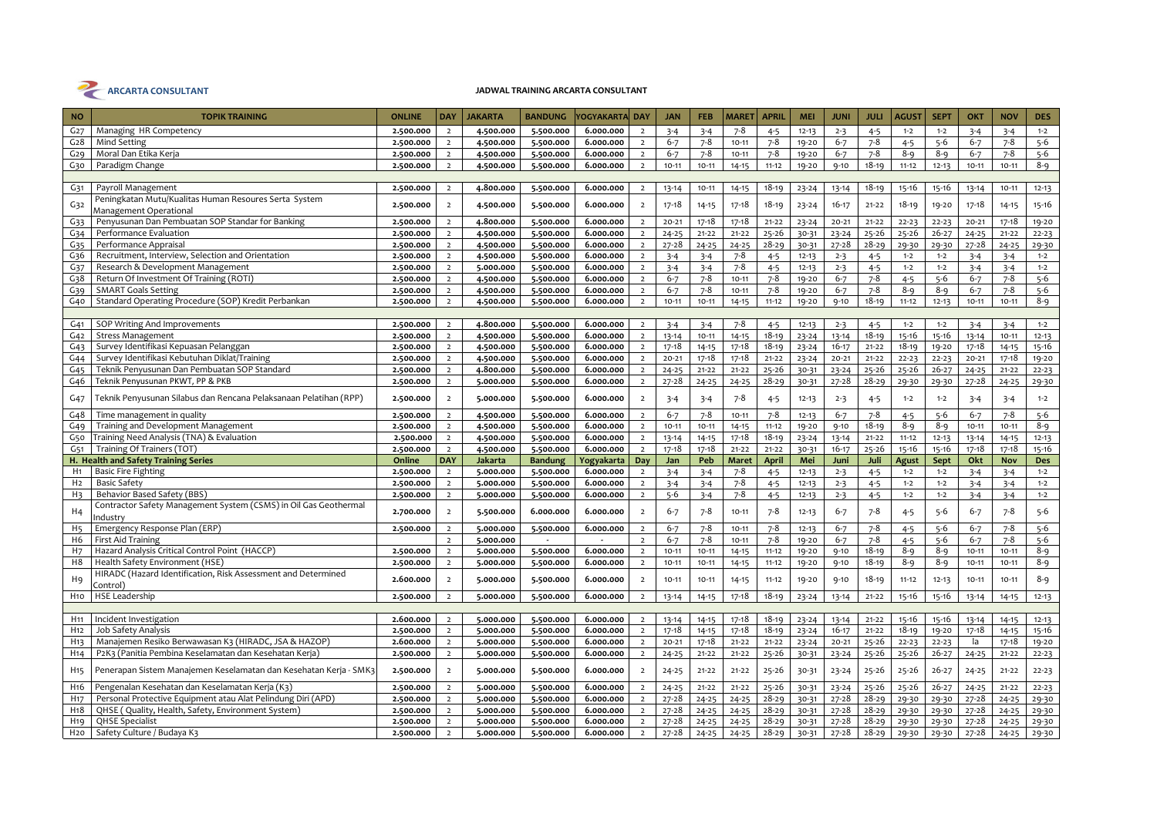

| <b>NO</b>        | <b>TOPIK TRAINING</b>                                                       | <b>ONLINE</b> | <b>DAY</b>     | <b>JAKARTA</b> | <b>BANDUNG</b>           | Yogyakarta  Day |                | <b>JAN</b> | <b>FEB</b> | <b>MARET</b> | <b>APRIL</b> | <b>MEI</b> | <b>JUNI</b> | <b>JULI</b> | <b>AGUST</b> | <b>SEPT</b> | OKT       | <b>NOV</b> | <b>DES</b> |
|------------------|-----------------------------------------------------------------------------|---------------|----------------|----------------|--------------------------|-----------------|----------------|------------|------------|--------------|--------------|------------|-------------|-------------|--------------|-------------|-----------|------------|------------|
| G <sub>27</sub>  | Managing HR Competency                                                      | 2.500.000     | $\overline{2}$ | 4.500.000      | 5.500.000                | 6.000.000       | $\overline{2}$ | $3 - 4$    | $3 - 4$    | $7 - 8$      | $4 - 5$      | $12 - 13$  | $2 - 3$     | $4 - 5$     | $1 - 2$      | $1 - 2$     | $3 - 4$   | $3 - 4$    | $1 - 2$    |
| G <sub>28</sub>  | <b>Mind Setting</b>                                                         | 2.500.000     | $\overline{2}$ | 4.500.000      | 5.500.000                | 6.000.000       | $\overline{2}$ | $6 - 7$    | $7 - 8$    | $10 - 11$    | $7 - 8$      | 19-20      | $6 - 7$     | $7 - 8$     | $4 - 5$      | $5 - 6$     | $6 - 7$   | $7 - 8$    | $5 - 6$    |
| G29              | Moral Dan Etika Kerja                                                       | 2.500.000     | $\overline{2}$ | 4.500.000      | 5.500.000                | 6.000.000       | $\overline{2}$ | $6 - 7$    | $7 - 8$    | $10 - 11$    | 7-8          | 19-20      | $6 - 7$     | $7 - 8$     | 8-9          | 8-9         | $6 - 7$   | $7 - 8$    | $5 - 6$    |
| G30              | Paradigm Change                                                             | 2.500.000     | $\overline{2}$ | 4.500.000      | 5.500.000                | 6.000.000       | $\overline{2}$ | $10 - 11$  | $10 - 11$  | $14 - 15$    | $11 - 12$    | 19-20      | $9 - 10$    | $18 - 19$   | $11 - 12$    | $12 - 13$   | $10 - 11$ | $10 - 11$  | $8 - 9$    |
|                  |                                                                             |               |                |                |                          |                 |                |            |            |              |              |            |             |             |              |             |           |            |            |
| G31              | Payroll Management                                                          | 2.500.000     | $\overline{2}$ | 4.800.000      | 5.500.000                | 6.000.000       | $\overline{2}$ | $13 - 14$  | $10 - 11$  | $14 - 15$    | $18 - 19$    | $23 - 24$  | $13 - 14$   | $18 - 19$   | 15-16        | $15 - 16$   | $13 - 14$ | $10 - 11$  | $12 - 13$  |
|                  | Peningkatan Mutu/Kualitas Human Resoures Serta System                       | 2.500.000     | $\overline{2}$ | 4.500.000      | 5.500.000                | 6.000.000       | $\overline{2}$ | 17-18      |            | $17 - 18$    | $18 - 19$    |            | $16 - 17$   | $21 - 22$   | $18 - 19$    | 19-20       | $17 - 18$ | $14 - 15$  | $15 - 16$  |
| G32              | Management Operational                                                      |               |                |                |                          |                 |                |            | 14-15      |              |              | $23 - 24$  |             |             |              |             |           |            |            |
| G <sub>33</sub>  | Penyusunan Dan Pembuatan SOP Standar for Banking                            | 2.500.000     | $\overline{2}$ | 4.800.000      | 5.500.000                | 6.000.000       | $\overline{2}$ | $20 - 21$  | $17 - 18$  | $17 - 18$    | $21 - 22$    | $23 - 24$  | $20 - 21$   | $21 - 22$   | $22 - 23$    | $22 - 23$   | $20 - 21$ | $17 - 18$  | 19-20      |
| G34              | Performance Evaluation                                                      | 2.500.000     | $\overline{2}$ | 4.500.000      | 5.500.000                | 6.000.000       | $\overline{2}$ | $24 - 25$  | $21 - 22$  | $21 - 22$    | $25 - 26$    | 30-31      | $23 - 24$   | $25 - 26$   | $25 - 26$    | $26 - 27$   | $24 - 25$ | $21 - 22$  | $22 - 23$  |
| G <sub>35</sub>  | Performance Appraisa                                                        | 2.500.000     | $\overline{2}$ | 4.500.000      | 5.500.000                | 6.000.000       | $\overline{2}$ | $27 - 28$  | $24 - 25$  | $24 - 25$    | $28 - 29$    | 30-31      | $27 - 28$   | $28 - 29$   | 29-30        | 29-30       | $27 - 28$ | $24 - 25$  | 29-30      |
| G36              | Recruitment, Interview, Selection and Orientation                           | 2.500.000     | $\overline{2}$ | 4.500.000      | 5.500.000                | 6.000.000       | $\overline{2}$ | $3 - 4$    | $3 - 4$    | 7-8          | $4 - 5$      | $12 - 13$  | $2 - 3$     | $4 - 5$     | $1 - 2$      | $1 - 2$     | $3 - 4$   | $3 - 4$    | $1 - 2$    |
| G37              | Research & Development Management                                           | 2.500.000     | $\overline{2}$ | 5.000.000      | 5.500.000                | 6.000.000       | $\overline{2}$ | $3 - 4$    | $3 - 4$    | $7 - 8$      | $4 - 5$      | $12 - 13$  | $2 - 3$     | $4 - 5$     | $1 - 2$      | $1 - 2$     | $3 - 4$   | $3 - 4$    | $1 - 2$    |
| G38              | Return Of Investment Of Training (ROTI)                                     | 2.500.000     | $\overline{2}$ | 4.500.000      | 5.500.000                | 6.000.000       | $\overline{2}$ | $6 - 7$    | $7 - 8$    | $10 - 11$    | $7 - 8$      | 19-20      | $6 - 7$     | $7 - 8$     | $4 - 5$      | $5 - 6$     | $6 - 7$   | $7 - 8$    | $5 - 6$    |
| G <sub>39</sub>  | <b>SMART Goals Setting</b>                                                  | 2.500.000     | $\overline{2}$ | 4.500.000      | 5.500.000                | 6.000.000       | $\overline{2}$ | $6 - 7$    | $7 - 8$    | $10 - 11$    | $7 - 8$      | 19-20      | $6 - 7$     | $7 - 8$     | $8 - 9$      | $8 - 9$     | $6 - 7$   | $7 - 8$    | $5-6$      |
| G40              | Standard Operating Procedure (SOP) Kredit Perbankan                         | 2.500.000     | $\overline{2}$ | 4.500.000      | 5.500.000                | 6.000.000       | $\overline{2}$ | $10 - 11$  | $10 - 11$  | $14 - 15$    | $11 - 12$    | 19-20      | $9 - 10$    | $18 - 19$   | $11 - 12$    | $12 - 13$   | $10 - 11$ | $10 - 11$  | $8 - 9$    |
|                  |                                                                             |               |                |                |                          |                 |                |            |            |              |              |            |             |             |              |             |           |            |            |
| G <sub>41</sub>  | SOP Writing And Improvements                                                | 2.500.000     | $\overline{2}$ | 4.800.000      | 5.500.000                | 6.000.000       | $\overline{2}$ | $3 - 4$    | $3 - 4$    | $7 - 8$      | $4 - 5$      | $12 - 13$  | $2 - 3$     | $4 - 5$     | $1 - 2$      | $1 - 2$     | $3 - 4$   | $3 - 4$    | $1 - 2$    |
| G42              | <b>Stress Management</b>                                                    | 2.500.000     | $\overline{2}$ | 4.500.000      | 5.500.000                | 6.000.000       | $\overline{2}$ | $13 - 14$  | $10 - 11$  | $14 - 15$    | $18 - 19$    | $23 - 24$  | $13 - 14$   | $18 - 19$   | 15-16        | 15-16       | $13 - 14$ | $10 - 11$  | $12 - 13$  |
| G43              | Survey Identifikasi Kepuasan Pelanggan                                      | 2.500.000     | $\overline{2}$ | 4.500.000      | 5.500.000                | 6.000.000       | $\overline{2}$ | $17 - 18$  | $14 - 15$  | $17 - 18$    | $18 - 19$    | $23 - 24$  | $16 - 17$   | $21 - 22$   | $18 - 19$    | 19-20       | 17-18     | $14 - 15$  | $15 - 16$  |
| G44              | Survey Identifikasi Kebutuhan Diklat/Training                               | 2.500.000     | $\overline{2}$ | 4.500.000      | 5.500.000                | 6.000.000       | $\overline{2}$ | $20 - 21$  | 17-18      | 17-18        | $21 - 22$    | $23 - 24$  | $20 - 21$   | $21 - 22$   | $22 - 23$    | $22 - 23$   | $20 - 21$ | $17 - 18$  | 19-20      |
| G45              | Teknik Penyusunan Dan Pembuatan SOP Standard                                | 2.500.000     | $\overline{2}$ | 4.800.000      | 5.500.000                | 6.000.000       | $\overline{2}$ | $24 - 25$  | $21 - 22$  | $21 - 22$    | $25 - 26$    | 30-31      | $23 - 24$   | $25 - 26$   | 25-26        | $26 - 27$   | $24 - 25$ | $21 - 22$  | $22 - 23$  |
| G46              | Teknik Penyusunan PKWT, PP & PKB                                            | 2.500.000     | $\overline{2}$ | 5.000.000      | 5.500.000                | 6.000.000       | $\overline{2}$ | $27 - 28$  | $24 - 25$  | $24 - 25$    | $28 - 29$    | 30-31      | $27 - 28$   | $28 - 29$   | 29-30        | 29-30       | 27-28     | $24 - 25$  | 29-30      |
| G47              | Teknik Penyusunan Silabus dan Rencana Pelaksanaan Pelatihan (RPP)           | 2.500.000     | $\overline{2}$ | 5.000.000      | 5.500.000                | 6.000.000       | $\overline{2}$ | $3 - 4$    | $3 - 4$    | $7 - 8$      | $4 - 5$      | $12 - 13$  | $2 - 3$     | $4 - 5$     | $1 - 2$      | $1 - 2$     | $3 - 4$   | $3 - 4$    | $1 - 2$    |
| G48              | Time management in quality                                                  | 2.500.000     | $\overline{2}$ | 4.500.000      | 5.500.000                | 6.000.000       | $\overline{2}$ | $6 - 7$    | $7 - 8$    | $10 - 11$    | $7 - 8$      | $12 - 13$  | $6 - 7$     | $7 - 8$     | $4 - 5$      | $5 - 6$     | $6 - 7$   | $7 - 8$    | $5 - 6$    |
| G49              | Training and Development Management                                         | 2.500.000     | $\overline{2}$ | 4.500.000      | 5.500.000                | 6.000.000       | $\overline{2}$ | $10 - 11$  | $10 - 11$  | $14 - 15$    | $11 - 12$    | 19-20      | $9 - 10$    | $18 - 19$   | $8 - 9$      | $8 - 9$     | $10 - 11$ | $10 - 11$  | $8 - 9$    |
| G50              | Training Need Analysis (TNA) & Evaluation                                   | 2.500.000     | $\overline{2}$ | 4.500.000      | 5.500.000                | 6.000.000       | $\overline{2}$ | $13 - 14$  | $14 - 15$  | $17 - 18$    | $18 - 19$    | $23 - 24$  | $13 - 14$   | $21 - 22$   | $11 - 12$    | $12 - 13$   | $13 - 14$ | $14 - 15$  | $12 - 13$  |
| G51              | Training Of Trainers (TOT)                                                  | 2.500.000     | $\overline{2}$ | 4.500.000      | 5.500.000                | 6.000.000       | $\overline{2}$ | $17 - 18$  | $17 - 18$  | $21 - 22$    | $21 - 22$    | 30-31      | $16 - 17$   | $25 - 26$   | $15 - 16$    | 15-16       | $17 - 18$ | $17 - 18$  | 15-16      |
|                  | H. Health and Safety Training Series                                        | Online        | <b>DAY</b>     | Jakarta        | <b>Bandung</b>           | Yogyakarta      | Day            | Jan        | Peb        | <b>Maret</b> | April        | Mei        | Juni        | Juli        | Agust        | <b>Sept</b> | Okt       | <b>Nov</b> | Des        |
| H1               | <b>Basic Fire Fighting</b>                                                  | 2.500.000     | $\overline{2}$ | 5.000.000      | 5.500.000                | 6.000.000       | $\overline{2}$ | $3 - 4$    | $3 - 4$    | $7 - 8$      | $4 - 5$      | $12 - 13$  | $2 - 3$     | $4 - 5$     | $1 - 2$      | $1 - 2$     | $3 - 4$   | $3 - 4$    | $1 - 2$    |
| H <sub>2</sub>   | <b>Basic Safety</b>                                                         | 2.500.000     | $\overline{2}$ | 5.000.000      | 5.500.000                | 6.000.000       | $\overline{2}$ | $3 - 4$    | $3 - 4$    | 7-8          | $4 - 5$      | $12 - 13$  | $2 - 3$     | $4 - 5$     | $1 - 2$      | $1 - 2$     | $3 - 4$   | $3 - 4$    | $1 - 2$    |
| H3               | Behavior Based Safety (BBS)                                                 | 2.500.000     | $\overline{2}$ | 5.000.000      | 5.500.000                | 6.000.000       | $\overline{2}$ | $5 - 6$    | $3 - 4$    | $7 - 8$      | $4 - 5$      | $12 - 13$  | $2 - 3$     | $4 - 5$     | $1 - 2$      | $1 - 2$     | $3 - 4$   | $3 - 4$    | $1 - 2$    |
| H <sub>4</sub>   | Contractor Safety Management System (CSMS) in Oil Gas Geothermal<br>ndustry | 2.700.000     | $\overline{2}$ | 5.500.000      | 6.000.000                | 6.000.000       | $\overline{2}$ | $6 - 7$    | $7 - 8$    | $10 - 11$    | $7 - 8$      | $12 - 13$  | $6 - 7$     | $7 - 8$     | $4 - 5$      | $5 - 6$     | $6 - 7$   | $7 - 8$    | $5 - 6$    |
| H <sub>5</sub>   | Emergency Response Plan (ERP)                                               | 2.500.000     | $\overline{2}$ | 5.000.000      | 5.500.000                | 6.000.000       | $\overline{2}$ | $6 - 7$    | $7 - 8$    | $10 - 11$    | $7 - 8$      | $12 - 13$  | $6 - 7$     | $7 - 8$     | $4 - 5$      | $5 - 6$     | $6 - 7$   | $7 - 8$    | $5 - 6$    |
| H <sub>6</sub>   | First Aid Training                                                          |               | $\overline{2}$ | 5.000.000      | $\overline{\phantom{a}}$ | $\sim$          | $\overline{2}$ | $6 - 7$    | $7 - 8$    | $10 - 11$    | $7 - 8$      | 19-20      | $6 - 7$     | $7 - 8$     | $4 - 5$      | $5 - 6$     | $6 - 7$   | $7 - 8$    | $5 - 6$    |
| H <sub>7</sub>   | Hazard Analysis Critical Control Point (HACCP)                              | 2.500.000     | $\overline{2}$ | 5.000.000      | 5.500.000                | 6.000.000       | $\overline{2}$ | $10 - 11$  | $10 - 11$  | $14 - 15$    | $11 - 12$    | 19-20      | $9 - 10$    | $18 - 19$   | $8 - 9$      | $8 - 9$     | $10 - 11$ | $10 - 11$  | $8 - 9$    |
| H <sub>8</sub>   | Health Safety Environment (HSE)                                             | 2.500.000     | $\overline{2}$ | 5.000.000      | 5.500.000                | 6.000.000       | $\overline{2}$ | $10 - 11$  | $10 - 11$  | $14 - 15$    | $11 - 12$    | 19-20      | $9 - 10$    | 18-19       | $8 - 9$      | 8-9         | $10 - 11$ | $10 - 11$  | $8 - 9$    |
| H <sub>9</sub>   | HIRADC (Hazard Identification, Risk Assessment and Determined<br>[ontrol]   | 2.600.000     | $\overline{2}$ | 5.000.000      | 5.500.000                | 6.000.000       | $\overline{2}$ | $10 - 11$  | $10 - 11$  | 14-15        | $11 - 12$    | 19-20      | $9 - 10$    | $18 - 19$   | $11 - 12$    | $12 - 13$   | $10 - 11$ | $10 - 11$  | $8 - 9$    |
| H <sub>10</sub>  | <b>HSE Leadership</b>                                                       | 2.500.000     | $\overline{2}$ | 5.000.000      | 5.500.000                | 6.000.000       | $\overline{2}$ | $13 - 14$  | $14 - 15$  | $17 - 18$    | $18 - 19$    | $23 - 24$  | $13 - 14$   | $21 - 22$   | $15 - 16$    | $15 - 16$   | $13 - 14$ | $14 - 15$  | $12 - 13$  |
|                  |                                                                             |               |                |                |                          |                 |                |            |            |              |              |            |             |             |              |             |           |            |            |
| H <sub>11</sub>  | Incident Investigation                                                      | 2.600.000     | $\overline{2}$ | 5.000.000      | 5.500.000                | 6.000.000       | $\overline{2}$ | $13 - 14$  | $14 - 15$  | $17 - 18$    | $18 - 19$    | $23 - 24$  | $13 - 14$   | $21 - 22$   | 15-16        | 15-16       | $13 - 14$ | $14 - 15$  | $12 - 13$  |
| H <sub>12</sub>  | Job Safety Analysis                                                         | 2.500.000     | $\overline{2}$ | 5.000.000      | 5.500.000                | 6.000.000       | $\overline{2}$ | $17 - 18$  | $14 - 15$  | $17 - 18$    | $18 - 19$    | $23 - 24$  | $16 - 17$   | $21 - 22$   | $18 - 19$    | 19-20       | $17 - 18$ | $14 - 15$  | 15-16      |
| H <sub>13</sub>  | Manajemen Resiko Berwawasan K3 (HIRADC, JSA & HAZOP)                        | 2.600.000     | $\overline{2}$ | 5.000.000      | 5.500.000                | 6.000.000       | $\overline{2}$ | $20 - 21$  | $17 - 18$  | $21 - 22$    | $21 - 22$    | $23 - 24$  | $20 - 21$   | $25 - 26$   | $22 - 23$    | $22 - 23$   | la        | $17 - 18$  | 19-20      |
| H <sub>14</sub>  | P2K3 (Panitia Pembina Keselamatan dan Kesehatan Kerja)                      | 2.500.000     | $\overline{2}$ | 5.000.000      | 5.500.000                | 6.000.000       | $\overline{2}$ | $24 - 25$  | $21 - 22$  | $21 - 22$    | $25 - 26$    | 30-31      | $23 - 24$   | 25-26       | $25 - 26$    | $26 - 27$   | $24 - 25$ | $21 - 22$  | $22 - 23$  |
| H <sub>15</sub>  | Penerapan Sistem Manajemen Keselamatan dan Kesehatan Kerja - SMK3           | 2.500.000     | $\overline{2}$ | 5.000.000      | 5.500.000                | 6.000.000       | $\overline{2}$ | $24 - 25$  | $21 - 22$  | $21 - 22$    | 25-26        | 30-31      | $23 - 24$   | 25-26       | 25-26        | $26 - 27$   | $24 - 25$ | $21 - 22$  | $22 - 23$  |
| H <sub>16</sub>  | Pengenalan Kesehatan dan Keselamatan Kerja (K3)                             | 2.500.000     | $\overline{2}$ | 5.000.000      | 5.500.000                | 6.000.000       | $\overline{2}$ | $24 - 25$  | $21 - 22$  | $21 - 22$    | $25 - 26$    | 30-31      | $23 - 24$   | $25 - 26$   | $25 - 26$    | $26 - 27$   | $24 - 25$ | $21 - 22$  | $22 - 23$  |
| H <sub>17</sub>  | Personal Protective Equipment atau Alat Pelindung Diri (APD)                | 2.500.000     | $\overline{2}$ | 5.000.000      | 5.500.000                | 6.000.000       | $\overline{2}$ | $27 - 28$  | $24 - 25$  | $24 - 25$    | $28 - 29$    | 30-31      | $27 - 28$   | $28 - 29$   | 29-30        | 29-30       | $27 - 28$ | $24 - 25$  | 29-30      |
| H <sub>1</sub> 8 | QHSE ( Quality, Health, Safety, Environment System)                         | 2.500.000     |                | 5.000.000      | 5.500.000                | 6.000.000       | $\overline{2}$ | $27 - 28$  | $24 - 25$  | $24 - 25$    | $28 - 29$    | 30-31      | $27 - 28$   | $28 - 29$   | 29-30        | 29-30       | $27 - 28$ | $24 - 25$  | 29-30      |
| H <sub>19</sub>  | <b>QHSE Specialist</b>                                                      | 2.500.000     | $\overline{2}$ | 5.000.000      | 5.500.000                | 6.000.000       | $\overline{2}$ | $27 - 28$  | $24 - 25$  | $24 - 25$    | $28 - 29$    | 30-31      | $27 - 28$   | $28 - 29$   | 29-30        | 29-30       | $27 - 28$ | $24 - 25$  | 29-30      |
| H20              | Safety Culture / Budaya K3                                                  | 2.500.000     | $\overline{2}$ | 5.000.000      | 5.500.000                | 6.000.000       | $\overline{2}$ | $27 - 28$  | $24 - 25$  | $24 - 25$    | $28 - 29$    | 30-31      | $27 - 28$   | $28 - 29$   | 29-30        | 29-30       | $27 - 28$ | $24 - 25$  | 29-30      |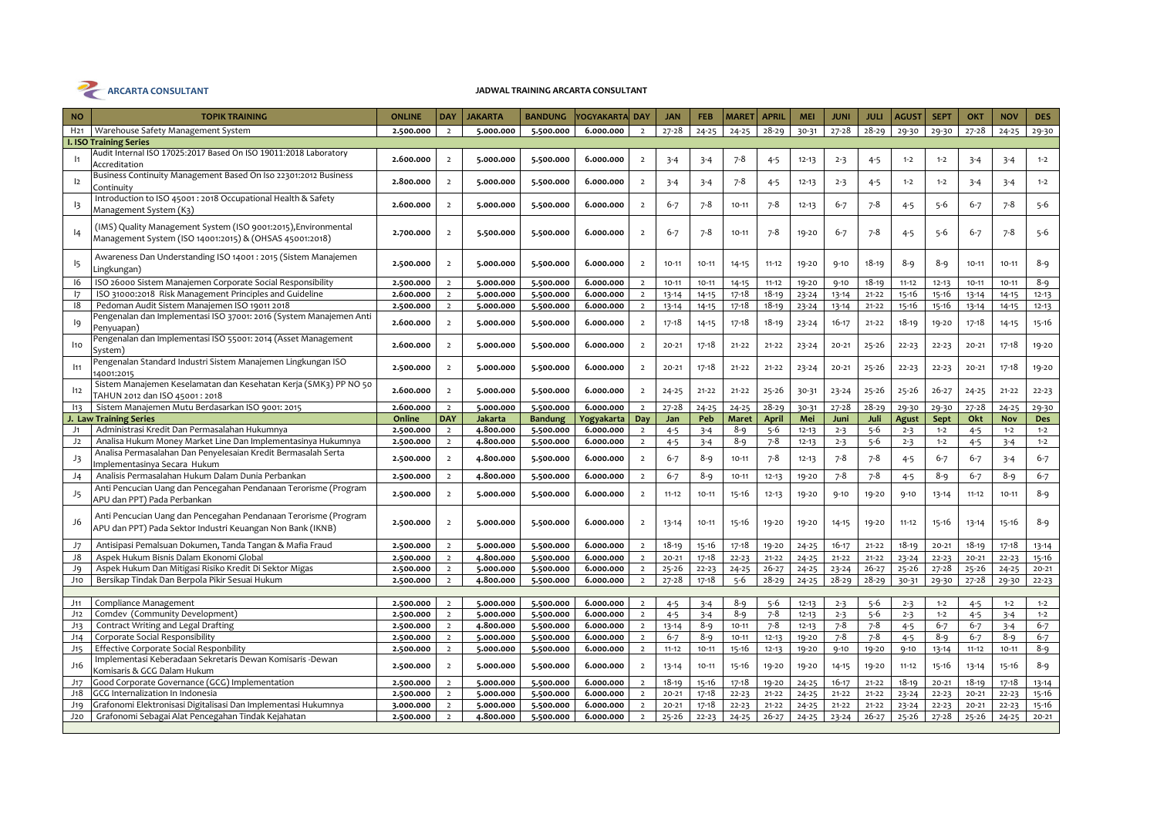

| <b>NO</b>       | <b>TOPIK TRAINING</b>                                                                                                         | <b>ONLINE</b> | <b>DAY</b>     | <b>JAKARTA</b> | <b>BANDUNG</b> | Yogyakarta  Day |                | <b>JAN</b> | <b>FEB</b> | <b>MARET</b> | <b>APRIL</b> | <b>MEI</b> | <b>JUNI</b> | <b>JULI</b> | <b>AGUST</b> | <b>SEPT</b> | OKT       | <b>NOV</b> | <b>DES</b> |
|-----------------|-------------------------------------------------------------------------------------------------------------------------------|---------------|----------------|----------------|----------------|-----------------|----------------|------------|------------|--------------|--------------|------------|-------------|-------------|--------------|-------------|-----------|------------|------------|
| H <sub>21</sub> | Warehouse Safety Management System                                                                                            | 2.500.000     | $\overline{2}$ | 5.000.000      | 5.500.000      | 6.000.000       | $\overline{2}$ | $27 - 28$  | $24 - 25$  | $24 - 25$    | $28 - 29$    | 30-31      | $27 - 28$   | $28 - 29$   | 29-30        | 29-30       | $27 - 28$ | $24 - 25$  | 29-30      |
|                 | <b>I. ISO Training Series</b>                                                                                                 |               |                |                |                |                 |                |            |            |              |              |            |             |             |              |             |           |            |            |
| $\vert$ 1       | Audit Internal ISO 17025:2017 Based On ISO 19011:2018 Laboratory<br>Accreditation                                             | 2.600.000     | $\overline{2}$ | 5.000.000      | 5.500.000      | 6.000.000       | $\overline{2}$ | $3 - 4$    | $3 - 4$    | 7-8          | $4 - 5$      | $12 - 13$  | $2 - 3$     | $4 - 5$     | $1 - 2$      | $1 - 2$     | $3 - 4$   | $3 - 4$    | $1 - 2$    |
| 12              | Business Continuity Management Based On Iso 22301:2012 Business<br>Continuity                                                 | 2.800.000     | $\overline{2}$ | 5.000.000      | 5.500.000      | 6.000.000       | $\overline{2}$ | $3 - 4$    | $3 - 4$    | 7-8          | $4 - 5$      | $12 - 13$  | $2 - 3$     | $4 - 5$     | $1 - 2$      | $1 - 2$     | $3 - 4$   | $3 - 4$    | $1 - 2$    |
| 13              | Introduction to ISO 45001 : 2018 Occupational Health & Safety<br>Management System (K3)                                       | 2.600.000     | $\overline{2}$ | 5.000.000      | 5.500.000      | 6.000.000       | $\overline{2}$ | $6 - 7$    | 7-8        | $10 - 11$    | 7-8          | $12 - 13$  | $6 - 7$     | 7-8         | $4 - 5$      | $5 - 6$     | $6 - 7$   | $7 - 8$    | $5 - 6$    |
| 4               | (IMS) Quality Management System (ISO 9001:2015), Environmental<br>Management System (ISO 14001:2015) & (OHSAS 45001:2018)     | 2.700.000     | $\overline{2}$ | 5.500.000      | 5.500.000      | 6.000.000       | $\overline{2}$ | $6 - 7$    | $7 - 8$    | $10 - 11$    | 7-8          | 19-20      | $6 - 7$     | 7-8         | $4 - 5$      | $5 - 6$     | $6 - 7$   | $7 - 8$    | $5 - 6$    |
| 15              | Awareness Dan Understanding ISO 14001 : 2015 (Sistem Manajemen<br>Lingkungan)                                                 | 2.500.000     | $\overline{2}$ | 5.000.000      | 5.500.000      | 6.000.000       | $\overline{2}$ | $10 - 11$  | $10 - 11$  | $14 - 15$    | $11 - 12$    | 19-20      | $9 - 10$    | 18-19       | 8-9          | 8-9         | $10 - 11$ | $10 - 11$  | $8 - 9$    |
| 16              | ISO 26000 Sistem Manajemen Corporate Social Responsibility                                                                    | 2.500.000     | $\overline{2}$ | 5.000.000      | 5.500.000      | 6.000.000       | $\overline{2}$ | $10 - 11$  | $10 - 11$  | $14 - 15$    | $11 - 12$    | 19-20      | $9 - 10$    | 18-19       | $11 - 12$    | $12 - 13$   | $10 - 11$ | $10 - 11$  | $8 - 9$    |
| 17              | ISO 31000:2018 Risk Management Principles and Guideline                                                                       | 2.600.000     | $\overline{2}$ | 5.000.000      | 5.500.000      | 6.000.000       | $\overline{2}$ | $13 - 14$  | $14 - 15$  | $17 - 18$    | $18 - 19$    | $23 - 24$  | $13 - 14$   | $21 - 22$   | 15-16        | 15-16       | $13 - 14$ | $14 - 15$  | $12 - 13$  |
| 18              | Pedoman Audit Sistem Manajemen ISO 19011 2018                                                                                 | 2.500.000     | $\overline{2}$ | 5.000.000      | 5.500.000      | 6.000.000       | $\overline{2}$ | $13 - 14$  | $14 - 15$  | $17 - 18$    | $18 - 19$    | $23 - 24$  | $13 - 14$   | $21 - 22$   | 15-16        | 15-16       | $13 - 14$ | $14 - 15$  | $12 - 13$  |
| I9              | Pengenalan dan Implementasi ISO 37001: 2016 (System Manajemen Anti<br>Penyuapan)                                              | 2.600.000     | $\overline{2}$ | 5.000.000      | 5.500.000      | 6.000.000       | $\overline{2}$ | 17-18      | $14 - 15$  | 17-18        | $18 - 19$    | 23-24      | $16 - 17$   | $21 - 22$   | 18-19        | 19-20       | $17 - 18$ | $14 - 15$  | 15-16      |
| 110             | Pengenalan dan Implementasi ISO 55001: 2014 (Asset Management<br>System)                                                      | 2.600.000     | $\overline{2}$ | 5.000.000      | 5.500.000      | 6.000.000       | $\overline{2}$ | $20 - 21$  | 17-18      | $21 - 22$    | $21 - 22$    | $23 - 24$  | $20 - 21$   | 25-26       | $22 - 23$    | $22 - 23$   | $20 - 21$ | $17 - 18$  | 19-20      |
| 111             | Pengenalan Standard Industri Sistem Manajemen Lingkungan ISO<br>14001:2015                                                    | 2.500.000     | $\overline{2}$ | 5.000.000      | 5.500.000      | 6.000.000       | $\overline{2}$ | $20 - 21$  | $17 - 18$  | $21 - 22$    | $21 - 22$    | $23 - 24$  | $20 - 21$   | $25 - 26$   | $22 - 23$    | $22 - 23$   | $20 - 21$ | $17 - 18$  | 19-20      |
| 112             | Sistem Manajemen Keselamatan dan Kesehatan Kerja (SMK3) PP NO 50<br>TAHUN 2012 dan ISO 45001:2018                             | 2.600.000     | $\overline{2}$ | 5.000.000      | 5.500.000      | 6.000.000       | $\overline{2}$ | $24 - 25$  | $21 - 22$  | $21 - 22$    | $25 - 26$    | 30-31      | $23 - 24$   | $25 - 26$   | $25 - 26$    | $26 - 27$   | $24 - 25$ | $21 - 22$  | $22 - 23$  |
| 113             | Sistem Manajemen Mutu Berdasarkan ISO 9001: 2015                                                                              | 2.600.000     | $\overline{2}$ | 5.000.000      | 5.500.000      | 6.000.000       | $\overline{2}$ | $27 - 28$  | $24 - 25$  | $24 - 25$    | $28 - 29$    | 30-31      | 27-28       | $28 - 29$   | 29-30        | 29-30       | $27 - 28$ | $24 - 25$  | 29-30      |
|                 | J. Law Training Series                                                                                                        | Online        | <b>DAY</b>     | Jakarta        | <b>Bandung</b> | Yogyakarta      | Day            | Jan        | Peb        | <b>Maret</b> | April        | Mei        | Juni        | Juli        | <b>Agust</b> | Sept        | Okt       | Nov        | <b>Des</b> |
| J1              | Administrasi Kredit Dan Permasalahan Hukumnya                                                                                 | 2.500.000     | $\overline{2}$ | 4.800.000      | 5.500.000      | 6.000.000       | $\overline{2}$ | $4 - 5$    | $3 - 4$    | $8 - 9$      | $5 - 6$      | $12 - 13$  | $2 - 3$     | $5 - 6$     | $2 - 3$      | $1 - 2$     | $4 - 5$   | $1 - 2$    | $1 - 2$    |
| J2              | Analisa Hukum Money Market Line Dan Implementasinya Hukumnya                                                                  | 2.500.000     | $\overline{2}$ | 4.800.000      | 5.500.000      | 6.000.000       | $\overline{2}$ | $4 - 5$    | $3 - 4$    | $8 - 9$      | $7 - 8$      | $12 - 13$  | $2 - 3$     | $5 - 6$     | $2 - 3$      | $1 - 2$     | $4 - 5$   | $3 - 4$    | $1 - 2$    |
| J3              | Analisa Permasalahan Dan Penyelesaian Kredit Bermasalah Serta<br>Implementasinya Secara Hukum                                 | 2.500.000     | $\overline{2}$ | 4.800.000      | 5.500.000      | 6.000.000       | $\overline{2}$ | $6 - 7$    | 8-9        | 10-11        | 7-8          | $12 - 13$  | $7 - 8$     | 7-8         | $4 - 5$      | $6 - 7$     | $6 - 7$   | $3 - 4$    | $6 - 7$    |
| J4              | Analisis Permasalahan Hukum Dalam Dunia Perbankan                                                                             | 2.500.000     | $\overline{2}$ | 4.800.000      | 5.500.000      | 6.000.000       | $\overline{2}$ | $6 - 7$    | $8 - 9$    | $10 - 11$    | $12 - 13$    | 19-20      | $7 - 8$     | $7 - 8$     | $4 - 5$      | $8 - 9$     | $6 - 7$   | $8 - 9$    | $6 - 7$    |
| J5              | Anti Pencucian Uang dan Pencegahan Pendanaan Terorisme (Program<br>APU dan PPT) Pada Perbankan                                | 2.500.000     | $\overline{2}$ | 5.000.000      | 5.500.000      | 6.000.000       | $\overline{2}$ | $11 - 12$  | $10 - 11$  | $15 - 16$    | $12 - 13$    | 19-20      | $9 - 10$    | 19-20       | $9 - 10$     | 13-14       | $11 - 12$ | $10 - 11$  | $8 - 9$    |
| J6              | Anti Pencucian Uang dan Pencegahan Pendanaan Terorisme (Program<br>APU dan PPT) Pada Sektor Industri Keuangan Non Bank (IKNB) | 2.500.000     | $\overline{2}$ | 5.000.000      | 5.500.000      | 6.000.000       | $\overline{2}$ | $13 - 14$  | $10 - 11$  | 15-16        | 19-20        | 19-20      | $14 - 15$   | 19-20       | $11 - 12$    | $15 - 16$   | $13 - 14$ | 15-16      | $8 - 9$    |
| J7              | Antisipasi Pemalsuan Dokumen, Tanda Tangan & Mafia Fraud                                                                      | 2.500.000     | $\overline{2}$ | 5.000.000      | 5.500.000      | 6.000.000       | $\overline{2}$ | $18 - 19$  | $15 - 16$  | 17-18        | 19-20        | $24 - 25$  | $16 - 17$   | $21 - 22$   | $18 - 19$    | $20 - 21$   | $18 - 19$ | $17 - 18$  | $13 - 14$  |
| J8              | Aspek Hukum Bisnis Dalam Ekonomi Global                                                                                       | 2.500.000     | $\overline{2}$ | 4.800.000      | 5.500.000      | 6.000.000       | $\overline{ }$ | $20 - 21$  | $17 - 18$  | $22 - 23$    | $21 - 22$    | $24 - 25$  | $21 - 22$   | $21 - 22$   | $23 - 24$    | $22 - 23$   | $20 - 21$ | $22 - 23$  | $15 - 16$  |
| ور              | Aspek Hukum Dan Mitigasi Risiko Kredit Di Sektor Migas                                                                        | 2.500.000     | $\overline{2}$ | 5.000.000      | 5.500.000      | 6.000.000       | $\overline{2}$ | $25 - 26$  | $22 - 23$  | $24 - 25$    | $26 - 27$    | $24 - 25$  | $23 - 24$   | $26 - 27$   | 25-26        | $27 - 28$   | $25 - 26$ | $24 - 25$  | $20 - 21$  |
| J10             | Bersikap Tindak Dan Berpola Pikir Sesuai Hukum                                                                                | 2.500.000     | $\overline{2}$ | 4.800.000      | 5.500.000      | 6.000.000       | $\overline{2}$ | $27 - 28$  | $17 - 18$  | $5 - 6$      | $28 - 29$    | $24 - 25$  | $28 - 29$   | $28 - 29$   | 30-31        | 29-30       | 27-28     | 29-30      | $22 - 23$  |
|                 |                                                                                                                               |               |                |                |                |                 |                |            |            |              |              |            |             |             |              |             |           |            |            |
| J11             | Compliance Management                                                                                                         | 2.500.000     | $\overline{2}$ | 5.000.000      | 5.500.000      | 6.000.000       | $\overline{2}$ | $4 - 5$    | $3 - 4$    | $8 - 9$      | $5 - 6$      | $12 - 13$  | $2 - 3$     | $5 - 6$     | $2 - 3$      | $1 - 2$     | $4 - 5$   | $1 - 2$    | $1 - 2$    |
| J12             | Comdev (Community Development)                                                                                                | 2.500.000     | $\overline{2}$ | 5.000.000      | 5.500.000      | 6.000.000       | $\overline{2}$ | $4 - 5$    | $3 - 4$    | $8 - 9$      | $7 - 8$      | $12 - 13$  | $2 - 3$     | $5 - 6$     | $2 - 3$      | $1 - 2$     | $4 - 5$   | $3 - 4$    | $1 - 2$    |
| J13             | Contract Writing and Legal Drafting                                                                                           | 2.500.000     | $2^{\circ}$    | 4.800.000      | 5.500.000      | 6.000.000       | $\overline{2}$ | $13 - 14$  | $8 - 9$    | $10 - 11$    | $7 - 8$      | $12 - 13$  | $7 - 8$     | $7 - 8$     | $4 - 5$      | $6 - 7$     | $6 - 7$   | $3 - 4$    | $6 - 7$    |
| J14             | Corporate Social Responsibility                                                                                               | 2.500.000     | $\overline{2}$ | 5.000.000      | 5.500.000      | 6.000.000       | $\overline{2}$ | $6 - 7$    | 8-9        | $10 - 11$    | $12 - 13$    | 19-20      | $7 - 8$     | $7 - 8$     | $4 - 5$      | $8 - 9$     | $6 - 7$   | $8 - 9$    | $6 - 7$    |
| J15             | Effective Corporate Social Responbility                                                                                       | 2.500.000     | $\overline{2}$ | 5.000.000      | 5.500.000      | 6.000.000       | $\overline{2}$ | $11 - 12$  | $10 - 11$  | 15-16        | $12 - 13$    | 19-20      | $9 - 10$    | 19-20       | $9 - 10$     | 13-14       | $11 - 12$ | $10 - 11$  | $8 - 9$    |
| J16             | Implementasi Keberadaan Sekretaris Dewan Komisaris -Dewan<br>Komisaris & GCG Dalam Hukum                                      | 2.500.000     | $\overline{2}$ | 5.000.000      | 5.500.000      | 6.000.000       | $\overline{2}$ | $13 - 14$  | $10 - 11$  | 15-16        | 19-20        | 19-20      | $14 - 15$   | 19-20       | $11 - 12$    | 15-16       | $13 - 14$ | 15-16      | $8 - 9$    |
| J17             | Good Corporate Governance (GCG) Implementation                                                                                | 2.500.000     | $\overline{2}$ | 5.000.000      | 5.500.000      | 6.000.000       | $\overline{2}$ | $18 - 19$  | 15-16      | $17 - 18$    | 19-20        | $24 - 25$  | $16 - 17$   | $21 - 22$   | $18 - 19$    | $20 - 21$   | $18 - 19$ | $17 - 18$  | $13 - 14$  |
| $J_18$          | GCG Internalization In Indonesia                                                                                              | 2.500.000     | $\overline{2}$ | 5.000.000      | 5.500.000      | 6.000.000       | $\overline{2}$ | $20 - 21$  | $17 - 18$  | $22 - 23$    | $21 - 22$    | $24 - 25$  | $21 - 22$   | $21 - 22$   | $23 - 24$    | $22 - 23$   | $20 - 21$ | $22 - 23$  | $15 - 16$  |
| J19             | Grafonomi Elektronisasi Digitalisasi Dan Implementasi Hukumnya                                                                | 3.000.000     | $\overline{2}$ | 5.000.000      | 5.500.000      | 6.000.000       | $\overline{2}$ | $20 - 21$  | 17-18      | $22 - 23$    | $21 - 22$    | $24 - 25$  | $21 - 22$   | $21 - 22$   | $23 - 24$    | $22 - 23$   | $20 - 21$ | $22 - 23$  | $15 - 16$  |
| J20             | Grafonomi Sebagai Alat Pencegahan Tindak Kejahatan                                                                            | 2.500.000     | $\overline{2}$ | 4.800.000      | 5.500.000      | 6.000.000       | $\overline{2}$ | $25 - 26$  | $22 - 23$  | $24 - 25$    | $26 - 27$    | $24 - 25$  | $23 - 24$   | $26 - 27$   | $25 - 26$    | $27 - 28$   | 25-26     | $24 - 25$  | $20 - 21$  |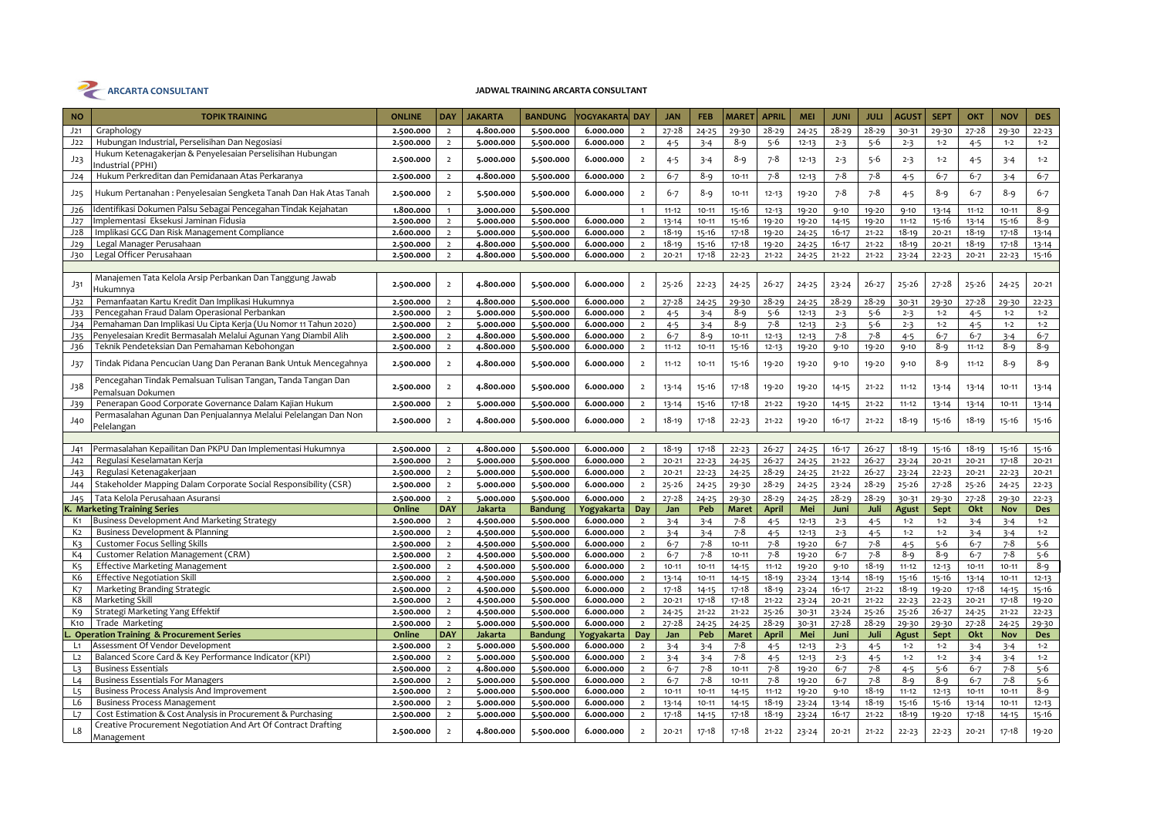

| $27 - 28$<br>$28 - 29$<br>$28 - 29$<br>$28 - 29$<br>J21<br>Graphology<br>2.500.000<br>4.800.000<br>5.500.000<br>6.000.000<br>$24 - 25$<br>29-30<br>$24 - 25$<br>30-31<br>$\overline{2}$<br>$\overline{2}$<br>Hubungan Industrial, Perselisihan Dan Negosiasi<br>J22<br>$8 - 9$<br>$5 - 6$<br>2.500.000<br>$\overline{2}$<br>5.000.000<br>5.500.000<br>6.000.000<br>$\overline{2}$<br>$4 - 5$<br>$3 - 4$<br>$12 - 13$<br>$2 - 3$<br>$5 - 6$<br>$2 - 3$<br>Hukum Ketenagakerjan & Penyelesaian Perselisihan Hubungan<br>$8 - 9$<br>$7 - 8$<br>$5 - 6$<br>J23<br>2.500.000<br>$\overline{2}$<br>5.000.000<br>5.500.000<br>6.000.000<br>$\overline{2}$<br>$4 - 5$<br>$3 - 4$<br>$12 - 13$<br>$2 - 3$<br>$2 - 3$<br>ndustrial (PPHI)<br>$7 - 8$<br>$7 - 8$<br>Hukum Perkreditan dan Pemidanaan Atas Perkaranya<br>4.800.000<br>$6 - 7$<br>$8 - 9$<br>$7 - 8$<br>J24<br>5.500.000<br>6.000.000<br>$10 - 11$<br>2.500.000<br>$\overline{2}$<br>$\overline{2}$<br>$12 - 13$<br>$4 - 5$<br>$7 - 8$<br>Hukum Pertanahan : Penyelesaian Sengketa Tanah Dan Hak Atas Tanah<br>$8 - 9$<br>$7 - 8$<br>6.000.000<br>$6 - 7$<br>J25<br>2.500.000<br>$\overline{2}$<br>5.500.000<br>5.500.000<br>$\overline{2}$<br>$10 - 11$<br>$12 - 13$<br>19-20<br>$4 - 5$<br>dentifikasi Dokumen Palsu Sebagai Pencegahan Tindak Kejahatan<br>J26<br>$11 - 12$<br>$10 - 11$<br>$15 - 16$<br>$9 - 10$<br>1.800.000<br>3.000.000<br>5.500.000<br>$12 - 13$<br>19-20<br>19-20<br>$9 - 10$<br>$\mathbf{1}$<br>mplementasi Eksekusi Jaminan Fidusia<br>5.500.000<br>$15 - 16$<br>19-20<br>J27<br>2.500.000<br>$\overline{2}$<br>5.000.000<br>6.000.000<br>$\overline{2}$<br>$13 - 14$<br>$10 - 11$<br>19-20<br>$14 - 15$<br>19-20<br>$11 - 12$<br>Implikasi GCG Dan Risk Management Compliance<br>J <sub>28</sub><br>2.600.000<br>6.000.000<br>$18 - 19$<br>15-16<br>17-18<br>$16 - 17$<br>$18 - 19$<br>$\overline{2}$<br>5.000.000<br>5.500.000<br>$\overline{2}$<br>19-20<br>$24 - 25$<br>$21 - 22$ | 29-30<br>$27 - 28$<br>$1 - 2$<br>$4 - 5$<br>$1 - 2$<br>$4 - 5$<br>$6 - 7$<br>$6 - 7$<br>8-9<br>$6 - 7$<br>$11 - 12$<br>13-14<br>15-16<br>13-14<br>$18 - 19$<br>$20 - 21$<br>$18 - 19$<br>$20 - 21$<br>$22 - 23$<br>$20 - 21$ | 29-30<br>$22 - 23$<br>$1 - 2$<br>$1 - 2$<br>$1 - 2$<br>$3 - 4$<br>$6 - 7$<br>$3 - 4$<br>$8 - 9$<br>$6 - 7$<br>$8 - 9$<br>$10 - 11$<br>$8 - 9$<br>15-16<br>$17 - 18$<br>$13 - 14$ |
|---------------------------------------------------------------------------------------------------------------------------------------------------------------------------------------------------------------------------------------------------------------------------------------------------------------------------------------------------------------------------------------------------------------------------------------------------------------------------------------------------------------------------------------------------------------------------------------------------------------------------------------------------------------------------------------------------------------------------------------------------------------------------------------------------------------------------------------------------------------------------------------------------------------------------------------------------------------------------------------------------------------------------------------------------------------------------------------------------------------------------------------------------------------------------------------------------------------------------------------------------------------------------------------------------------------------------------------------------------------------------------------------------------------------------------------------------------------------------------------------------------------------------------------------------------------------------------------------------------------------------------------------------------------------------------------------------------------------------------------------------------------------------------------------------------------------------------------------------------------------------------------------------------------------------------------------------------------------|------------------------------------------------------------------------------------------------------------------------------------------------------------------------------------------------------------------------------|----------------------------------------------------------------------------------------------------------------------------------------------------------------------------------|
|                                                                                                                                                                                                                                                                                                                                                                                                                                                                                                                                                                                                                                                                                                                                                                                                                                                                                                                                                                                                                                                                                                                                                                                                                                                                                                                                                                                                                                                                                                                                                                                                                                                                                                                                                                                                                                                                                                                                                                     |                                                                                                                                                                                                                              |                                                                                                                                                                                  |
|                                                                                                                                                                                                                                                                                                                                                                                                                                                                                                                                                                                                                                                                                                                                                                                                                                                                                                                                                                                                                                                                                                                                                                                                                                                                                                                                                                                                                                                                                                                                                                                                                                                                                                                                                                                                                                                                                                                                                                     |                                                                                                                                                                                                                              |                                                                                                                                                                                  |
|                                                                                                                                                                                                                                                                                                                                                                                                                                                                                                                                                                                                                                                                                                                                                                                                                                                                                                                                                                                                                                                                                                                                                                                                                                                                                                                                                                                                                                                                                                                                                                                                                                                                                                                                                                                                                                                                                                                                                                     |                                                                                                                                                                                                                              |                                                                                                                                                                                  |
|                                                                                                                                                                                                                                                                                                                                                                                                                                                                                                                                                                                                                                                                                                                                                                                                                                                                                                                                                                                                                                                                                                                                                                                                                                                                                                                                                                                                                                                                                                                                                                                                                                                                                                                                                                                                                                                                                                                                                                     |                                                                                                                                                                                                                              |                                                                                                                                                                                  |
|                                                                                                                                                                                                                                                                                                                                                                                                                                                                                                                                                                                                                                                                                                                                                                                                                                                                                                                                                                                                                                                                                                                                                                                                                                                                                                                                                                                                                                                                                                                                                                                                                                                                                                                                                                                                                                                                                                                                                                     |                                                                                                                                                                                                                              |                                                                                                                                                                                  |
|                                                                                                                                                                                                                                                                                                                                                                                                                                                                                                                                                                                                                                                                                                                                                                                                                                                                                                                                                                                                                                                                                                                                                                                                                                                                                                                                                                                                                                                                                                                                                                                                                                                                                                                                                                                                                                                                                                                                                                     |                                                                                                                                                                                                                              |                                                                                                                                                                                  |
|                                                                                                                                                                                                                                                                                                                                                                                                                                                                                                                                                                                                                                                                                                                                                                                                                                                                                                                                                                                                                                                                                                                                                                                                                                                                                                                                                                                                                                                                                                                                                                                                                                                                                                                                                                                                                                                                                                                                                                     |                                                                                                                                                                                                                              |                                                                                                                                                                                  |
|                                                                                                                                                                                                                                                                                                                                                                                                                                                                                                                                                                                                                                                                                                                                                                                                                                                                                                                                                                                                                                                                                                                                                                                                                                                                                                                                                                                                                                                                                                                                                                                                                                                                                                                                                                                                                                                                                                                                                                     |                                                                                                                                                                                                                              |                                                                                                                                                                                  |
| Legal Manager Perusahaan<br>$18 - 19$<br>$15 - 16$<br>$17 - 18$<br>$19 - 20$<br>$16 - 17$<br>$18 - 19$<br>J29<br>4.800.000<br>5.500.000<br>6.000.000<br>$\overline{2}$<br>$24 - 25$<br>$21 - 22$<br>2.500.000<br>$\overline{2}$                                                                                                                                                                                                                                                                                                                                                                                                                                                                                                                                                                                                                                                                                                                                                                                                                                                                                                                                                                                                                                                                                                                                                                                                                                                                                                                                                                                                                                                                                                                                                                                                                                                                                                                                     |                                                                                                                                                                                                                              | $13 - 14$<br>$17 - 18$                                                                                                                                                           |
| Legal Officer Perusahaan<br>J30<br>2.500.000<br>$\overline{2}$<br>4.800.000<br>5.500.000<br>6.000.000<br>$\overline{2}$<br>$20 - 21$<br>17-18<br>$22 - 23$<br>$21 - 22$<br>$24 - 25$<br>$21 - 22$<br>$21 - 22$<br>$23 - 24$                                                                                                                                                                                                                                                                                                                                                                                                                                                                                                                                                                                                                                                                                                                                                                                                                                                                                                                                                                                                                                                                                                                                                                                                                                                                                                                                                                                                                                                                                                                                                                                                                                                                                                                                         |                                                                                                                                                                                                                              | 15-16<br>$22 - 23$                                                                                                                                                               |
|                                                                                                                                                                                                                                                                                                                                                                                                                                                                                                                                                                                                                                                                                                                                                                                                                                                                                                                                                                                                                                                                                                                                                                                                                                                                                                                                                                                                                                                                                                                                                                                                                                                                                                                                                                                                                                                                                                                                                                     |                                                                                                                                                                                                                              |                                                                                                                                                                                  |
| Manajemen Tata Kelola Arsip Perbankan Dan Tanggung Jawab<br>$25 - 26$<br>4.800.000<br>5.500.000<br>6.000.000<br>$22 - 23$<br>$26 - 27$<br>$24 - 25$<br>$26 - 27$<br>$25 - 26$<br>J31<br>2.500.000<br>$\overline{2}$<br>$\overline{2}$<br>$24 - 25$<br>$23 - 24$<br>Hukumnya                                                                                                                                                                                                                                                                                                                                                                                                                                                                                                                                                                                                                                                                                                                                                                                                                                                                                                                                                                                                                                                                                                                                                                                                                                                                                                                                                                                                                                                                                                                                                                                                                                                                                         | $27 - 28$<br>$25 - 26$                                                                                                                                                                                                       | $24 - 25$<br>$20 - 21$                                                                                                                                                           |
| Pemanfaatan Kartu Kredit Dan Implikasi Hukumnya<br>$28 - 29$<br>$28 - 29$<br>4.800.000<br>6.000.000<br>$27 - 28$<br>$28 - 29$<br>J32<br>2.500.000<br>5.500.000<br>$24 - 25$<br>29-30<br>$24 - 25$<br>30-31<br>$\overline{2}$<br>$\overline{2}$                                                                                                                                                                                                                                                                                                                                                                                                                                                                                                                                                                                                                                                                                                                                                                                                                                                                                                                                                                                                                                                                                                                                                                                                                                                                                                                                                                                                                                                                                                                                                                                                                                                                                                                      | 27-28<br>29-30                                                                                                                                                                                                               | $22 - 23$<br>29-30                                                                                                                                                               |
| Pencegahan Fraud Dalam Operasional Perbankan<br>J33<br>2.500.000<br>5.000.000<br>5.500.000<br>6.000.000<br>8-9<br>$5 - 6$<br>$5 - 6$<br>$\overline{2}$<br>$\overline{2}$<br>$4 - 5$<br>$3 - 4$<br>$12 - 13$<br>$2 - 3$<br>$2 - 3$                                                                                                                                                                                                                                                                                                                                                                                                                                                                                                                                                                                                                                                                                                                                                                                                                                                                                                                                                                                                                                                                                                                                                                                                                                                                                                                                                                                                                                                                                                                                                                                                                                                                                                                                   | $1 - 2$<br>$4 - 5$                                                                                                                                                                                                           | $1 - 2$<br>$1 - 2$                                                                                                                                                               |
| °emahaman Dan Implikasi Uu Cipta Kerja (Uu Nomor 11 Tahun 2020)<br>$5 - 6$<br>J34<br>5.500.000<br>6.000.000<br>$4 - 5$<br>8-9<br>7-8<br>2.500.000<br>$\overline{2}$<br>5.000.000<br>$\overline{2}$<br>$3 - 4$<br>$12 - 13$<br>$2 - 3$<br>$2 - 3$                                                                                                                                                                                                                                                                                                                                                                                                                                                                                                                                                                                                                                                                                                                                                                                                                                                                                                                                                                                                                                                                                                                                                                                                                                                                                                                                                                                                                                                                                                                                                                                                                                                                                                                    | $1 - 2$<br>$4 - 5$                                                                                                                                                                                                           | $1 - 2$<br>$1 - 2$                                                                                                                                                               |
| Penyelesaian Kredit Bermasalah Melalui Agunan Yang Diambil Alih<br>$7 - 8$<br>4.800.000<br>$7 - 8$<br>J <sub>35</sub><br>2.500.000<br>$\overline{2}$<br>5.500.000<br>6.000.000<br>$6 - 7$<br>8-9<br>$12 - 13$<br>$\overline{2}$<br>$10 - 11$<br>$12 - 13$<br>$4 - 5$                                                                                                                                                                                                                                                                                                                                                                                                                                                                                                                                                                                                                                                                                                                                                                                                                                                                                                                                                                                                                                                                                                                                                                                                                                                                                                                                                                                                                                                                                                                                                                                                                                                                                                | $6 - 7$<br>$6 - 7$                                                                                                                                                                                                           | $6 - 7$<br>$3 - 4$                                                                                                                                                               |
| J36<br>Teknik Pendeteksian Dan Pemahaman Kebohongan<br>2.500.000<br>$\overline{2}$<br>4.800.000<br>5.500.000<br>6.000.000<br>$\overline{2}$<br>$11 - 12$<br>$10 - 11$<br>15-16<br>$12 - 13$<br>19-20<br>$9 - 10$<br>19-20<br>$9 - 10$                                                                                                                                                                                                                                                                                                                                                                                                                                                                                                                                                                                                                                                                                                                                                                                                                                                                                                                                                                                                                                                                                                                                                                                                                                                                                                                                                                                                                                                                                                                                                                                                                                                                                                                               | $8 - 9$<br>$11 - 12$                                                                                                                                                                                                         | $8 - 9$<br>$8 - 9$                                                                                                                                                               |
| Tindak Pidana Pencucian Uang Dan Peranan Bank Untuk Mencegahnya<br>4.800.000<br>5.500.000<br>6.000.000<br>$10 - 11$<br>19-20<br>J37<br>2.500.000<br>$\overline{2}$<br>$\overline{2}$<br>$11 - 12$<br>15-16<br>19-20<br>19-20<br>$9 - 10$<br>$9 - 10$                                                                                                                                                                                                                                                                                                                                                                                                                                                                                                                                                                                                                                                                                                                                                                                                                                                                                                                                                                                                                                                                                                                                                                                                                                                                                                                                                                                                                                                                                                                                                                                                                                                                                                                | 8-9<br>$11 - 12$                                                                                                                                                                                                             | $8 - 9$<br>8-9                                                                                                                                                                   |
| Pencegahan Tindak Pemalsuan Tulisan Tangan, Tanda Tangan Dan<br>$J_38$<br>2.500.000<br>4.800.000<br>5.500.000<br>6.000.000<br>15-16<br>$17 - 18$<br>19-20<br>$14 - 15$<br>$11 - 12$<br>$\overline{2}$<br>$\overline{2}$<br>$13 - 14$<br>19-20<br>$21 - 22$<br>Pemalsuan Dokumen                                                                                                                                                                                                                                                                                                                                                                                                                                                                                                                                                                                                                                                                                                                                                                                                                                                                                                                                                                                                                                                                                                                                                                                                                                                                                                                                                                                                                                                                                                                                                                                                                                                                                     | $13 - 14$<br>$13 - 14$                                                                                                                                                                                                       | $13 - 14$<br>$10 - 11$                                                                                                                                                           |
| Penerapan Good Corporate Governance Dalam Kajian Hukum<br>J39<br>2.500.000<br>5.000.000<br>5.500.000<br>6.000.000<br>$13 - 14$<br>15-16<br>17-18<br>$21 - 22$<br>19-20<br>$14 - 15$<br>$21 - 22$<br>$11 - 12$<br>$\overline{2}$<br>$\overline{2}$                                                                                                                                                                                                                                                                                                                                                                                                                                                                                                                                                                                                                                                                                                                                                                                                                                                                                                                                                                                                                                                                                                                                                                                                                                                                                                                                                                                                                                                                                                                                                                                                                                                                                                                   | $13 - 14$<br>$13 - 14$                                                                                                                                                                                                       | $10 - 11$<br>$13 - 14$                                                                                                                                                           |
| Permasalahan Agunan Dan Penjualannya Melalui Pelelangan Dan Non<br>$18 - 19$<br>$18 - 19$<br>J40<br>2.500.000<br>4.800.000<br>5.500.000<br>6.000.000<br>17-18<br>$16 - 17$<br>$\overline{2}$<br>$\overline{2}$<br>$22 - 23$<br>$21 - 22$<br>$19 - 20$<br>$21 - 22$<br>Pelelangan                                                                                                                                                                                                                                                                                                                                                                                                                                                                                                                                                                                                                                                                                                                                                                                                                                                                                                                                                                                                                                                                                                                                                                                                                                                                                                                                                                                                                                                                                                                                                                                                                                                                                    | $18 - 19$<br>15-16                                                                                                                                                                                                           | $15 - 16$<br>$15 - 16$                                                                                                                                                           |
|                                                                                                                                                                                                                                                                                                                                                                                                                                                                                                                                                                                                                                                                                                                                                                                                                                                                                                                                                                                                                                                                                                                                                                                                                                                                                                                                                                                                                                                                                                                                                                                                                                                                                                                                                                                                                                                                                                                                                                     |                                                                                                                                                                                                                              |                                                                                                                                                                                  |
| Permasalahan Kepailitan Dan PKPU Dan Implementasi Hukumnya<br>4.800.000<br>5.500.000<br>6.000.000<br>$18 - 19$<br>$17 - 18$<br>$22 - 23$<br>$26 - 27$<br>$24 - 25$<br>$16 - 17$<br>$26 - 27$<br>$18 - 19$<br>J41<br>2.500.000<br>$\overline{2}$<br>$\overline{2}$                                                                                                                                                                                                                                                                                                                                                                                                                                                                                                                                                                                                                                                                                                                                                                                                                                                                                                                                                                                                                                                                                                                                                                                                                                                                                                                                                                                                                                                                                                                                                                                                                                                                                                   | 15-16<br>18-19                                                                                                                                                                                                               | 15-16<br>15-16                                                                                                                                                                   |
| Regulasi Keselamatan Kerja<br>$26 - 27$<br>J42<br>5.500.000<br>$22 - 23$<br>$24 - 25$<br>$21 - 22$<br>$26 - 27$<br>2.500.000<br>5.000.000<br>6.000.000<br>$\overline{2}$<br>$20 - 21$<br>$24 - 25$<br>$23 - 24$<br>$\overline{2}$                                                                                                                                                                                                                                                                                                                                                                                                                                                                                                                                                                                                                                                                                                                                                                                                                                                                                                                                                                                                                                                                                                                                                                                                                                                                                                                                                                                                                                                                                                                                                                                                                                                                                                                                   | $20 - 21$<br>$20 - 21$                                                                                                                                                                                                       | $20 - 21$<br>$17 - 18$                                                                                                                                                           |
| $28 - 29$<br>J43<br>Regulasi Ketenagakerjaan<br>$\overline{2}$<br>5.000.000<br>6.000.000<br>$\overline{2}$<br>$20 - 21$<br>$22 - 23$<br>$24 - 25$<br>$24 - 25$<br>$21 - 22$<br>$26 - 27$<br>$23 - 24$<br>2.500.000<br>5.500.000                                                                                                                                                                                                                                                                                                                                                                                                                                                                                                                                                                                                                                                                                                                                                                                                                                                                                                                                                                                                                                                                                                                                                                                                                                                                                                                                                                                                                                                                                                                                                                                                                                                                                                                                     | $22 - 23$<br>$20 - 21$                                                                                                                                                                                                       | $22 - 23$<br>$20 - 21$                                                                                                                                                           |
| Stakeholder Mapping Dalam Corporate Social Responsibility (CSR)<br>$28 - 29$<br>28-29<br>J44<br>5.000.000<br>5.500.000<br>6.000.000<br>$25 - 26$<br>$24 - 25$<br>29-30<br>$24 - 25$<br>$25 - 26$<br>2.500.000<br>$\overline{2}$<br>$\overline{2}$<br>$23 - 24$                                                                                                                                                                                                                                                                                                                                                                                                                                                                                                                                                                                                                                                                                                                                                                                                                                                                                                                                                                                                                                                                                                                                                                                                                                                                                                                                                                                                                                                                                                                                                                                                                                                                                                      | $27 - 28$<br>$25 - 26$                                                                                                                                                                                                       | $22 - 23$<br>$24 - 25$                                                                                                                                                           |
| Tata Kelola Perusahaan Asuransi<br>$28 - 29$<br>5.000.000<br>5.500.000<br>6.000.000<br>$27 - 28$<br>$24 - 25$<br>29-30<br>$24 - 25$<br>$28 - 29$<br>$28 - 29$<br>30-31<br>J45<br>2.500.000<br>$\overline{2}$<br>$\overline{2}$                                                                                                                                                                                                                                                                                                                                                                                                                                                                                                                                                                                                                                                                                                                                                                                                                                                                                                                                                                                                                                                                                                                                                                                                                                                                                                                                                                                                                                                                                                                                                                                                                                                                                                                                      | 29-30<br>$27 - 28$                                                                                                                                                                                                           | 29-30<br>$22 - 23$                                                                                                                                                               |
| <b>DAY</b><br><b>K. Marketing Training Series</b><br><b>Jakarta</b><br>Yogyakarta<br>Day<br>Jan<br>Peb<br><b>Maret</b><br>April<br>Mei<br>Juli<br>Online<br><b>Bandung</b><br>Juni<br>Agust                                                                                                                                                                                                                                                                                                                                                                                                                                                                                                                                                                                                                                                                                                                                                                                                                                                                                                                                                                                                                                                                                                                                                                                                                                                                                                                                                                                                                                                                                                                                                                                                                                                                                                                                                                         | Okt<br>Sept                                                                                                                                                                                                                  | Nov<br><b>Des</b>                                                                                                                                                                |
| Business Development And Marketing Strategy<br>K1<br>4.500.000<br>5.500.000<br>6.000.000<br>$3 - 4$<br>$3 - 4$<br>7-8<br>$4 - 5$<br>$1 - 2$<br>2.500.000<br>$\overline{2}$<br>$\overline{2}$<br>$4 - 5$<br>$12 - 13$<br>$2 - 3$                                                                                                                                                                                                                                                                                                                                                                                                                                                                                                                                                                                                                                                                                                                                                                                                                                                                                                                                                                                                                                                                                                                                                                                                                                                                                                                                                                                                                                                                                                                                                                                                                                                                                                                                     | $1 - 2$<br>$3 - 4$                                                                                                                                                                                                           | $1 - 2$<br>$3 - 4$                                                                                                                                                               |
| Business Development & Planning<br>$7 - 8$<br>K2<br>$4 - 5$<br>$\overline{2}$<br>4.500.000<br>5.500.000<br>6.000.000<br>$\overline{2}$<br>$3 - 4$<br>$3 - 4$<br>$12 - 13$<br>$2 - 3$<br>$4 - 5$<br>$1 - 2$<br>2.500.000                                                                                                                                                                                                                                                                                                                                                                                                                                                                                                                                                                                                                                                                                                                                                                                                                                                                                                                                                                                                                                                                                                                                                                                                                                                                                                                                                                                                                                                                                                                                                                                                                                                                                                                                             | $1 - 2$<br>$3 - 4$                                                                                                                                                                                                           | $1 - 2$<br>$3 - 4$                                                                                                                                                               |
| $7-8$<br><b>Customer Focus Selling Skills</b><br>$6 - 7$<br>$7 - 8$<br>$7 - 8$<br>Kз<br>2.500.000<br>$\overline{2}$<br>4.500.000<br>5.500.000<br>6.000.000<br>$\overline{2}$<br>$10 - 11$<br>19-20<br>$6 - 7$<br>$4 - 5$                                                                                                                                                                                                                                                                                                                                                                                                                                                                                                                                                                                                                                                                                                                                                                                                                                                                                                                                                                                                                                                                                                                                                                                                                                                                                                                                                                                                                                                                                                                                                                                                                                                                                                                                            | $5 - 6$<br>$6 - 7$                                                                                                                                                                                                           | $7 - 8$<br>$5 - 6$                                                                                                                                                               |
| $7 - 8$<br>Customer Relation Management (CRM)<br>$7 - 8$<br>$7 - 8$<br>K4<br>4.500.000<br>6.000.000<br>$6 - 7$<br>$10 - 11$<br>19-20<br>$6 - 7$<br>8-9<br>2.500.000<br>$\overline{2}$<br>5.500.000<br>$\overline{2}$                                                                                                                                                                                                                                                                                                                                                                                                                                                                                                                                                                                                                                                                                                                                                                                                                                                                                                                                                                                                                                                                                                                                                                                                                                                                                                                                                                                                                                                                                                                                                                                                                                                                                                                                                | $8 - 9$<br>$6 - 7$                                                                                                                                                                                                           | $5 - 6$<br>$7 - 8$                                                                                                                                                               |
| <b>Effective Marketing Management</b><br>$18 - 19$<br>K5<br>5.500.000<br>$\overline{2}$<br>$10 - 11$<br>$10 - 11$<br>$14 - 15$<br>$11 - 12$<br>19-20<br>$9 - 10$<br>$11 - 12$<br>2.500.000<br>$\overline{2}$<br>4.500.000<br>6.000.000<br>K6                                                                                                                                                                                                                                                                                                                                                                                                                                                                                                                                                                                                                                                                                                                                                                                                                                                                                                                                                                                                                                                                                                                                                                                                                                                                                                                                                                                                                                                                                                                                                                                                                                                                                                                        | $12 - 13$<br>$10 - 11$                                                                                                                                                                                                       | $8 - 9$<br>$10 - 11$                                                                                                                                                             |
| <b>Effective Negotiation Skill</b><br>$18 - 19$<br>$18 - 19$<br>$\overline{2}$<br>4.500.000<br>5.500.000<br>6.000.000<br>$\overline{2}$<br>$13 - 14$<br>$10 - 11$<br>$14 - 15$<br>$23 - 24$<br>$13 - 14$<br>$15 - 16$<br>2.500.000                                                                                                                                                                                                                                                                                                                                                                                                                                                                                                                                                                                                                                                                                                                                                                                                                                                                                                                                                                                                                                                                                                                                                                                                                                                                                                                                                                                                                                                                                                                                                                                                                                                                                                                                  | 15-16<br>13-14                                                                                                                                                                                                               | $10 - 11$<br>$12 - 13$                                                                                                                                                           |
| K7<br>Marketing Branding Strategic<br>$18 - 19$<br>6.000.000<br>$17 - 18$<br>17-18<br>$16 - 17$<br>$21 - 22$<br>$18 - 19$<br>2.500.000<br>$\overline{2}$<br>4.500.000<br>5.500.000<br>$\overline{2}$<br>$14 - 15$<br>$23 - 24$<br>K8<br>Marketing Skill<br>$20 - 21$<br>$17 - 18$<br>5.500.000<br>6.000.000<br>$\overline{2}$<br>$17 - 18$<br>$21 - 22$<br>$20 - 21$<br>$21 - 22$<br>$22 - 23$<br>$\overline{2}$                                                                                                                                                                                                                                                                                                                                                                                                                                                                                                                                                                                                                                                                                                                                                                                                                                                                                                                                                                                                                                                                                                                                                                                                                                                                                                                                                                                                                                                                                                                                                    | $17 - 18$<br>19-20<br>$20 - 21$                                                                                                                                                                                              | 15-16<br>$14 - 15$                                                                                                                                                               |
| $23 - 24$<br>2.500.000<br>4.500.000<br>K9<br>Strategi Marketing Yang Effektif<br>$\overline{2}$<br>5.500.000<br>6.000.000<br>$\overline{2}$<br>$24 - 25$<br>$21 - 22$<br>$21 - 22$<br>$25 - 26$<br>30-31<br>$25 - 26$<br>$25 - 26$<br>2.500.000<br>4.500.000                                                                                                                                                                                                                                                                                                                                                                                                                                                                                                                                                                                                                                                                                                                                                                                                                                                                                                                                                                                                                                                                                                                                                                                                                                                                                                                                                                                                                                                                                                                                                                                                                                                                                                        | $22 - 23$<br>$26 - 27$                                                                                                                                                                                                       | 19-20<br>$17 - 18$<br>$21 - 22$                                                                                                                                                  |
| $23 - 24$<br>$28 - 29$<br>K10<br>Trade Marketing<br>6.000.000<br>$\overline{2}$<br>$27 - 28$<br>$24 - 25$<br>$24 - 25$<br>$27 - 28$<br>$28 - 29$<br>29-30<br>2.500.000<br>$\overline{2}$<br>5.000.000<br>5.500.000<br>30-31                                                                                                                                                                                                                                                                                                                                                                                                                                                                                                                                                                                                                                                                                                                                                                                                                                                                                                                                                                                                                                                                                                                                                                                                                                                                                                                                                                                                                                                                                                                                                                                                                                                                                                                                         | $24 - 25$<br>$27 - 28$<br>29-30                                                                                                                                                                                              | $22 - 23$<br>$24 - 25$<br>29-30                                                                                                                                                  |
| Peb<br><b>April</b><br>Mei<br>L. Operation Training & Procurement Series<br>Online<br><b>DAY</b><br>Jakarta<br><b>Bandung</b><br>Day<br>Jan<br><b>Maret</b><br>Juni<br>Juli<br>Agust<br>Yogyakarta                                                                                                                                                                                                                                                                                                                                                                                                                                                                                                                                                                                                                                                                                                                                                                                                                                                                                                                                                                                                                                                                                                                                                                                                                                                                                                                                                                                                                                                                                                                                                                                                                                                                                                                                                                  | Okt<br>Sept                                                                                                                                                                                                                  | Des<br><b>Nov</b>                                                                                                                                                                |
| Assessment Of Vendor Development<br>L1<br>5.000.000<br>5.500.000<br>6.000.000<br>$\overline{2}$<br>$3 - 4$<br>$3 - 4$<br>7-8<br>$4 - 5$<br>$12 - 13$<br>$2 - 3$<br>$4 - 5$<br>$1 - 2$<br>2.500.000<br>$\overline{2}$                                                                                                                                                                                                                                                                                                                                                                                                                                                                                                                                                                                                                                                                                                                                                                                                                                                                                                                                                                                                                                                                                                                                                                                                                                                                                                                                                                                                                                                                                                                                                                                                                                                                                                                                                | $1 - 2$<br>$3 - 4$                                                                                                                                                                                                           | $3 - 4$<br>$1 - 2$                                                                                                                                                               |
| Balanced Score Card & Key Performance Indicator (KPI)<br>$7 - 8$<br>L <sub>2</sub><br>2.500.000<br>$\overline{2}$<br>5.000.000<br>5.500.000<br>6.000.000<br>$\overline{2}$<br>$3 - 4$<br>$3 - 4$<br>$4 - 5$<br>$12 - 13$<br>$2 - 3$<br>$4 - 5$<br>$1 - 2$                                                                                                                                                                                                                                                                                                                                                                                                                                                                                                                                                                                                                                                                                                                                                                                                                                                                                                                                                                                                                                                                                                                                                                                                                                                                                                                                                                                                                                                                                                                                                                                                                                                                                                           | $1 - 2$<br>$3 - 4$                                                                                                                                                                                                           | $3 - 4$<br>$1 - 2$                                                                                                                                                               |
| $7 - 8$<br>$7 - 8$<br>$7 - 8$<br><b>Business Essentials</b><br>$6 - 7$<br>L <sub>3</sub><br>4.800.000<br>5.500.000<br>6.000.000<br>$\overline{2}$<br>$10 - 11$<br>19-20<br>$6 - 7$<br>$4 - 5$<br>2.500.000<br>$\overline{2}$                                                                                                                                                                                                                                                                                                                                                                                                                                                                                                                                                                                                                                                                                                                                                                                                                                                                                                                                                                                                                                                                                                                                                                                                                                                                                                                                                                                                                                                                                                                                                                                                                                                                                                                                        | $5 - 6$<br>$6 - 7$                                                                                                                                                                                                           | $7 - 8$<br>$5 - 6$                                                                                                                                                               |
| $7 - 8$<br><b>Business Essentials For Managers</b><br>$7 - 8$<br>$7 - 8$<br>L <sub>4</sub><br>5.000.000<br>5.500.000<br>6.000.000<br>$6 - 7$<br>$10 - 11$<br>$6 - 7$<br>8-9<br>2.500.000<br>$\overline{2}$<br>$\overline{ }$<br>19-20                                                                                                                                                                                                                                                                                                                                                                                                                                                                                                                                                                                                                                                                                                                                                                                                                                                                                                                                                                                                                                                                                                                                                                                                                                                                                                                                                                                                                                                                                                                                                                                                                                                                                                                               | $8 - 9$<br>$6 - 7$                                                                                                                                                                                                           | $7 - 8$<br>$5 - 6$                                                                                                                                                               |
| Business Process Analysis And Improvement<br>L <sub>5</sub><br>$\overline{2}$<br>$10 - 11$<br>$18 - 19$<br>2.500.000<br>5.000.000<br>5.500.000<br>6.000.000<br>$\overline{2}$<br>$10 - 11$<br>$14 - 15$<br>$11 - 12$<br>19-20<br>$9 - 10$<br>$11 - 12$                                                                                                                                                                                                                                                                                                                                                                                                                                                                                                                                                                                                                                                                                                                                                                                                                                                                                                                                                                                                                                                                                                                                                                                                                                                                                                                                                                                                                                                                                                                                                                                                                                                                                                              | $12 - 13$<br>$10 - 11$                                                                                                                                                                                                       | $8 - 9$<br>$10 - 11$                                                                                                                                                             |
| L <sub>6</sub><br><b>Business Process Management</b><br>$18 - 19$<br>$18 - 19$<br>5.000.000<br>5.500.000<br>6.000.000<br>$\overline{2}$<br>$13 - 14$<br>$10 - 11$<br>$14 - 15$<br>$13 - 14$<br>15-16<br>2.500.000<br>$\overline{2}$<br>$23 - 24$                                                                                                                                                                                                                                                                                                                                                                                                                                                                                                                                                                                                                                                                                                                                                                                                                                                                                                                                                                                                                                                                                                                                                                                                                                                                                                                                                                                                                                                                                                                                                                                                                                                                                                                    | 15-16<br>$13 - 14$                                                                                                                                                                                                           | $10 - 11$<br>$12 - 13$                                                                                                                                                           |
| Cost Estimation & Cost Analysis in Procurement & Purchasing<br>$18 - 19$<br>$16 - 17$<br>$18 - 19$<br>5.500.000<br>6.000.000<br>$17 - 18$<br>$14 - 15$<br>$17 - 18$<br>$21 - 22$<br>L7<br>2.500.000<br>$\overline{2}$<br>5.000.000<br>$\overline{2}$<br>$23 - 24$                                                                                                                                                                                                                                                                                                                                                                                                                                                                                                                                                                                                                                                                                                                                                                                                                                                                                                                                                                                                                                                                                                                                                                                                                                                                                                                                                                                                                                                                                                                                                                                                                                                                                                   | 19-20<br>17-18                                                                                                                                                                                                               | 15-16<br>$14 - 15$                                                                                                                                                               |
| Creative Procurement Negotiation And Art Of Contract Drafting<br>L8<br>4.800.000<br>2.500.000<br>$\overline{2}$<br>5.500.000<br>6.000.000<br>$17 - 18$<br>17-18<br>$21 - 22$<br>$20 - 21$<br>$22 - 23$<br>$\overline{2}$<br>$20 - 21$<br>$23 - 24$<br>$21 - 22$<br>Management                                                                                                                                                                                                                                                                                                                                                                                                                                                                                                                                                                                                                                                                                                                                                                                                                                                                                                                                                                                                                                                                                                                                                                                                                                                                                                                                                                                                                                                                                                                                                                                                                                                                                       | $22 - 23$<br>$20 - 21$                                                                                                                                                                                                       | $17 - 18$<br>19-20                                                                                                                                                               |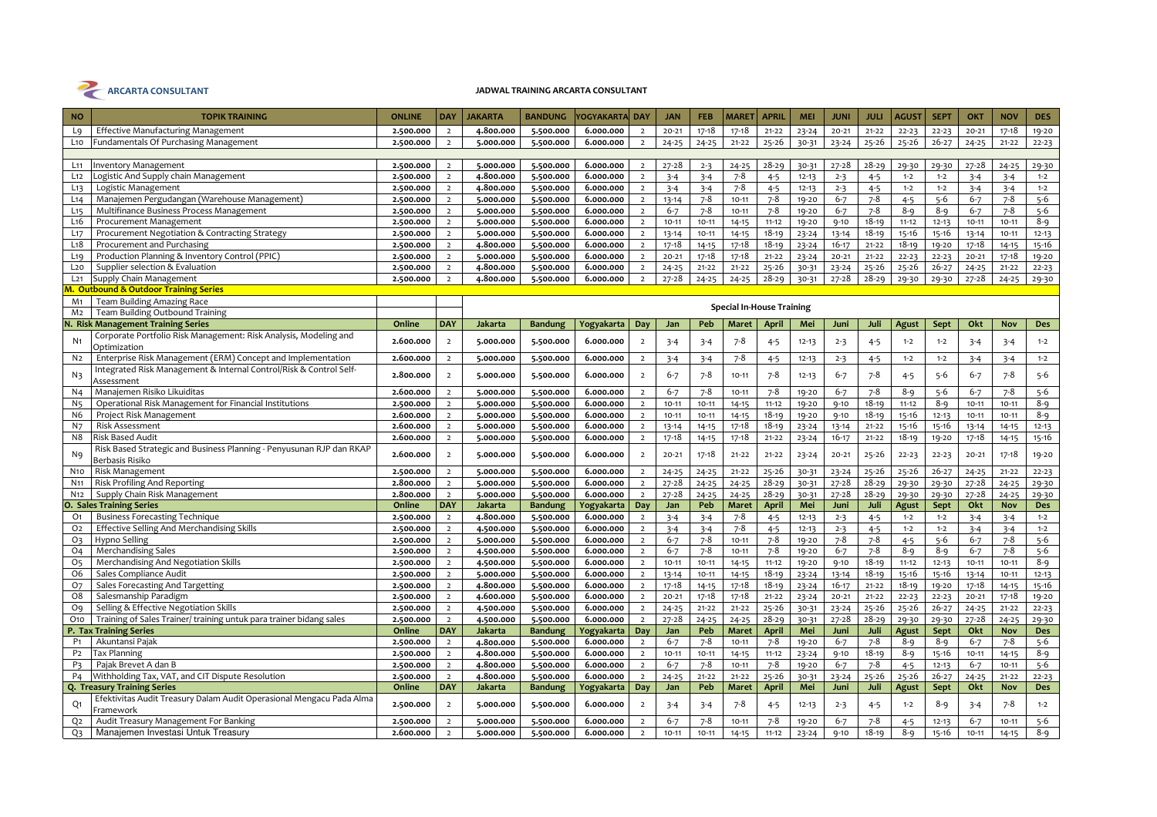

| <b>NO</b>                        | <b>TOPIK TRAINING</b>                                                            | <b>ONLINE</b>          | <b>DAY</b>                       | <b>JAKARTA</b>              | <b>BANDUNG</b>              | Yogyakarta  Day        |                                  | <b>JAN</b>           | <b>FEB</b>           | <b>MARET</b>                     | <b>APRIL</b>         | <b>MEI</b>     | <b>JUNI</b>         | <b>JULI</b>          | <b>AGUST</b>         | <b>SEPT</b>            | OKT                  | <b>NOV</b>             | <b>DES</b>     |
|----------------------------------|----------------------------------------------------------------------------------|------------------------|----------------------------------|-----------------------------|-----------------------------|------------------------|----------------------------------|----------------------|----------------------|----------------------------------|----------------------|----------------|---------------------|----------------------|----------------------|------------------------|----------------------|------------------------|----------------|
| L <sub>9</sub>                   | <b>Effective Manufacturing Management</b>                                        | 2.500.000              | $\overline{2}$                   | 4.800.000                   | 5.500.000                   | 6.000.000              | $\overline{2}$                   | $20 - 21$            | $17 - 18$            | $17 - 18$                        | $21 - 22$            | $23 - 24$      | $20 - 21$           | $21 - 22$            | $22 - 23$            | $22 - 23$              | $20 - 21$            | $17 - 18$              | 19-20          |
| L <sub>10</sub>                  | <b>Fundamentals Of Purchasing Management</b>                                     | 2.500.000              | $\overline{2}$                   | 5.000.000                   | 5.500.000                   | 6.000.000              | $\overline{2}$                   | $24 - 25$            | $24 - 25$            | $21 - 22$                        | 25-26                | 30-31          | $23 - 24$           | 25-26                | $25 - 26$            | $26 - 27$              | $24 - 25$            | $21 - 22$              | $22 - 23$      |
|                                  |                                                                                  |                        |                                  |                             |                             |                        |                                  |                      |                      |                                  |                      |                |                     |                      |                      |                        |                      |                        |                |
| $L_{11}$                         | <b>Inventory Management</b>                                                      | 2.500.000              | $\overline{2}$                   | 5.000.000                   | 5.500.000                   | 6.000.000              | $\overline{2}$                   | $27 - 28$            | $2 - 3$              | $24 - 25$                        | $28 - 29$            | 30-31          | $27 - 28$           | 28-29                | 29-30                | 29-30                  | $27 - 28$            | $24 - 25$              | 29-30          |
| L12                              | ogistic And Supply chain Management                                              | 2.500.000              | $\overline{2}$                   | 4.800.000                   | 5.500.000                   | 6.000.000              | $\overline{2}$                   | $3 - 4$              | $3 - 4$              | $7 - 8$                          | $4 - 5$              | $12 - 13$      | $2 - 3$             | $4 - 5$              | $1 - 2$              | $1 - 2$                | $3 - 4$              | $3 - 4$                | $1 - 2$        |
| L <sub>13</sub>                  | Logistic Management                                                              | 2.500.000              | $\overline{2}$                   | 4.800.000                   | 5.500.000                   | 6.000.000              | $\overline{2}$                   | $3 - 4$              | $3 - 4$              | $7 - 8$                          | $4 - 5$              | $12 - 13$      | $2 - 3$             | $4 - 5$              | $1 - 2$              | $1 - 2$                | $3 - 4$              | $3 - 4$                | $1 - 2$        |
| L14                              | Manajemen Pergudangan (Warehouse Management)                                     | 2.500.000              | $\overline{2}$                   | 5.000.000                   | 5.500.000                   | 6.000.000              | $\overline{2}$                   | $13 - 14$            | $7 - 8$              | $10 - 11$                        | $7 - 8$              | 19-20          | $6 - 7$             | $7 - 8$              | $4 - 5$              | $5 - 6$                | $6 - 7$              | $7 - 8$                | $5 - 6$        |
| L15                              | Multifinance Business Process Management                                         | 2.500.000              | $\overline{2}$                   | 5.000.000                   | 5.500.000                   | 6.000.000              | $\overline{2}$                   | $6 - 7$              | 7-8                  | $10 - 11$                        | $7 - 8$              | 19-20          | $6 - 7$             | $7 - 8$              | $8 - 9$              | $8 - 9$                | $6 - 7$              | $7 - 8$                | $5 - 6$        |
| L <sub>16</sub>                  | Procurement Management                                                           | 2.500.000              | $\overline{2}$                   | 5.000.000                   | 5.500.000                   | 6.000.000              | $\overline{2}$                   | $10 - 11$            | $10 - 11$            | $14 - 15$                        | $11 - 12$            | 19-20          | $9 - 10$            | $18 - 19$            | $11 - 12$            | $12 - 13$              | $10 - 11$            | $10 - 11$              | $8 - 9$        |
| $L_{17}$                         | Procurement Negotiation & Contracting Strategy                                   | 2.500.000              | $\overline{2}$                   | 5.000.000                   | 5.500.000                   | 6.000.000              | $\overline{2}$                   | $13 - 14$            | $10 - 11$            | 14-15                            | $18 - 19$            | $23 - 24$      | $13 - 14$           | $18 - 19$            | 15-16                | 15-16                  | $13 - 14$            | $10 - 11$              | $12 - 13$      |
| L18                              | Procurement and Purchasing                                                       | 2.500.000              | $\overline{2}$                   | 4.800.000                   | 5.500.000                   | 6.000.000              | $\overline{2}$                   | $17 - 18$            | $14 - 15$            | $17 - 18$                        | $18 - 19$            | $23 - 24$      | $16 - 17$           | $21 - 22$            | $18 - 19$            | $19 - 20$              | $17 - 18$            | $14 - 15$              | $15 - 16$      |
| L19                              | Production Planning & Inventory Control (PPIC)                                   | 2.500.000              | $\overline{2}$                   | 5.000.000                   | 5.500.000                   | 6.000.000              | $\overline{2}$                   | $20 - 21$            | $17 - 18$            | $17 - 18$                        | $21 - 22$            | $23 - 24$      | $20 - 21$           | $21 - 22$            | $22 - 23$            | $22 - 23$              | $20 - 21$            | 17-18                  | 19-20          |
| L20                              | Supplier selection & Evaluation                                                  | 2.500.000              | $\overline{2}$                   | 4.800.000                   | 5.500.000                   | 6.000.000              | $\overline{2}$                   | $24 - 25$            | $21 - 22$            | $21 - 22$                        | $25 - 26$            | 30-31          | $23 - 24$           | $25 - 26$            | $25 - 26$            | $26 - 27$              | $24 - 25$            | $21 - 22$              | $22 - 23$      |
| $L_{21}$                         | Supply Chain Management                                                          | 2.500.000              | $\overline{2}$                   | 4.800.000                   | 5.500.000                   | 6.000.000              | $\overline{2}$                   | $27 - 28$            | $24 - 25$            | $24 - 25$                        | $28 - 29$            | 30-31          | 27-28               | $28 - 29$            | 29-30                | 29-30                  | 27-28                | $24 - 25$              | 29-30          |
|                                  | M. Outbound & Outdoor Training Series                                            |                        |                                  |                             |                             |                        |                                  |                      |                      |                                  |                      |                |                     |                      |                      |                        |                      |                        |                |
| M1                               | Team Building Amazing Race                                                       |                        |                                  |                             |                             |                        |                                  |                      |                      | <b>Special In-House Training</b> |                      |                |                     |                      |                      |                        |                      |                        |                |
| M2                               | Team Building Outbound Training                                                  |                        |                                  |                             |                             |                        |                                  |                      |                      |                                  |                      |                |                     |                      |                      |                        |                      |                        |                |
|                                  | N. Risk Management Training Series                                               | Online                 | DAY                              | Jakarta                     | <b>Bandung</b>              | Yogyakarta             | Day                              | Jan                  | Peb                  | Maret                            | <b>April</b>         | Mei            | Juni                | Juli                 | Agust                | Sept                   | Okt                  | <b>Nov</b>             | <b>Des</b>     |
| N <sub>1</sub>                   | Corporate Portfolio Risk Management: Risk Analysis, Modeling and<br>Optimization | 2.600.000              | $\overline{2}$                   | 5.000.000                   | 5.500.000                   | 6.000.000              | $\overline{2}$                   | $3 - 4$              | $3 - 4$              | $7 - 8$                          | $4 - 5$              | $12 - 13$      | $2 - 3$             | $4 - 5$              | $1 - 2$              | $1 - 2$                | $3 - 4$              | $3 - 4$                | $1 - 2$        |
| N <sub>2</sub>                   | Enterprise Risk Management (ERM) Concept and Implementation                      | 2.600.000              | $\overline{2}$                   | 5.000.000                   | 5.500.000                   | 6.000.000              | $\overline{2}$                   | $3 - 4$              | $3 - 4$              | $7 - 8$                          | $4 - 5$              | $12 - 13$      | $2 - 3$             | $4 - 5$              | $1 - 2$              | $1 - 2$                | $3 - 4$              | $3 - 4$                | $1 - 2$        |
| N3                               | Integrated Risk Management & Internal Control/Risk & Control Self-<br>Assessment | 2.800.000              | $\overline{2}$                   | 5.000.000                   | 5.500.000                   | 6.000.000              | $\overline{2}$                   | $6 - 7$              | $7 - 8$              | $10 - 11$                        | $7 - 8$              | $12 - 13$      | $6 - 7$             | $7 - 8$              | $4 - 5$              | 5-6                    | $6 - 7$              | $7 - 8$                | $5 - 6$        |
| N <sub>4</sub>                   | Manajemen Risiko Likuiditas                                                      | 2.600.000              | $\overline{2}$                   | 5.000.000                   | 5.500.000                   | 6.000.000              | $\overline{2}$                   | $6 - 7$              | $7 - 8$              | $10 - 11$                        | $7 - 8$              | 19-20          | $6 - 7$             | $7 - 8$              | $8 - 9$              | $5 - 6$                | $6 - 7$              | $7 - 8$                | $5 - 6$        |
| N <sub>5</sub>                   | Operational Risk Management for Financial Institutions                           | 2.500.000              | $\overline{2}$                   | 5.000.000                   | 5.500.000                   | 6.000.000              | $\overline{2}$                   | $10 - 11$            | $10 - 11$            | 14-15                            | $11 - 12$            | 19-20          | $9 - 10$            | $18 - 19$            | $11 - 12$            | $8 - 9$                | $10 - 11$            | $10 - 11$              | 8-9            |
| N <sub>6</sub>                   | Project Risk Management                                                          | 2.600.000              |                                  | 5.000.000                   | 5.500.000                   | 6.000.000              | $\overline{2}$                   | $10 - 11$            | $10 - 11$            | $14 - 15$                        | 18-19                | 19-20          | $9 - 10$            | $18 - 19$            | $15 - 16$            | $12 - 13$              | $10 - 11$            | $10 - 11$              | $8 - 9$        |
| N7                               | <b>Risk Assessment</b>                                                           | 2.600.000              | $\overline{2}$                   | 5.000.000                   | 5.500.000                   | 6.000.000              | $\overline{2}$                   | $13 - 14$            | 14-15                | 17-18                            | $18 - 19$            | $23 - 24$      | 13-14               | $21 - 22$            | 15-16                | 15-16                  | $13 - 14$            | $14 - 15$              | $12 - 13$      |
| N8                               | <b>Risk Based Audit</b>                                                          | 2.600.000              | $\overline{2}$                   | 5.000.000                   | 5.500.000                   | 6.000.000              | $\overline{2}$                   | $17 - 18$            | $14 - 15$            | $17 - 18$                        | $21 - 22$            | $23 - 24$      | $16 - 17$           | $21 - 22$            | $18 - 19$            | 19-20                  | 17-18                | $14 - 15$              | 15-16          |
|                                  | Risk Based Strategic and Business Planning - Penyusunan RJP dan RKAP             |                        |                                  |                             |                             |                        |                                  |                      |                      |                                  |                      |                |                     |                      |                      |                        |                      |                        |                |
| N9                               | Berbasis Risiko                                                                  | 2.600.000              | $\overline{2}$                   | 5.000.000                   | 5.500.000                   | 6.000.000              | $\overline{2}$                   | $20 - 21$            | $17 - 18$            | $21 - 22$                        | $21 - 22$            | $23 - 24$      | $20 - 21$           | 25-26                | $22 - 23$            | $22 - 23$              | $20 - 21$            | $17 - 18$              | 19-20          |
| N <sub>10</sub>                  | Risk Management                                                                  | 2.500.000              | $\overline{2}$                   | 5.000.000                   | 5.500.000                   | 6.000.000              | $\overline{2}$                   | $24 - 25$            | $24 - 25$            | $21 - 22$                        | $25 - 26$            | 30-31          | $23 - 24$           | $25 - 26$            | $25 - 26$            | $26 - 27$              | $24 - 25$            | $21 - 22$              | $22 - 23$      |
| N <sub>11</sub>                  | <b>Risk Profiling And Reporting</b>                                              | 2.800.000              |                                  | 5.000.000                   | 5.500.000                   | 6.000.000              | $\overline{2}$                   | $27 - 28$            | $24 - 25$            | $24 - 25$                        | $28 - 29$            | 30-31          | $27 - 28$           | $28 - 29$            | 29-30                | 29-30                  | $27 - 28$            | $24 - 25$              | 29-30          |
| N <sub>12</sub>                  | Supply Chain Risk Management                                                     | 2.800.000              | $\overline{2}$                   | 5.000.000                   | 5.500.000                   | 6.000.000              | $\overline{2}$                   | $27 - 28$            | $24 - 25$            | $24 - 25$                        | $28 - 29$            | 30-31          | 27-28               | $28 - 29$            | 29-30                | 29-30                  | 27-28                | $24 - 25$              | 29-30          |
|                                  | <b>O. Sales Training Series</b>                                                  | Online                 | <b>DAY</b>                       | Jakarta                     | <b>Bandung</b>              | Yogyakarta             | Day                              | Jan                  | Peb                  | <b>Maret</b>                     | April                | Mei            | Juni                | Juli                 | Agust                | Sept                   | Okt                  | <b>Nov</b>             | <b>Des</b>     |
| O <sub>1</sub>                   | <b>Business Forecasting Technique</b>                                            | 2.500.000              | $\overline{2}$                   | 4.800.000                   | 5.500.000                   | 6.000.000              | $\overline{2}$                   | $3 - 4$              | $3 - 4$              | $7 - 8$                          | $4 - 5$              | $12 - 13$      | $2 - 3$             | $4 - 5$              | $1 - 2$              | $1 - 2$                | $3 - 4$              | $3 - 4$                | $1 - 2$        |
| O <sub>2</sub>                   | Effective Selling And Merchandising Skills                                       | 2.500.000              | $\overline{2}$                   | 4.500.000                   | 5.500.000                   | 6.000.000              | $\overline{2}$                   | $3 - 4$              | $3 - 4$              | $7 - 8$                          | $4 - 5$              | $12 - 13$      | $2 - 3$             | $4 - 5$              | $1 - 2$              | $1 - 2$                | $3 - 4$              | $3 - 4$                | $1 - 2$        |
| O <sub>3</sub>                   | Hypno Selling                                                                    | 2.500.000              | $\overline{2}$                   | 5.000.000                   | 5.500.000                   | 6.000.000              | $\overline{2}$                   | $6 - 7$              | $7 - 8$              | $10 - 11$                        | $7 - 8$              | 19-20          | $7 - 8$             | $7 - 8$              | $4 - 5$              | $5 - 6$                | $6 - 7$              | $7 - 8$                | $5 - 6$        |
| <b>O4</b>                        | <b>Merchandising Sales</b>                                                       | 2.500.000              | $\overline{2}$                   | 4.500.000                   | 5.500.000                   | 6.000.000              | $\overline{2}$                   | $6 - 7$              | $7 - 8$              | $10 - 11$                        | $7 - 8$              | 19-20          | $6 - 7$             | $7 - 8$              | $8 - 9$              | $8 - 9$                | $6 - 7$              | $7 - 8$                | $5 - 6$        |
| O <sub>5</sub>                   | Merchandising And Negotiation Skills                                             | 2.500.000              | $\overline{2}$                   | 4.500.000                   | 5.500.000                   | 6.000.000              | $\overline{2}$                   | $10 - 11$            | $10 - 11$            | 14-15                            | $11 - 12$            | 19-20          | $9 - 10$            | $18 - 19$            | $11 - 12$            | $12 - 13$              | $10 - 11$            | $10 - 11$              | $8 - 9$        |
| O <sub>6</sub>                   | Sales Compliance Audit                                                           | 2.500.000              | $\overline{2}$                   | 5.000.000                   | 5.500.000                   | 6.000.000              | $\overline{2}$                   | $13 - 14$            | $10 - 11$            | $14 - 15$                        | $18 - 19$            | $23 - 24$      | $13 - 14$           | $18 - 19$            | $15 - 16$            | $15 - 16$              | $13 - 14$            | $10 - 11$              | $12 - 13$      |
| <b>O7</b>                        | Sales Forecasting And Targetting                                                 | 2.500.000              | $\overline{2}$                   | 4.800.000                   | 5.500.000                   | 6.000.000              | $\overline{2}$                   | $17 - 18$            | $14 - 15$            | 17-18                            | $18 - 19$            | $23 - 24$      | $16 - 17$           | $21 - 22$            | $18 - 19$            | 19-20                  | 17-18                | $14 - 15$              | 15-16          |
| O <sub>8</sub>                   | Salesmanship Paradigm                                                            | 2.500.000              | $\overline{2}$                   | 4.600.000                   | 5.500.000                   | 6.000.000              | $\overline{2}$                   | $20 - 21$            | 17-18                | $17 - 18$                        | $21 - 22$            | $23 - 24$      | $20 - 21$           | $21 - 22$            | $22 - 23$            | $22 - 23$              | $20 - 21$            | $17 - 18$              | 19-20          |
| Oq                               | Selling & Effective Negotiation Skills                                           | 2.500.000              | $\overline{2}$                   | 4.500.000                   | 5.500.000                   | 6.000.000              | $\overline{2}$                   | $24 - 25$            | $21 - 22$            | $21 - 22$                        | $25 - 26$            | 30-31          | $23 - 24$           | $25 - 26$            | $25 - 26$            | $26 - 27$              | $24 - 25$            | $21 - 22$              | $22 - 23$      |
| O <sub>10</sub>                  | Training of Sales Trainer/ training untuk para trainer bidang sales              | 2.500.000              | $\overline{2}$                   | 4.500.000                   | 5.500.000                   | 6.000.000              | $\overline{2}$                   | $27 - 28$            | $24 - 25$            | $24 - 25$                        | $28 - 29$            | 30-31          | $27 - 28$           | $28 - 29$            | 29-30                | 29-30                  | 27-28                | $24 - 25$              | 29-30          |
| P <sub>1</sub>                   | P. Tax Training Series                                                           | Online                 | <b>DAY</b>                       | Jakarta                     | <b>Bandung</b>              | Yogyakarta             | Day                              | Jan                  | Peb                  | <b>Maret</b>                     | April                | Mei            | Juni                | Juli                 | Agust                | Sept                   | Okt                  | Nov                    | <b>Des</b>     |
|                                  | Akuntansi Pajak<br><b>Tax Planning</b>                                           | 2.500.000              | $\overline{2}$                   | 4.800.000                   | 5.500.000                   | 6.000.000              | $\overline{2}$                   | $6 - 7$              | $7 - 8$              | $10 - 11$                        | $7 - 8$              | 19-20          | $6 - 7$             | $7 - 8$              | $8 - 9$              | $8 - 9$                | $6 - 7$              | $7 - 8$                | $5 - 6$        |
| P <sub>2</sub><br>P <sub>3</sub> | Pajak Brevet A dan B                                                             | 2.500.000<br>2.500.000 | $\overline{2}$<br>$\overline{2}$ | 4.800.000                   | 5.500.000                   | 6.000.000<br>6.000.000 | $\overline{2}$<br>$\overline{2}$ | $10 - 11$<br>$6 - 7$ | $10 - 11$<br>$7 - 8$ | 14-15<br>$10 - 11$               | $11 - 12$<br>$7 - 8$ | $23 - 24$      | $9 - 10$<br>$6 - 7$ | $18 - 19$<br>$7 - 8$ | $8 - 9$              | $15 - 16$<br>$12 - 13$ | $10 - 11$<br>$6 - 7$ | $14 - 15$<br>$10 - 11$ | 8-9<br>$5 - 6$ |
| P <sub>4</sub>                   | Withholding Tax, VAT, and CIT Dispute Resolution                                 |                        | $\overline{2}$                   | 4.800.000                   | 5.500.000                   | 6.000.000              |                                  |                      | $21 - 22$            | $21 - 22$                        | $25 - 26$            | 19-20<br>30-31 |                     | $25 - 26$            | $4 - 5$<br>$25 - 26$ | $26 - 27$              | $24 - 25$            | $21 - 22$              | $22 - 23$      |
|                                  | Q. Treasury Training Series                                                      | 2.500.000<br>Online    | <b>DAY</b>                       | 4.800.000<br><b>Jakarta</b> | 5.500.000<br><b>Bandung</b> | Yogyakarta             | $\overline{2}$<br>Day            | $24 - 25$<br>Jan     | Peb                  | <b>Maret</b>                     | April                | Mei            | $23 - 24$<br>Juni   | Juli                 | Agust                | Sept                   | Okt                  | Nov                    | <b>Des</b>     |
|                                  | Efektivitas Audit Treasury Dalam Audit Operasional Mengacu Pada Alma             |                        |                                  |                             |                             |                        |                                  |                      |                      |                                  |                      |                |                     |                      |                      |                        |                      |                        |                |
| Q1                               | Framework                                                                        | 2.500.000              | $\overline{2}$                   | 5.000.000                   | 5.500.000                   | 6.000.000              | $\overline{2}$                   | $3 - 4$              | $3 - 4$              | 7-8                              | $4 - 5$              | $12 - 13$      | $2 - 3$             | $4 - 5$              | $1 - 2$              | 8-9                    | $3 - 4$              | $7 - 8$                | $1 - 2$        |
| Q <sub>2</sub>                   | Audit Treasury Management For Banking                                            | 2.500.000              | $\overline{2}$                   | 5.000.000                   | 5.500.000                   | 6.000.000              | $\overline{2}$                   | $6 - 7$              | $7 - 8$              | $10 - 11$                        | $7 - 8$              | 19-20          | $6 - 7$             | 7-8                  | $4 - 5$              | $12 - 13$              | $6 - 7$              | $10 - 11$              | $5 - 6$        |
| $Q_3$                            | Manajemen Investasi Untuk Treasury                                               | 2.600.000              | $\overline{2}$                   | 5.000.000                   | 5.500.000                   | 6.000.000              | $\overline{2}$                   | $10 - 11$            | $10 - 11$            | $14 - 15$                        | $11 - 12$            | $23 - 24$      | $9 - 10$            | $18 - 19$            | $8 - 9$              | $15 - 16$              | $10 - 11$            | $14 - 15$              | $8 - 9$        |